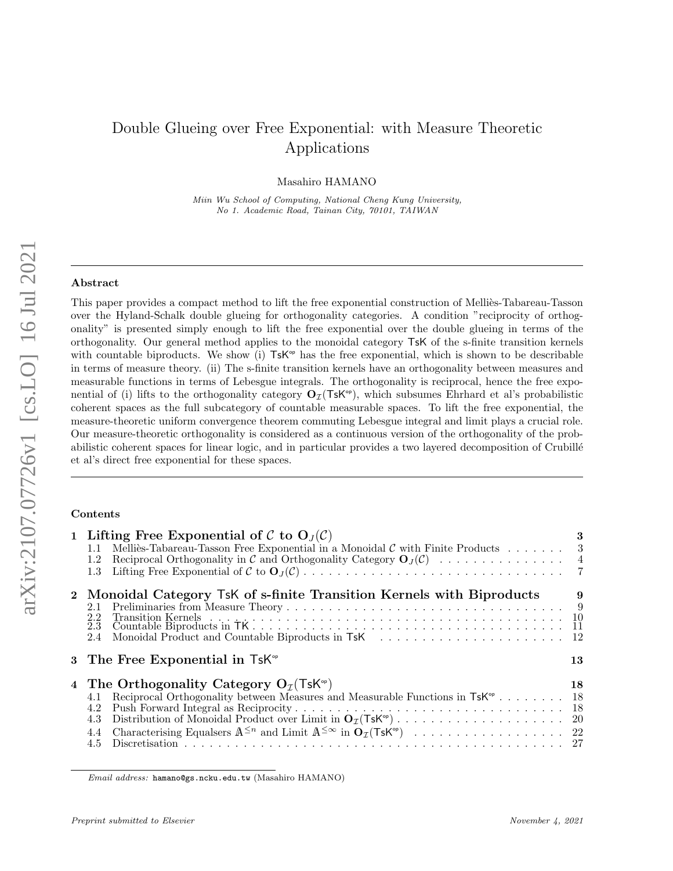# Double Glueing over Free Exponential: with Measure Theoretic Applications

Masahiro HAMANO

Miin Wu School of Computing, National Cheng Kung University, No 1. Academic Road, Tainan City, 70101, TAIWAN

### Abstract

This paper provides a compact method to lift the free exponential construction of Melliès-Tabareau-Tasson over the Hyland-Schalk double glueing for orthogonality categories. A condition "reciprocity of orthogonality" is presented simply enough to lift the free exponential over the double glueing in terms of the orthogonality. Our general method applies to the monoidal category TsK of the s-finite transition kernels with countable biproducts. We show (i)  $TsK^{\varphi}$  has the free exponential, which is shown to be describable in terms of measure theory. (ii) The s-finite transition kernels have an orthogonality between measures and measurable functions in terms of Lebesgue integrals. The orthogonality is reciprocal, hence the free exponential of (i) lifts to the orthogonality category  $O_{\mathcal{I}}(T5K^{\circ})$ , which subsumes Ehrhard et al's probabilistic coherent spaces as the full subcategory of countable measurable spaces. To lift the free exponential, the measure-theoretic uniform convergence theorem commuting Lebesgue integral and limit plays a crucial role. Our measure-theoretic orthogonality is considered as a continuous version of the orthogonality of the probabilistic coherent spaces for linear logic, and in particular provides a two layered decomposition of Crubillé et al's direct free exponential for these spaces.

#### Contents

| 1 Lifting Free Exponential of C to $OJ(C)$                                               | 3                         |
|------------------------------------------------------------------------------------------|---------------------------|
| Melliès-Tabareau-Tasson Free Exponential in a Monoidal $\mathcal C$ with Finite Products | $\overline{\phantom{a}3}$ |
| 1.2                                                                                      |                           |
| 1.3                                                                                      |                           |
| 2 Monoidal Category TsK of s-finite Transition Kernels with Biproducts                   | 9                         |
| 2.1                                                                                      |                           |
| 2.2                                                                                      |                           |
| 2.3                                                                                      |                           |
|                                                                                          |                           |
| 3 The Free Exponential in TsK <sup>®</sup>                                               | 13                        |
| 4 The Orthogonality Category $O_{\mathcal{I}}(T s K^{\circ})$                            | 18                        |
| Reciprocal Orthogonality between Measures and Measurable Functions in $TsK^{\circ}$ 18   |                           |
|                                                                                          |                           |
| 4.3                                                                                      |                           |
|                                                                                          |                           |
| 4.5                                                                                      |                           |
|                                                                                          |                           |

Email address: hamano@gs.ncku.edu.tw (Masahiro HAMANO)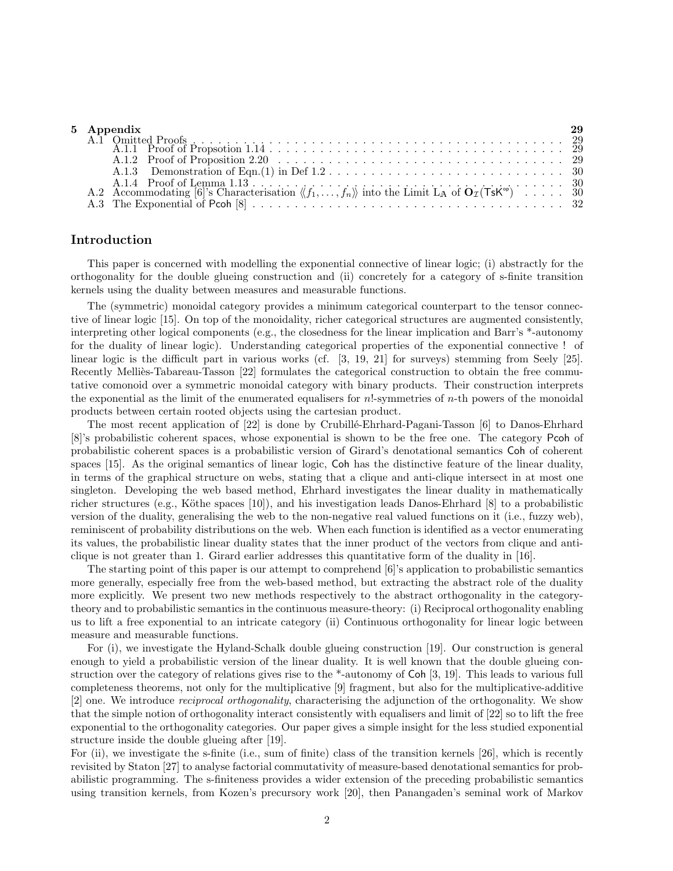| 5 Appendix                                                                                                                                              |  |
|---------------------------------------------------------------------------------------------------------------------------------------------------------|--|
|                                                                                                                                                         |  |
|                                                                                                                                                         |  |
|                                                                                                                                                         |  |
|                                                                                                                                                         |  |
|                                                                                                                                                         |  |
| A.2 Accommodating $[6]$ 's Characterisation $\langle f_1, \ldots, f_n \rangle$ into the Limit $L_A$ of $O_{\mathcal{I}}(\mathsf{TsK}^{\mathsf{op}})$ 30 |  |
|                                                                                                                                                         |  |

## Introduction

This paper is concerned with modelling the exponential connective of linear logic; (i) abstractly for the orthogonality for the double glueing construction and (ii) concretely for a category of s-finite transition kernels using the duality between measures and measurable functions.

The (symmetric) monoidal category provides a minimum categorical counterpart to the tensor connective of linear logic [15]. On top of the monoidality, richer categorical structures are augmented consistently, interpreting other logical components (e.g., the closedness for the linear implication and Barr's \*-autonomy for the duality of linear logic). Understanding categorical properties of the exponential connective ! of linear logic is the difficult part in various works (cf. [3, 19, 21] for surveys) stemming from Seely [25]. Recently Mellies-Tabareau-Tasson [22] formulates the categorical construction to obtain the free commutative comonoid over a symmetric monoidal category with binary products. Their construction interprets the exponential as the limit of the enumerated equalisers for  $n!$ -symmetries of  $n$ -th powers of the monoidal products between certain rooted objects using the cartesian product.

The most recent application of [22] is done by Crubillé-Ehrhard-Pagani-Tasson [6] to Danos-Ehrhard [8]'s probabilistic coherent spaces, whose exponential is shown to be the free one. The category Pcoh of probabilistic coherent spaces is a probabilistic version of Girard's denotational semantics Coh of coherent spaces [15]. As the original semantics of linear logic, Coh has the distinctive feature of the linear duality, in terms of the graphical structure on webs, stating that a clique and anti-clique intersect in at most one singleton. Developing the web based method, Ehrhard investigates the linear duality in mathematically richer structures (e.g., Köthe spaces [10]), and his investigation leads Danos-Ehrhard  $[8]$  to a probabilistic version of the duality, generalising the web to the non-negative real valued functions on it (i.e., fuzzy web), reminiscent of probability distributions on the web. When each function is identified as a vector enumerating its values, the probabilistic linear duality states that the inner product of the vectors from clique and anticlique is not greater than 1. Girard earlier addresses this quantitative form of the duality in [16].

The starting point of this paper is our attempt to comprehend [6]'s application to probabilistic semantics more generally, especially free from the web-based method, but extracting the abstract role of the duality more explicitly. We present two new methods respectively to the abstract orthogonality in the categorytheory and to probabilistic semantics in the continuous measure-theory: (i) Reciprocal orthogonality enabling us to lift a free exponential to an intricate category (ii) Continuous orthogonality for linear logic between measure and measurable functions.

For (i), we investigate the Hyland-Schalk double glueing construction [19]. Our construction is general enough to yield a probabilistic version of the linear duality. It is well known that the double glueing construction over the category of relations gives rise to the \*-autonomy of Coh [3, 19]. This leads to various full completeness theorems, not only for the multiplicative [9] fragment, but also for the multiplicative-additive [2] one. We introduce reciprocal orthogonality, characterising the adjunction of the orthogonality. We show that the simple notion of orthogonality interact consistently with equalisers and limit of [22] so to lift the free exponential to the orthogonality categories. Our paper gives a simple insight for the less studied exponential structure inside the double glueing after [19].

For (ii), we investigate the s-finite (i.e., sum of finite) class of the transition kernels [26], which is recently revisited by Staton [27] to analyse factorial commutativity of measure-based denotational semantics for probabilistic programming. The s-finiteness provides a wider extension of the preceding probabilistic semantics using transition kernels, from Kozen's precursory work [20], then Panangaden's seminal work of Markov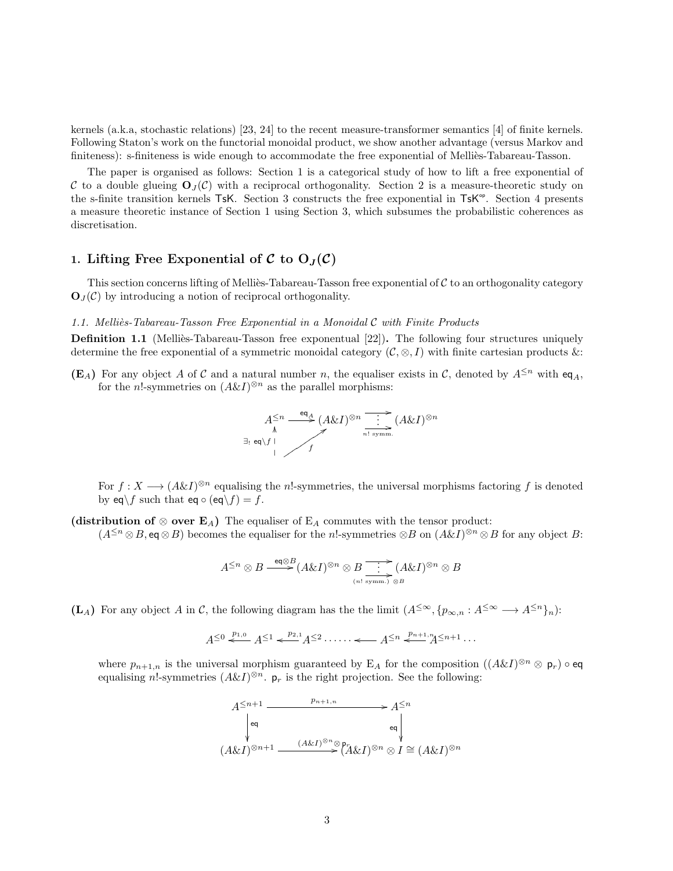kernels (a.k.a, stochastic relations) [23, 24] to the recent measure-transformer semantics [4] of finite kernels. Following Staton's work on the functorial monoidal product, we show another advantage (versus Markov and finiteness): s-finiteness is wide enough to accommodate the free exponential of Melliès-Tabareau-Tasson.

The paper is organised as follows: Section 1 is a categorical study of how to lift a free exponential of C to a double glueing  $O<sub>J</sub>(\mathcal{C})$  with a reciprocal orthogonality. Section 2 is a measure-theoretic study on the s-finite transition kernels TsK. Section 3 constructs the free exponential in  $TsK^{\varphi}$ . Section 4 presents a measure theoretic instance of Section 1 using Section 3, which subsumes the probabilistic coherences as discretisation.

## 1. Lifting Free Exponential of C to  $O_J(\mathcal{C})$

This section concerns lifting of Melliès-Tabareau-Tasson free exponential of  $\mathcal C$  to an orthogonality category  $\mathbf{O}_I(\mathcal{C})$  by introducing a notion of reciprocal orthogonality.

#### 1.1. Melliès-Tabareau-Tasson Free Exponential in a Monoidal  $\mathcal C$  with Finite Products

**Definition 1.1** (Melliès-Tabareau-Tasson free exponentual [22]). The following four structures uniquely determine the free exponential of a symmetric monoidal category  $(C, \otimes, I)$  with finite cartesian products &:

 $(E_A)$  For any object A of C and a natural number n, the equaliser exists in C, denoted by  $A^{\leq n}$  with eq<sub>A</sub>, for the *n*!-symmetries on  $(A\&I)^{\otimes n}$  as the parallel morphisms:

A<sup>≤</sup><sup>n</sup> eq<sup>A</sup> /(A&I) ⊗n n! symm. . . . / / (A&I) ⊗n ∃! eq\f OO✤ ✤ <sup>f</sup> t9 tt tt tt tt t

For  $f: X \longrightarrow (A \& I)^{\otimes n}$  equalising the n!-symmetries, the universal morphisms factoring f is denoted by eq $\{f \}$  such that eq  $\circ$  (eq $\{f\} = f$ .

(distribution of  $\otimes$  over E<sub>A</sub>) The equaliser of E<sub>A</sub> commutes with the tensor product:

 $(A^{\leq n} \otimes B, \text{eq} \otimes B)$  becomes the equaliser for the n!-symmetries  $\otimes B$  on  $(A \& I)^{\otimes n} \otimes B$  for any object B:

$$
A^{\leq n} \otimes B \xrightarrow{\text{eq} \otimes B} (A \& I)^{\otimes n} \otimes B \xrightarrow[n \text{ is prime}]{} (A \& I)^{\otimes n} \otimes B
$$

 $(L_A)$  For any object A in C, the following diagram has the the limit  $(A^{\leq \infty}, \{p_{\infty,n}: A^{\leq \infty} \longrightarrow A^{\leq n}\}_n)$ :

$$
A^{\leq 0} \stackrel{p_{1,0}}{\leq} A^{\leq 1} \stackrel{p_{2,1}}{\leq} A^{\leq 2} \cdot \cdot \cdot \cdot \cdot \stackrel{p_{n+1,n}}{\leq} A^{\leq n} \stackrel{p_{n+1,n}}{\leq} A^{\leq n+1} \cdot \cdot \cdot
$$

where  $p_{n+1,n}$  is the universal morphism guaranteed by E<sub>A</sub> for the composition  $((A \& I)^{\otimes n} \otimes \mathsf{p}_r) \circ \mathsf{eq}$ equalising n!-symmetries  $(A\&I)^{\otimes n}$ .  $\mathsf{p}_r$  is the right projection. See the following:

$$
A^{\leq n+1} \xrightarrow{p_{n+1,n}} A^{\leq n}
$$
  
\n
$$
\downarrow \text{eq}
$$
  
\n
$$
(A \& I)^{\otimes n+1} \xrightarrow{(A \& I)^{\otimes n} \otimes p_{r}} (A \& I)^{\otimes n} \otimes I \cong (A \& I)^{\otimes n}
$$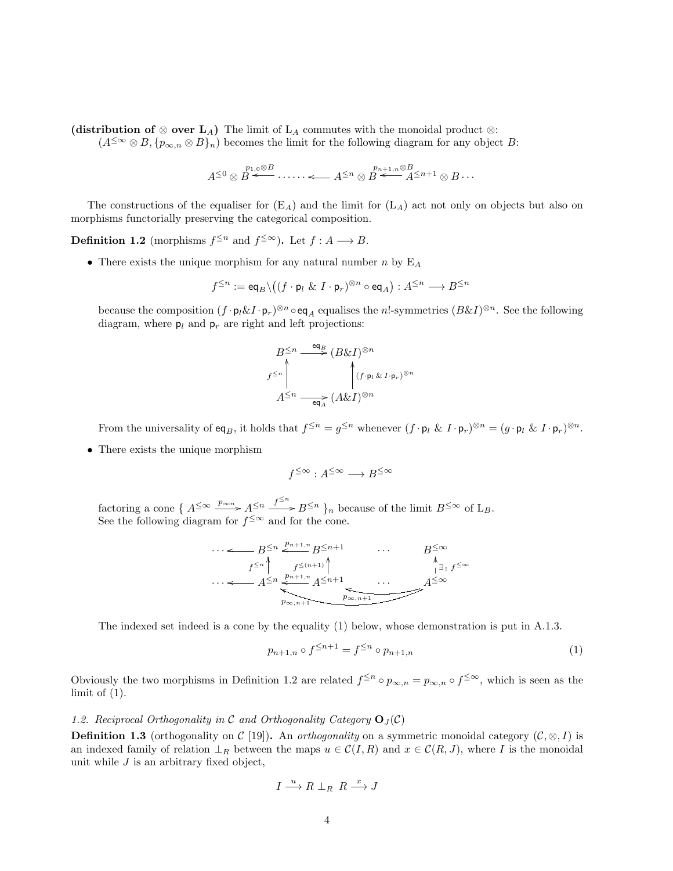(distribution of ⊗ over L<sub>A</sub>) The limit of L<sub>A</sub> commutes with the monoidal product ⊗:

 $(A^{\leq \infty} \otimes B, \{p_{\infty,n} \otimes B\}_n)$  becomes the limit for the following diagram for any object B:

$$
A^{\leq 0} \otimes B^{\stackrel{p_{1,0} \otimes B}{\leq \cdots}} \cdots \cdots \cdots \cdots A^{\leq n} \otimes B^{\stackrel{p_{n+1,n} \otimes B}{\leq \cdots}} A^{\leq n+1} \otimes B \cdots
$$

The constructions of the equaliser for  $(E_A)$  and the limit for  $(L_A)$  act not only on objects but also on morphisms functorially preserving the categorical composition.

**Definition 1.2** (morphisms  $f^{\leq n}$  and  $f^{\leq \infty}$ ). Let  $f : A \longrightarrow B$ .

• There exists the unique morphism for any natural number n by  $E_A$ 

$$
f^{\leq n}:=\operatorname{eq}_B\backslash \big((f\cdot \mathsf{p}_l\ \&\ I\cdot \mathsf{p}_r)^{\otimes n}\circ \operatorname{eq}_A\big):A^{\leq n}\longrightarrow B^{\leq n}
$$

because the composition  $(f \cdot p_l \& I \cdot p_r)^{\otimes n} \circ eq_A$  equalises the n!-symmetries  $(B \& I)^{\otimes n}$ . See the following diagram, where  $p_l$  and  $p_r$  are right and left projections:

$$
B^{\leq n} \xrightarrow{\text{eq}_B} (B \& I)^{\otimes n}
$$
  

$$
f^{\leq n} \qquad \qquad \downarrow \qquad \qquad (f \cdot \mathsf{p}_l \& I \cdot \mathsf{p}_r)^{\otimes n}
$$
  

$$
A^{\leq n} \xrightarrow{\text{eq}_A} (A \& I)^{\otimes n}
$$

From the universality of  $eq_B$ , it holds that  $f^{\leq n} = g^{\leq n}$  whenever  $(f \cdot p_l \& I \cdot p_r)^{\otimes n} = (g \cdot p_l \& I \cdot p_r)^{\otimes n}$ .

• There exists the unique morphism

$$
f^{\leq \infty}: A^{\leq \infty} \longrightarrow B^{\leq \infty}
$$

factoring a cone {  $A^{\leq \infty} \xrightarrow{p_{\infty n}} A^{\leq n} \xrightarrow{f^{\leq n}} B^{\leq n}$  }<sub>n</sub> because of the limit  $B^{\leq \infty}$  of  $L_B$ . See the following diagram for  $f^{\leq \infty}$  and for the cone.

$$
\cdots \leftarrow B^{\leq n} \overset{p_{n+1,n}}{\underset{f \leq n+1}{\ast}} B^{\leq n+1} \cdots B^{\leq \infty}
$$
\n
$$
\cdots \leftarrow A^{\leq n} \overset{p_{n+1,n}}{\underset{p_{\infty,n+1}}{\ast}} A^{\leq n+1} \cdots A^{\leq \infty}
$$

The indexed set indeed is a cone by the equality (1) below, whose demonstration is put in A.1.3.

$$
p_{n+1,n} \circ f^{\leq n+1} = f^{\leq n} \circ p_{n+1,n} \tag{1}
$$

Obviously the two morphisms in Definition 1.2 are related  $f^{\leq n} \circ p_{\infty,n} = p_{\infty,n} \circ f^{\leq \infty}$ , which is seen as the limit of  $(1)$ .

#### 1.2. Reciprocal Orthogonality in C and Orthogonality Category  $O_J(\mathcal{C})$

**Definition 1.3** (orthogonality on C [19]). An *orthogonality* on a symmetric monoidal category  $(C, \otimes, I)$  is an indexed family of relation  $\perp_R$  between the maps  $u \in \mathcal{C}(I,R)$  and  $x \in \mathcal{C}(R,J)$ , where I is the monoidal unit while  $J$  is an arbitrary fixed object,

$$
I \stackrel{u}{\longrightarrow} R \perp_R R \stackrel{x}{\longrightarrow} J
$$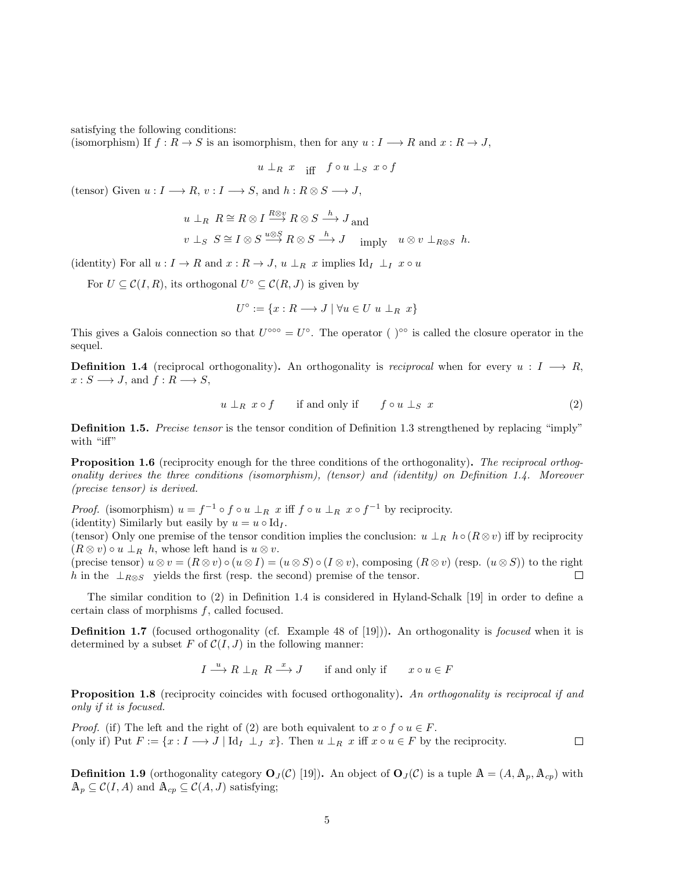satisfying the following conditions:

(isomorphism) If  $f: R \to S$  is an isomorphism, then for any  $u: I \longrightarrow R$  and  $x: R \to J$ ,

$$
u \perp_R x \quad \text{iff} \quad f \circ u \perp_S x \circ f
$$

(tensor) Given  $u: I \longrightarrow R$ ,  $v: I \longrightarrow S$ , and  $h: R \otimes S \longrightarrow J$ ,

$$
u \perp_R R \cong R \otimes I \xrightarrow{R \otimes v} R \otimes S \xrightarrow{h} J
$$
and  

$$
v \perp_S S \cong I \otimes S \xrightarrow{u \otimes S} R \otimes S \xrightarrow{h} J
$$
 imply  $u \otimes v \perp_{R \otimes S} h$ .

(identity) For all  $u: I \to R$  and  $x: R \to J$ ,  $u \perp_R x$  implies Id<sub>I</sub>  $\perp_I x \circ u$ 

For  $U \subseteq \mathcal{C}(I,R)$ , its orthogonal  $U^{\circ} \subseteq \mathcal{C}(R, J)$  is given by

$$
U^{\circ} := \{ x : R \longrightarrow J \mid \forall u \in U \ u \perp_R x \}
$$

This gives a Galois connection so that  $U^{\infty} \circ U^{\circ}$ . The operator ( )<sup>oo</sup> is called the closure operator in the sequel.

**Definition 1.4** (reciprocal orthogonality). An orthogonality is reciprocal when for every  $u : I \longrightarrow R$ ,  $x : S \longrightarrow J$ , and  $f : R \longrightarrow S$ ,

$$
u \perp_R x \circ f \qquad \text{if and only if} \qquad f \circ u \perp_S x \tag{2}
$$

Definition 1.5. Precise tensor is the tensor condition of Definition 1.3 strengthened by replacing "imply" with "iff"

**Proposition 1.6** (reciprocity enough for the three conditions of the orthogonality). The reciprocal orthogonality derives the three conditions (isomorphism), (tensor) and (identity) on Definition 1.4. Moreover (precise tensor) is derived.

*Proof.* (isomorphism)  $u = f^{-1} \circ f \circ u \perp_R x$  iff  $f \circ u \perp_R x \circ f^{-1}$  by reciprocity. (identity) Similarly but easily by  $u = u \circ \mathrm{Id}_I$ .

(tensor) Only one premise of the tensor condition implies the conclusion:  $u \perp_R h \circ (R \otimes v)$  iff by reciprocity  $(R \otimes v) \circ u \perp_R h$ , whose left hand is  $u \otimes v$ .

(precise tensor)  $u \otimes v = (R \otimes v) \circ (u \otimes I) = (u \otimes S) \circ (I \otimes v)$ , composing  $(R \otimes v)$  (resp.  $(u \otimes S)$ ) to the right h in the  $\perp_{R\otimes S}$  yields the first (resp. the second) premise of the tensor.  $\Box$ 

The similar condition to (2) in Definition 1.4 is considered in Hyland-Schalk [19] in order to define a certain class of morphisms  $f$ , called focused.

**Definition 1.7** (focused orthogonality (cf. Example 48 of [19])). An orthogonality is *focused* when it is determined by a subset F of  $C(I, J)$  in the following manner:

 $I \stackrel{u}{\longrightarrow} R \perp_R R \stackrel{x}{\longrightarrow} J$  if and only if  $x \circ u \in F$ 

**Proposition 1.8** (reciprocity coincides with focused orthogonality). An orthogonality is reciprocal if and only if it is focused.

*Proof.* (if) The left and the right of (2) are both equivalent to  $x \circ f \circ u \in F$ . (only if) Put  $F := \{x : I \longrightarrow J \mid \mathrm{Id}_I \perp_J x\}$ . Then  $u \perp_R x$  iff  $x \circ u \in F$  by the reciprocity.

**Definition 1.9** (orthogonality category  $\mathbf{O}_J(\mathcal{C})$  [19]). An object of  $\mathbf{O}_J(\mathcal{C})$  is a tuple  $\mathbf{A} = (A, \mathbf{A}_p, \mathbf{A}_{cp})$  with  $\mathbb{A}_p \subseteq \mathcal{C}(I, A)$  and  $\mathbb{A}_{cp} \subseteq \mathcal{C}(A, J)$  satisfying;

 $\Box$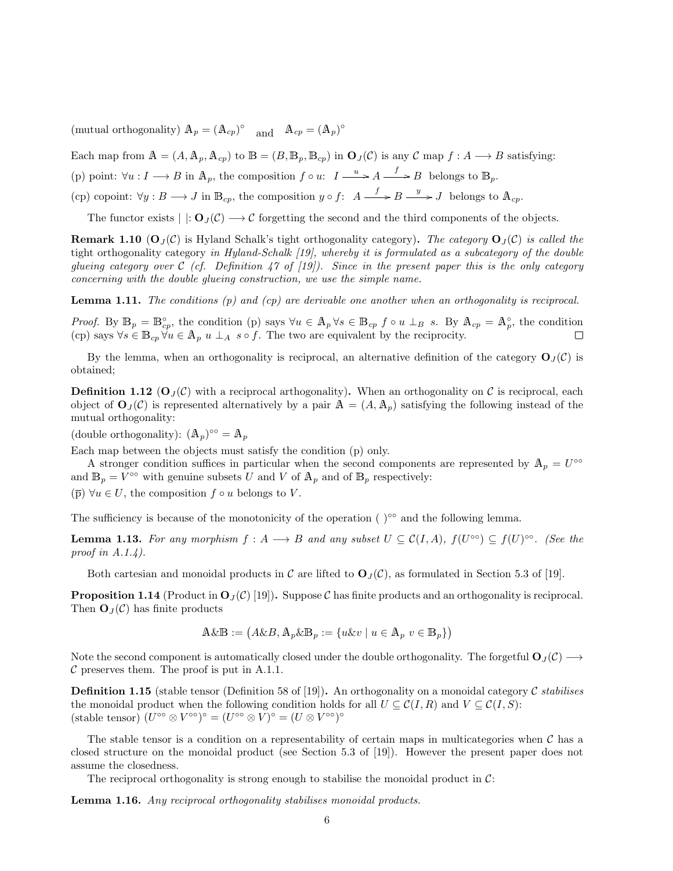(mutual orthogonality)  $A_p = (A_{cp})^{\circ}$  and  $A_{cp} = (A_p)^{\circ}$ 

Each map from  $A = (A, A_p, A_{cp})$  to  $B = (B, B_p, B_{cp})$  in  $O_J(\mathcal{C})$  is any  $\mathcal{C}$  map  $f : A \longrightarrow B$  satisfying:

(p) point:  $\forall u : I \longrightarrow B$  in  $\mathbb{A}_p$ , the composition  $f \circ u: I \xrightarrow{u} A \xrightarrow{f} B$  belongs to  $\mathbb{B}_p$ .

(cp) copoint:  $\forall y : B \longrightarrow J$  in  $\mathbb{B}_{cp}$ , the composition  $y \circ f: A \longrightarrow B \longrightarrow J$  belongs to  $\mathbb{A}_{cp}$ .

The functor exists  $|: \mathbf{O}_J(\mathcal{C}) \longrightarrow \mathcal{C}$  forgetting the second and the third components of the objects.

**Remark 1.10** ( $O_J(\mathcal{C})$  is Hyland Schalk's tight orthogonality category). The category  $O_J(\mathcal{C})$  is called the tight orthogonality category in Hyland-Schalk [19], whereby it is formulated as a subcategory of the double glueing category over C (cf. Definition 47 of [19]). Since in the present paper this is the only category concerning with the double glueing construction, we use the simple name.

**Lemma 1.11.** The conditions  $(p)$  and  $(cp)$  are derivable one another when an orthogonality is reciprocal.

*Proof.* By  $\mathbb{B}_p = \mathbb{B}_{cp}^{\circ}$ , the condition (p) says  $\forall u \in \mathbb{A}_p \forall s \in \mathbb{B}_{cp}$  f  $\circ u \perp_B s$ . By  $\mathbb{A}_{cp} = \mathbb{A}_p^{\circ}$ , the condition (cp) says  $\forall s \in \mathbb{B}_{cp} \forall u \in A_p$   $u \perp_A s \circ f$ . The two are equivalent by the reciprocity.  $\Box$ 

By the lemma, when an orthogonality is reciprocal, an alternative definition of the category  $O_J(\mathcal{C})$  is obtained;

**Definition 1.12 (O**<sub>J</sub>(C) with a reciprocal arthogonality). When an orthogonality on C is reciprocal, each object of  $\mathbf{O}_J(\mathcal{C})$  is represented alternatively by a pair  $\mathbb{A} = (A, \mathbb{A}_p)$  satisfying the following instead of the mutual orthogonality:

(double orthogonality):  $(A_p)^{\circ \circ} = A_p$ 

Each map between the objects must satisfy the condition (p) only.

A stronger condition suffices in particular when the second components are represented by  $\mathbb{A}_p = U^{\circ\circ}$ and  $\mathbb{B}_p = V^{\infty}$  with genuine subsets U and V of  $\mathbb{A}_p$  and of  $\mathbb{B}_p$  respectively:

 $(\overline{p}) \ \forall u \in U$ , the composition  $f \circ u$  belongs to V.

The sufficiency is because of the monotonicity of the operation ( $\gamma \circ \circ$  and the following lemma.

**Lemma 1.13.** For any morphism  $f : A \longrightarrow B$  and any subset  $U \subseteq C(I, A)$ ,  $f(U^{\circ \circ}) \subseteq f(U)^{\circ \circ}$ . (See the proof in  $A.1.4$ ).

Both cartesian and monoidal products in C are lifted to  $O<sub>J</sub>(C)$ , as formulated in Section 5.3 of [19].

**Proposition 1.14** (Product in  $O_J(\mathcal{C})$  [19]). Suppose C has finite products and an orthogonality is reciprocal. Then  $\mathbf{O}_J(\mathcal{C})$  has finite products

$$
\mathbb{A}\&\mathbb{B} := (A\&B, \mathbb{A}_p\&\mathbb{B}_p := \{u\&v \mid u \in \mathbb{A}_p v \in \mathbb{B}_p\})
$$

Note the second component is automatically closed under the double orthogonality. The forgetful  $\mathbf{O}_J(\mathcal{C}) \longrightarrow$  $\mathcal C$  preserves them. The proof is put in A.1.1.

**Definition 1.15** (stable tensor (Definition 58 of [19]). An orthogonality on a monoidal category  $\mathcal C$  stabilises the monoidal product when the following condition holds for all  $U \subseteq \mathcal{C}(I, R)$  and  $V \subseteq \mathcal{C}(I, S)$ : (stable tensor)  $(U^{\circ\circ}\otimes V^{\circ\circ})^{\circ} = (U^{\circ\circ}\otimes V)^{\circ} = (U\otimes V^{\circ\circ})^{\circ}$ 

The stable tensor is a condition on a representability of certain maps in multicategories when  $\mathcal C$  has a closed structure on the monoidal product (see Section 5.3 of [19]). However the present paper does not assume the closedness.

The reciprocal orthogonality is strong enough to stabilise the monoidal product in  $\mathcal{C}$ :

Lemma 1.16. Any reciprocal orthogonality stabilises monoidal products.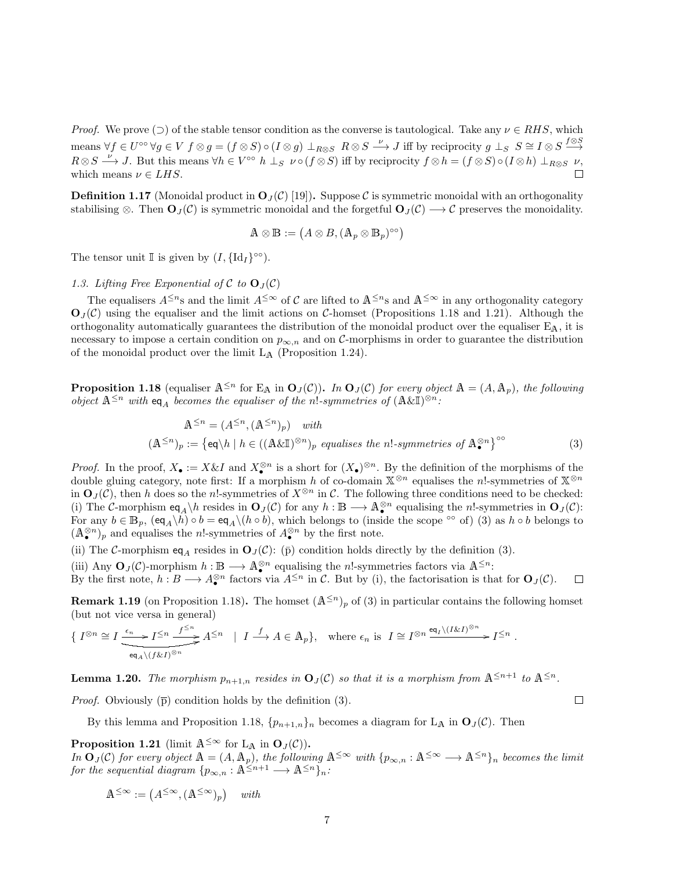*Proof.* We prove ( $\supset$ ) of the stable tensor condition as the converse is tautological. Take any  $\nu \in RHS$ , which  $\mathbf{p} \in U^{\infty} \forall g \in V \; f \otimes g = (f \otimes S) \circ (I \otimes g) \perp_{R \otimes S} R \otimes S \stackrel{\nu}{\longrightarrow} J \; \text{iff} \; \text{by reciprocity} \; g \perp_S S \cong I \otimes S \stackrel{f \otimes S}{\longrightarrow} J \; \text{iff} \; \text{by } J \otimes S \stackrel{\nu}{\longrightarrow} J \; \text{and} \; \text{by } J \otimes S \stackrel{\nu}{\longrightarrow} J \; \text{by } J \otimes S \stackrel{\nu}{\longrightarrow} J \; \text{by } J \otimes S \stackrel{\nu}{\longrightarrow} J \; \$  $R \otimes S \stackrel{\nu}{\longrightarrow} J$ . But this means  $\forall h \in V^{\circ\circ}$   $h \perp_S \nu \circ (f \otimes S)$  iff by reciprocity  $f \otimes h = (f \otimes S) \circ (I \otimes h) \perp_{R \otimes S} \nu$ , which means  $\nu \in LHS$ .

**Definition 1.17** (Monoidal product in  $O<sub>J</sub>(\mathcal{C})$  [19]). Suppose C is symmetric monoidal with an orthogonality stabilising ⊗. Then  $O_J(\mathcal{C})$  is symmetric monoidal and the forgetful  $O_J(\mathcal{C}) \longrightarrow \mathcal{C}$  preserves the monoidality.

$$
\mathbb{A} \otimes \mathbb{B} := (A \otimes B, (\mathbb{A}_p \otimes \mathbb{B}_p)^{\circ \circ})
$$

The tensor unit I is given by  $(I, {\{\mathrm{Id}_I\}}^{\circ\circ}).$ 

## 1.3. Lifting Free Exponential of C to  $O<sub>J</sub>(C)$

The equalisers  $A^{\leq n}$ s and the limit  $A^{\leq \infty}$  of C are lifted to  $A^{\leq n}$ s and  $A^{\leq \infty}$  in any orthogonality category  $O_J(\mathcal{C})$  using the equaliser and the limit actions on C-homset (Propositions 1.18 and 1.21). Although the orthogonality automatically guarantees the distribution of the monoidal product over the equaliser  $E_A$ , it is necessary to impose a certain condition on  $p_{\infty,n}$  and on C-morphisms in order to guarantee the distribution of the monoidal product over the limit  $L_A$  (Proposition 1.24).

**Proposition 1.18** (equaliser  $\mathbb{A}^{\leq n}$  for  $E_{\mathbb{A}}$  in  $\mathbf{O}_J(\mathcal{C})$ ). In  $\mathbf{O}_J(\mathcal{C})$  for every object  $\mathbb{A} = (A, \mathbb{A}_p)$ , the following object  $\mathbb{A}^{\leq n}$  with  $eq_A$  becomes the equaliser of the n!-symmetries of  $(\mathbb{A}\&\mathbb{I})^{\otimes n}$ :

$$
\mathbb{A}^{\leq n} = (A^{\leq n}, (\mathbb{A}^{\leq n})_p) \quad \text{with}
$$
  

$$
(\mathbb{A}^{\leq n})_p := \{ \mathsf{eq} \setminus h \mid h \in ((\mathbb{A} \& \mathbb{I})^{\otimes n})_p \text{ equalises the } n\text{!-symmetries of } \mathbb{A}_\bullet^{\otimes n} \}^{\circ\circ}
$$
 (3)

*Proof.* In the proof,  $X_{\bullet} := X \& I$  and  $X_{\bullet}^{\otimes n}$  is a short for  $(X_{\bullet})^{\otimes n}$ . By the definition of the morphisms of the double gluing category, note first: If a morphism h of co-domain  $X^{\otimes n}$  equalises the n!-symmetries of  $X^{\otimes n}$ in  $\mathbf{O}_J(\mathcal{C})$ , then h does so the n!-symmetries of  $X^{\otimes n}$  in  $\mathcal{C}$ . The following three conditions need to be checked: (i) The C-morphism  $eq_A\hbar$  resides in  $\mathbf{O}_J(\mathcal{C})$  for any  $h : \mathbb{B} \longrightarrow \mathbb{A}_\bullet^{\otimes n}$  equalising the n!-symmetries in  $\mathbf{O}_J(\mathcal{C})$ : For any  $b \in \mathbb{B}_p$ ,  $(\text{eq}_A \backslash h) \circ b = \text{eq}_A \backslash (h \circ b)$ , which belongs to (inside the scope  $\circ \circ$  of) (3) as  $h \circ b$  belongs to  $(\mathbb{A}_{\bullet}^{\otimes n})_p$  and equalises the *n*!-symmetries of  $A_{\bullet}^{\otimes n}$  by the first note.

(ii) The C-morphism eq<sub>A</sub> resides in  $O_J(\mathcal{C})$ : (p) condition holds directly by the definition (3).

(iii) Any  $\mathbf{O}_J(\mathcal{C})$ -morphism  $h : \mathbb{B} \longrightarrow \mathbb{A}_\bullet^{\otimes n}$  equalising the *n*!-symmetries factors via  $\mathbb{A}^{\leq n}$ :

By the first note,  $h: B \longrightarrow A_{\bullet}^{\otimes n}$  factors via  $A^{\leq n}$  in C. But by (i), the factorisation is that for  $O_J(\mathcal{C})$ .  $\Box$ 

**Remark 1.19** (on Proposition 1.18). The homset  $(\mathbb{A}^{\leq n})_p$  of (3) in particular contains the following homset (but not vice versa in general)

$$
\left\{ I^{\otimes n} \cong I \xrightarrow{\epsilon_n} I^{\leq n} \xrightarrow{f^{\leq n}} A^{\leq n} \quad | \quad I \xrightarrow{f} A \in \mathbb{A}_p \right\}, \quad \text{where } \epsilon_n \text{ is } I \cong I^{\otimes n} \xrightarrow{\text{eq}_I \setminus (I \& I)^{\otimes n}} I^{\leq n}.
$$

**Lemma 1.20.** The morphism  $p_{n+1,n}$  resides in  $\mathbf{O}_J(\mathcal{C})$  so that it is a morphism from  $\mathbb{A}^{\leq n+1}$  to  $\mathbb{A}^{\leq n}$ .

*Proof.* Obviously  $(\bar{p})$  condition holds by the definition (3).

By this lemma and Proposition 1.18,  $\{p_{n+1,n}\}_n$  becomes a diagram for  $L_A$  in  $O_J(\mathcal{C})$ . Then

**Proposition 1.21** (limit  $\mathbb{A}^{\leq \infty}$  for  $L_{\mathbb{A}}$  in  $\mathbf{O}_J(\mathcal{C})$ ).

In  $\mathbf{O}_J(\mathcal{C})$  for every object  $\mathbb{A} = (A, \mathbb{A}_p)$ , the following  $\mathbb{A}^{\leq \infty}$  with  $\{p_{\infty,n} : \mathbb{A}^{\leq \infty} \longrightarrow \mathbb{A}^{\leq n}\}\$ <sub>n</sub> becomes the limit for the sequential diagram  $\{p_{\infty,n} : \mathbb{A}^{\leq n+1} \longrightarrow \mathbb{A}^{\leq n}\}_n$ .

$$
\mathbb{A}^{\leq \infty} := (A^{\leq \infty}, (\mathbb{A}^{\leq \infty})_p) \quad \text{ with }
$$

 $\Box$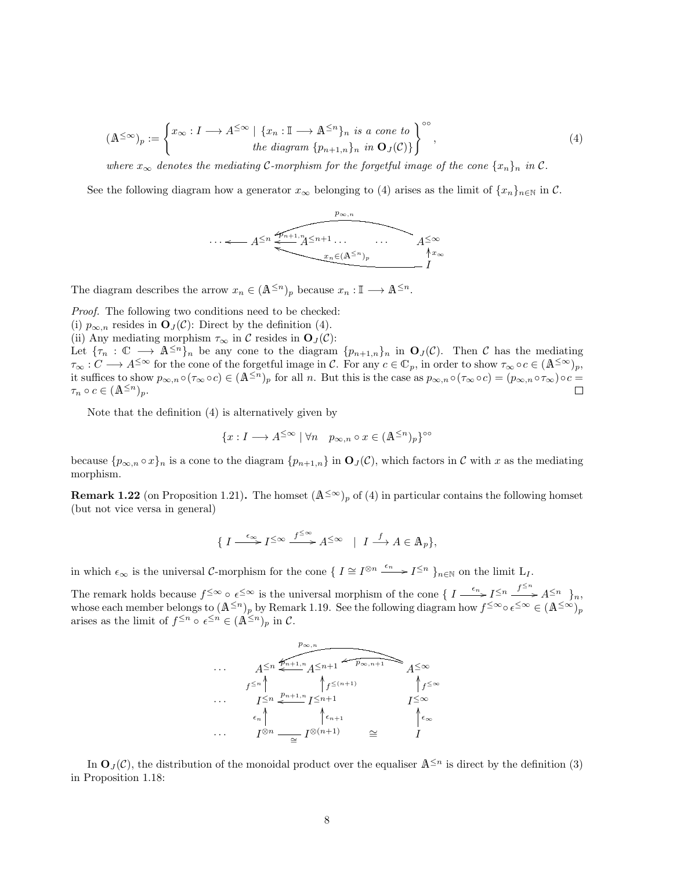$$
(\mathbb{A}^{\leq \infty})_p := \begin{cases} x_{\infty} : I \longrightarrow A^{\leq \infty} \mid \{x_n : \mathbb{I} \longrightarrow \mathbb{A}^{\leq n}\}_n \text{ is a cone to} \\ \text{the diagram } \{p_{n+1,n}\}_n \text{ in } \mathbf{O}_J(\mathcal{C})\} \end{cases} (4)
$$

where  $x_{\infty}$  denotes the mediating C-morphism for the forgetful image of the cone  $\{x_n\}_n$  in C.

See the following diagram how a generator  $x_{\infty}$  belonging to (4) arises as the limit of  $\{x_n\}_{n\in\mathbb{N}}$  in C.



The diagram describes the arrow  $x_n \in (\mathbb{A}^{\leq n})_p$  because  $x_n : \mathbb{I} \longrightarrow \mathbb{A}^{\leq n}$ .

Proof. The following two conditions need to be checked:

(i)  $p_{\infty,n}$  resides in  $\mathbf{O}_J(\mathcal{C})$ : Direct by the definition (4).

(ii) Any mediating morphism  $\tau_{\infty}$  in C resides in  $O_J(\mathcal{C})$ :

Let  ${\lbrace \tau_n: \mathbb{C} \longrightarrow \mathbb{A}^{\leq n} \rbrace_n}$  be any cone to the diagram  ${p_{n+1,n}}_n$  in  $\mathbf{O}_J(\mathcal{C})$ . Then C has the mediating  $\tau_{\infty}: C \longrightarrow A^{\leq \infty}$  for the cone of the forgetful image in C. For any  $c \in \mathbb{C}_p$ , in order to show  $\tau_{\infty} \circ c \in (A^{\leq \infty})_p$ , it suffices to show  $p_{\infty,n} \circ (\tau_\infty \circ c) \in (\mathbb{A}^{\leq n})_p$  for all n. But this is the case as  $p_{\infty,n} \circ (\tau_\infty \circ c) = (p_{\infty,n} \circ \tau_\infty) \circ c =$  $\tau_n \circ c \in (\mathbb{A}^{\leq n})_p.$  $\Box$ 

Note that the definition (4) is alternatively given by

$$
\{x: I \longrightarrow A^{\leq \infty} \mid \forall n \quad p_{\infty,n} \circ x \in (\mathbb{A}^{\leq n})_p\}^{\circ \circ}
$$

because  $\{p_{\infty,n} \circ x\}_n$  is a cone to the diagram  $\{p_{n+1,n}\}$  in  $\mathbf{O}_J(\mathcal{C})$ , which factors in C with x as the mediating morphism.

**Remark 1.22** (on Proposition 1.21). The homset  $(A^{\leq \infty})_p$  of (4) in particular contains the following homset (but not vice versa in general)

$$
\{ I \xrightarrow{\epsilon_{\infty}} I^{\leq \infty} \xrightarrow{f^{\leq \infty}} A^{\leq \infty} \quad | \quad I \xrightarrow{f} A \in \mathbb{A}_p \},
$$

in which  $\epsilon_{\infty}$  is the universal C-morphism for the cone {  $I \cong I^{\otimes n} \xrightarrow{\epsilon_n} I^{\leq n}$  }<sub>n∈N</sub> on the limit L<sub>I</sub>.

The remark holds because  $f^{\leq \infty} \circ \epsilon^{\leq \infty}$  is the universal morphism of the cone  $\{I \xrightarrow{\epsilon_n} I^{\leq n} \xrightarrow{f^{\leq n}} A^{\leq n}\}_n$ , whose each member belongs to  $(A^{\leq n})_p$  by Remark 1.19. See the following diagram how  $f^{\leq \infty} \circ \epsilon^{\leq \infty} \in (A^{\leq \infty})_p$ arises as the limit of  $f^{\leq n} \circ \epsilon^{\leq n} \in (\mathbb{A}^{\leq n})_p$  in C.



In  $\mathbf{O}_J(\mathcal{C})$ , the distribution of the monoidal product over the equaliser  $\mathbb{A}^{\leq n}$  is direct by the definition (3) in Proposition 1.18: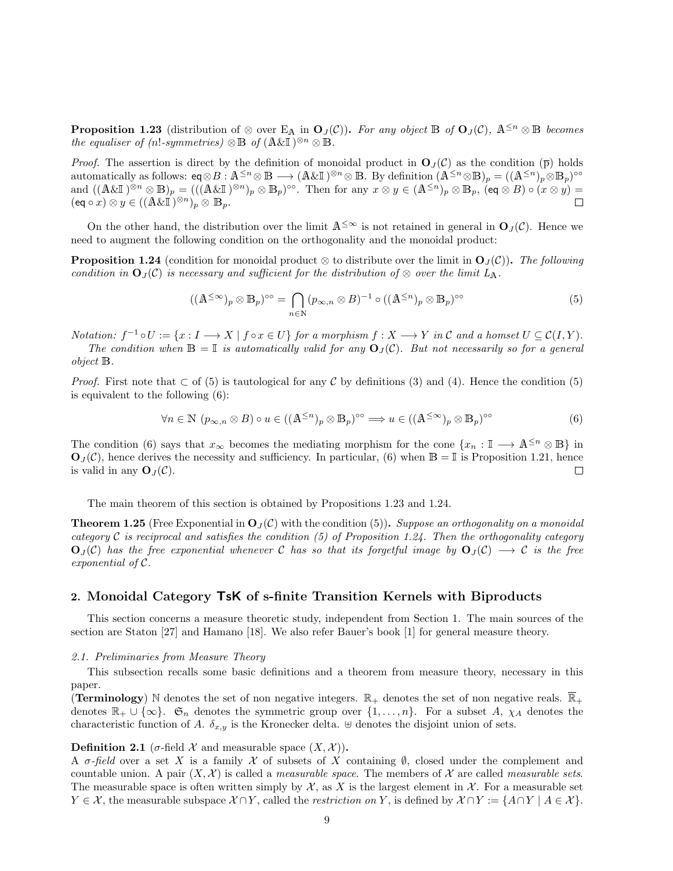**Proposition 1.23** (distribution of ⊗ over E<sub>A</sub> in  $O_J(\mathcal{C})$ ). For any object B of  $O_J(\mathcal{C})$ , A<sup>≤n</sup> ⊗ B becomes the equaliser of (n!-symmetries)  $\otimes \mathbb{B}$  of  $(\mathbb{A}\&\mathbb{I})^{\otimes n} \otimes \mathbb{B}$ .

*Proof.* The assertion is direct by the definition of monoidal product in  $O_J(\mathcal{C})$  as the condition  $(\bar{p})$  holds automatically as follows:  $\mathsf{eq} \otimes B : \mathbb{A}^{\leq n} \otimes \mathbb{B} \longrightarrow (\mathbb{A} \& \mathbb{I})^{\otimes n} \otimes \mathbb{B}$ . By definition  $(\mathbb{A}^{\leq n} \otimes \mathbb{B})_p = ((\mathbb{A}^{\leq n})_p \otimes \mathbb{B}_p)^{\circ \circ}$ and  $((\mathbb{A}\&\mathbb{I})^{\otimes n}\otimes\mathbb{B})_p=(((\mathbb{A}\&\mathbb{I})^{\otimes n})_p\otimes\mathbb{B}_p)^{\circ\circ}.$  Then for any  $x\otimes y\in(\mathbb{A}^{\leq n})_p\otimes\mathbb{B}_p$ ,  $(\mathsf{eq}\otimes B)\circ(x\otimes y)=$  $(\operatorname{\sf eq} \circ x)\otimes y \in ((\mathbb{A}\& \mathbb{I})^{\otimes n})_p \otimes \mathbb{B}_p.$ 

On the other hand, the distribution over the limit  $\mathbb{A}^{\leq \infty}$  is not retained in general in  $\mathbf{O}_I(\mathcal{C})$ . Hence we need to augment the following condition on the orthogonality and the monoidal product:

**Proposition 1.24** (condition for monoidal product ⊗ to distribute over the limit in  $O<sub>J</sub>(\mathcal{C})$ ). The following condition in  $\mathbf{O}_J(\mathcal{C})$  is necessary and sufficient for the distribution of  $\otimes$  over the limit  $L_{\mathbb{A}}$ .

$$
((\mathbb{A}^{\leq \infty})_p \otimes \mathbb{B}_p)^{\circ \circ} = \bigcap_{n \in \mathbb{N}} (p_{\infty,n} \otimes B)^{-1} \circ ((\mathbb{A}^{\leq n})_p \otimes \mathbb{B}_p)^{\circ \circ} \tag{5}
$$

Notation:  $f^{-1} \circ U := \{x : I \longrightarrow X \mid f \circ x \in U\}$  for a morphism  $f : X \longrightarrow Y$  in C and a homset  $U \subseteq C(I, Y)$ .

The condition when  $\mathbb{B} = \mathbb{I}$  is automatically valid for any  $\mathbf{O}_J(\mathcal{C})$ . But not necessarily so for a general object B.

*Proof.* First note that  $\subset$  of (5) is tautological for any C by definitions (3) and (4). Hence the condition (5) is equivalent to the following (6):

$$
\forall n \in \mathbb{N} \ (p_{\infty,n} \otimes B) \circ u \in ((\mathbb{A}^{\leq n})_p \otimes \mathbb{B}_p)^{\circ \circ} \Longrightarrow u \in ((\mathbb{A}^{\leq \infty})_p \otimes \mathbb{B}_p)^{\circ \circ} \tag{6}
$$

The condition (6) says that  $x_{\infty}$  becomes the mediating morphism for the cone  $\{x_n : \mathbb{I} \longrightarrow \mathbb{A}^{\leq n} \otimes \mathbb{B}\}\$ in  $\mathbf{O}_J(\mathcal{C})$ , hence derives the necessity and sufficiency. In particular, (6) when  $\mathbb{B} = \mathbb{I}$  is Proposition 1.21, hence is valid in any  $\mathbf{O}_J(\mathcal{C})$ .  $\Box$ 

The main theorem of this section is obtained by Propositions 1.23 and 1.24.

**Theorem 1.25** (Free Exponential in  $O<sub>J</sub>(\mathcal{C})$  with the condition (5)). Suppose an orthogonality on a monoidal category C is reciprocal and satisfies the condition (5) of Proposition 1.24. Then the orthogonality category  $O_J(\mathcal{C})$  has the free exponential whenever C has so that its forgetful image by  $O_J(\mathcal{C}) \longrightarrow \mathcal{C}$  is the free exponential of C.

## 2. Monoidal Category TsK of s-finite Transition Kernels with Biproducts

This section concerns a measure theoretic study, independent from Section 1. The main sources of the section are Staton [27] and Hamano [18]. We also refer Bauer's book [1] for general measure theory.

#### 2.1. Preliminaries from Measure Theory

This subsection recalls some basic definitions and a theorem from measure theory, necessary in this paper.

(Terminology) N denotes the set of non negative integers.  $\mathbb{R}_+$  denotes the set of non negative reals.  $\mathbb{R}_+$ denotes  $\mathbb{R}_+ \cup \{\infty\}$ .  $\mathfrak{S}_n$  denotes the symmetric group over  $\{1,\ldots,n\}$ . For a subset A,  $\chi_A$  denotes the characteristic function of A.  $\delta_{x,y}$  is the Kronecker delta.  $\forall$  denotes the disjoint union of sets.

## **Definition 2.1** (σ-field X and measurable space  $(X, \mathcal{X})$ ).

A  $\sigma$ -field over a set X is a family X of subsets of X containing  $\emptyset$ , closed under the complement and countable union. A pair  $(X, \mathcal{X})$  is called a *measurable space*. The members of X are called *measurable sets.* The measurable space is often written simply by  $\mathcal{X}$ , as X is the largest element in  $\mathcal{X}$ . For a measurable set  $Y \in \mathcal{X}$ , the measurable subspace  $\mathcal{X} \cap Y$ , called the *restriction on* Y, is defined by  $\mathcal{X} \cap Y := \{A \cap Y \mid A \in \mathcal{X}\}\$ .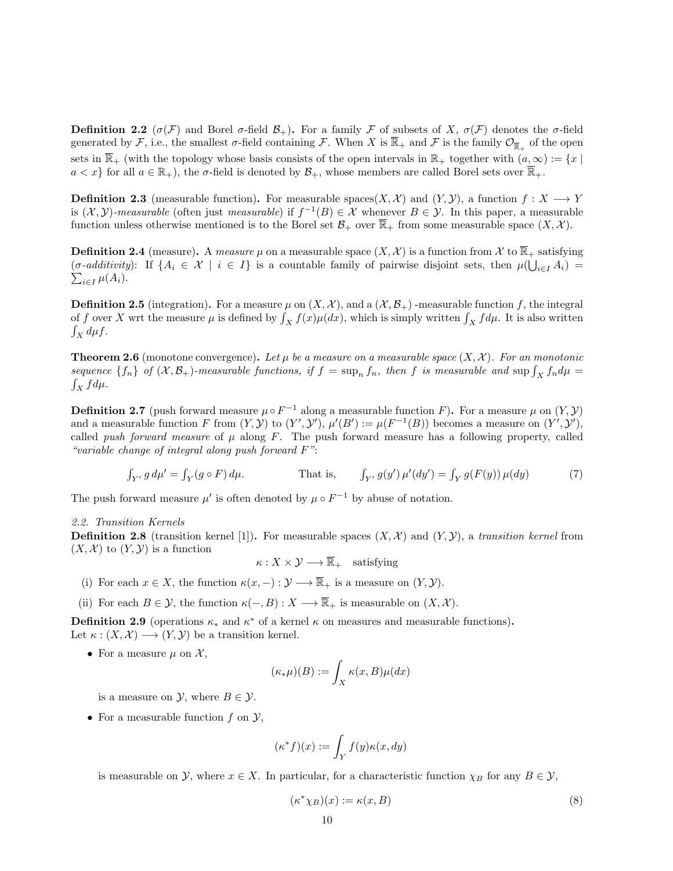**Definition 2.2** ( $\sigma(\mathcal{F})$  and Borel  $\sigma$ -field  $\mathcal{B}_+$ ). For a family  $\mathcal F$  of subsets of X,  $\sigma(\mathcal{F})$  denotes the  $\sigma$ -field generated by  $\mathcal{F}$ , i.e., the smallest  $\sigma$ -field containing  $\mathcal{F}$ . When X is  $\overline{\mathbb{R}}_+$  and  $\mathcal{F}$  is the family  $\mathcal{O}_{\overline{\mathbb{R}}_+}$  of the open sets in  $\overline{\mathbb{R}}_+$  (with the topology whose basis consists of the open intervals in  $\mathbb{R}_+$  together with  $(a,\infty) := \{x \mid$  $a < x$  for all  $a \in \mathbb{R}_+$ , the  $\sigma$ -field is denoted by  $\mathcal{B}_+$ , whose members are called Borel sets over  $\overline{\mathbb{R}}_+$ .

**Definition 2.3** (measurable function). For measurable spaces(X, X) and  $(Y, Y)$ , a function  $f: X \longrightarrow Y$ is  $(X, Y)$ -measurable (often just measurable) if  $f^{-1}(B) \in \mathcal{X}$  whenever  $B \in \mathcal{Y}$ . In this paper, a measurable function unless otherwise mentioned is to the Borel set  $\mathcal{B}_+$  over  $\overline{\mathbb{R}}_+$  from some measurable space  $(X, \mathcal{X})$ .

**Definition 2.4** (measure). A measure  $\mu$  on a measurable space  $(X, \mathcal{X})$  is a function from  $\mathcal{X}$  to  $\overline{\mathbb{R}}_+$  satisfying  $(\sigma$ -additivity): If  $\{A_i \in \mathcal{X} \mid i \in I\}$  is a countable family of pairwise disjoint sets, then  $\mu(\bigcup_{i \in I} A_i)$  $\sum_{i\in I}\mu(A_i).$ 

**Definition 2.5** (integration). For a measure  $\mu$  on  $(X, \mathcal{X})$ , and a  $(\mathcal{X}, \mathcal{B}_+)$  -measurable function f, the integral of f over X wrt the measure  $\mu$  is defined by  $\int_X f(x) \mu(dx)$ , which is simply written  $\int_X f d\mu$ . It is also written  $\int_X d\mu f.$ 

**Theorem 2.6** (monotone convergence). Let  $\mu$  be a measure on a measurable space  $(X, \mathcal{X})$ . For an monotonic sequence  $\{f_n\}$  of  $(\mathcal{X}, \mathcal{B}_+)$ -measurable functions, if  $f = \sup_n f_n$ , then f is measurable and  $\sup \int_X f_n d\mu =$  $\int_X fd\mu.$ 

**Definition 2.7** (push forward measure  $\mu \circ F^{-1}$  along a measurable function F). For a measure  $\mu$  on  $(Y, Y)$ and a measurable function F from  $(Y, Y)$  to  $(Y', Y'), \mu'(B') := \mu(F^{-1}(B))$  becomes a measure on  $(Y', Y'),$ called *push forward measure* of  $\mu$  along F. The push forward measure has a following property, called "variable change of integral along push forward  $F$ ":

$$
\int_{Y'} g d\mu' = \int_Y (g \circ F) d\mu.
$$
 That is, 
$$
\int_{Y'} g(y') \mu'(dy') = \int_Y g(F(y)) \mu(dy)
$$
 (7)

The push forward measure  $\mu'$  is often denoted by  $\mu \circ F^{-1}$  by abuse of notation.

2.2. Transition Kernels

**Definition 2.8** (transition kernel [1]). For measurable spaces  $(X, \mathcal{X})$  and  $(Y, \mathcal{Y})$ , a transition kernel from  $(X, \mathcal{X})$  to  $(Y, \mathcal{Y})$  is a function

$$
\kappa: X \times \mathcal{Y} \longrightarrow \overline{\mathbb{R}}_{+} \quad \text{satisfying}
$$

- (i) For each  $x \in X$ , the function  $\kappa(x, -): \mathcal{Y} \longrightarrow \overline{\mathbb{R}}_+$  is a measure on  $(Y, \mathcal{Y})$ .
- (ii) For each  $B \in \mathcal{Y}$ , the function  $\kappa(-, B) : X \longrightarrow \overline{\mathbb{R}}_+$  is measurable on  $(X, \mathcal{X})$ .

**Definition 2.9** (operations  $\kappa_*$  and  $\kappa^*$  of a kernel  $\kappa$  on measures and measurable functions). Let  $\kappa : (X, \mathcal{X}) \longrightarrow (Y, \mathcal{Y})$  be a transition kernel.

• For a measure  $\mu$  on  $\mathcal{X},$ 

$$
(\kappa_*\mu)(B) := \int_X \kappa(x, B)\mu(dx)
$$

is a measure on  $\mathcal{Y}$ , where  $B \in \mathcal{Y}$ .

• For a measurable function  $f$  on  $\mathcal{Y},$ 

$$
(\kappa^* f)(x) := \int_Y f(y)\kappa(x, dy)
$$

is measurable on Y, where  $x \in X$ . In particular, for a characteristic function  $\chi_B$  for any  $B \in \mathcal{Y}$ ,

$$
(\kappa^* \chi_B)(x) := \kappa(x, B) \tag{8}
$$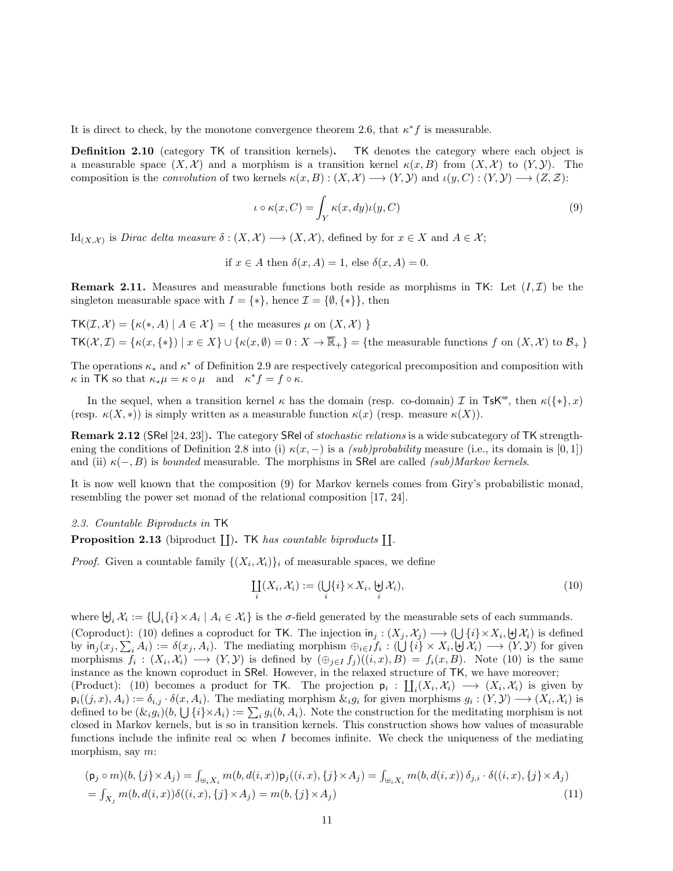It is direct to check, by the monotone convergence theorem 2.6, that  $\kappa^* f$  is measurable.

Definition 2.10 (category TK of transition kernels). TK denotes the category where each object is a measurable space  $(X, \mathcal{X})$  and a morphism is a transition kernel  $\kappa(x, B)$  from  $(X, \mathcal{X})$  to  $(Y, \mathcal{Y})$ . The composition is the *convolution* of two kernels  $\kappa(x, B) : (X, \mathcal{X}) \longrightarrow (Y, \mathcal{Y})$  and  $\iota(y, C) : (Y, \mathcal{Y}) \longrightarrow (Z, \mathcal{Z})$ :

$$
\iota \circ \kappa(x, C) = \int_{Y} \kappa(x, dy) \iota(y, C)
$$
\n(9)

 $\mathrm{Id}_{(X,X)}$  is *Dirac delta measure*  $\delta : (X,\mathcal{X}) \longrightarrow (X,\mathcal{X})$ , defined by for  $x \in X$  and  $A \in \mathcal{X}$ ;

if 
$$
x \in A
$$
 then  $\delta(x, A) = 1$ , else  $\delta(x, A) = 0$ .

**Remark 2.11.** Measures and measurable functions both reside as morphisms in TK: Let  $(I,\mathcal{I})$  be the singleton measurable space with  $I = \{*\}$ , hence  $\mathcal{I} = \{\emptyset, \{*\}\}\$ , then

 $TK(\mathcal{I}, \mathcal{X}) = \{\kappa(*, A) | A \in \mathcal{X}\} = \{\text{ the measures } \mu \text{ on } (X, \mathcal{X})\}\$  $TK(\mathcal{X}, \mathcal{I}) = \{\kappa(x, \{*\}) \mid x \in X\} \cup \{\kappa(x, \emptyset) = 0 : X \to \overline{\mathbb{R}}_+\} = \{\text{the measurable functions } f \text{ on } (X, \mathcal{X}) \text{ to } \mathcal{B}_+\}$ 

The operations  $\kappa_*$  and  $\kappa^*$  of Definition 2.9 are respectively categorical precomposition and composition with  $\kappa$  in TK so that  $\kappa_* \mu = \kappa \circ \mu$  and  $\kappa^* f = f \circ \kappa$ .

In the sequel, when a transition kernel  $\kappa$  has the domain (resp. co-domain) I in TsK<sup>op</sup>, then  $\kappa({\{\ast\}};x)$ (resp.  $\kappa(X,*)$ ) is simply written as a measurable function  $\kappa(x)$  (resp. measure  $\kappa(X)$ ).

Remark 2.12 (SRel [24, 23]). The category SRel of stochastic relations is a wide subcategory of TK strengthening the conditions of Definition 2.8 into (i)  $\kappa(x, -)$  is a *(sub)probability* measure (i.e., its domain is [0, 1]) and (ii)  $\kappa(-, B)$  is bounded measurable. The morphisms in SRel are called (sub)Markov kernels.

It is now well known that the composition (9) for Markov kernels comes from Giry's probabilistic monad, resembling the power set monad of the relational composition [17, 24].

#### 2.3. Countable Biproducts in TK

**Proposition 2.13** (biproduct  $\Box$ ). TK has countable biproducts  $\Box$ .

*Proof.* Given a countable family  $\{(X_i, \mathcal{X}_i)\}_i$  of measurable spaces, we define

$$
\coprod_{i} (X_i, \mathcal{X}_i) := (\bigcup_{i} \{i\} \times X_i, \biguplus_{i} \mathcal{X}_i), \tag{10}
$$

where  $\biguplus_i \mathcal{X}_i := \{\bigcup_i \{i\} \times A_i \mid A_i \in \mathcal{X}_i\}$  is the  $\sigma$ -field generated by the measurable sets of each summands.

(Coproduct): (10) defines a coproduct for TK. The injection  $\text{in}_j : (X_j, \mathcal{X}_j) \longrightarrow (\bigcup \{i\} \times X_i, \bigcup \mathcal{X}_i)$  is defined by  $\text{in}_j(x_j, \sum_i A_i) := \delta(x_j, A_i)$ . The mediating morphism  $\bigoplus_{i \in I} f_i : (\bigcup_i \{i\} \times X_i, \bigcup_i \mathcal{X}_i) \longrightarrow (Y, \mathcal{Y})$  for given morphisms  $f_i: (X_i, \mathcal{X}_i) \longrightarrow (Y, \mathcal{Y})$  is defined by  $(\bigoplus_{j \in I} f_j)((i, x), B) = f_i(x, B)$ . Note (10) is the same instance as the known coproduct in SRel. However, in the relaxed structure of TK, we have moreover;

(Product): (10) becomes a product for TK. The projection  $p_i : \coprod_i (X_i, \mathcal{X}_i) \longrightarrow (X_i, \mathcal{X}_i)$  is given by  $\mathsf{p}_i((j,x),A_i) := \delta_{i,j} \cdot \delta(x,A_i)$ . The mediating morphism  $\&_ig_i$  for given morphisms  $g_i : (Y, Y) \longrightarrow (X_i, X_i)$  is defined to be  $(\&_i g_i)(b, \bigcup \{i\} \times A_i) := \sum_i g_i(b, A_i)$ . Note the construction for the meditating morphism is not closed in Markov kernels, but is so in transition kernels. This construction shows how values of measurable functions include the infinite real  $\infty$  when I becomes infinite. We check the uniqueness of the mediating morphism, say m:

$$
(\mathbf{p}_{j} \circ m)(b, \{j\} \times A_{j}) = \int_{\forall i} \chi_{i} m(b, d(i, x)) \mathbf{p}_{j}((i, x), \{j\} \times A_{j}) = \int_{\forall i} \chi_{i} m(b, d(i, x)) \delta_{j, i} \cdot \delta((i, x), \{j\} \times A_{j})
$$
  
=  $\int_{X_{j}} m(b, d(i, x)) \delta((i, x), \{j\} \times A_{j}) = m(b, \{j\} \times A_{j})$  (11)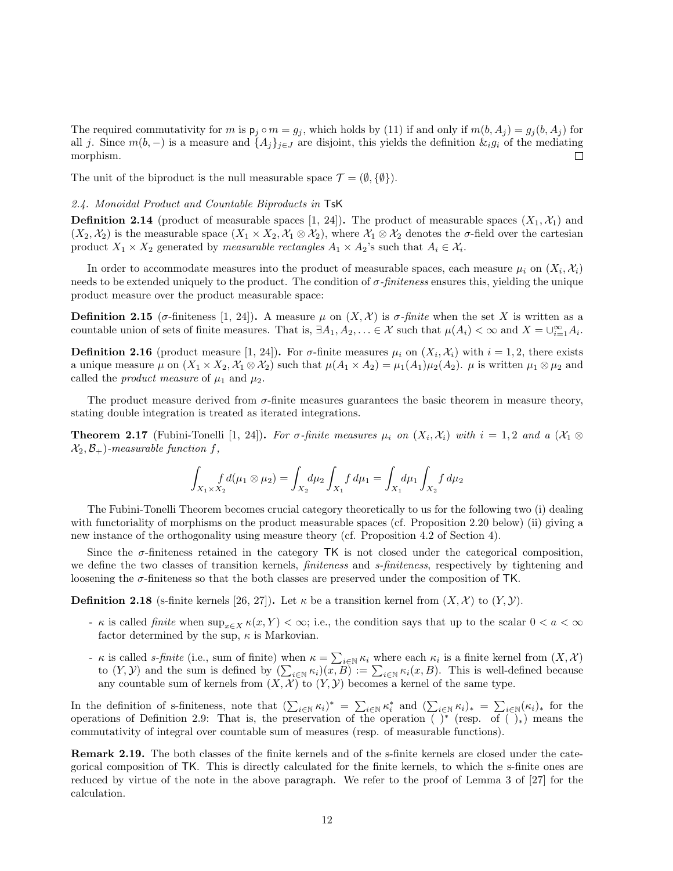The required commutativity for m is  $p_i \circ m = g_i$ , which holds by (11) if and only if  $m(b, A_i) = g_i(b, A_i)$  for all j. Since  $m(b, -)$  is a measure and  $\{A_j\}_{j \in J}$  are disjoint, this yields the definition  $\&_i g_i$  of the mediating morphism.  $\Box$ 

The unit of the biproduct is the null measurable space  $\mathcal{T} = (\emptyset, \{\emptyset\}).$ 

#### 2.4. Monoidal Product and Countable Biproducts in TsK

**Definition 2.14** (product of measurable spaces [1, 24]). The product of measurable spaces  $(X_1, X_1)$  and  $(X_2, X_2)$  is the measurable space  $(X_1 \times X_2, X_1 \otimes X_2)$ , where  $X_1 \otimes X_2$  denotes the  $\sigma$ -field over the cartesian product  $X_1 \times X_2$  generated by *measurable rectangles*  $A_1 \times A_2$ 's such that  $A_i \in \mathcal{X}_i$ .

In order to accommodate measures into the product of measurable spaces, each measure  $\mu_i$  on  $(X_i, \mathcal{X}_i)$ needs to be extended uniquely to the product. The condition of  $\sigma$ -finiteness ensures this, yielding the unique product measure over the product measurable space:

**Definition 2.15** ( $\sigma$ -finiteness [1, 24]). A measure  $\mu$  on  $(X, \mathcal{X})$  is  $\sigma$ -finite when the set X is written as a countable union of sets of finite measures. That is,  $\exists A_1, A_2, \ldots \in \mathcal{X}$  such that  $\mu(A_i) < \infty$  and  $X = \bigcup_{i=1}^{\infty} A_i$ .

**Definition 2.16** (product measure [1, 24]). For  $\sigma$ -finite measures  $\mu_i$  on  $(X_i, \mathcal{X}_i)$  with  $i = 1, 2$ , there exists a unique measure  $\mu$  on  $(X_1 \times X_2, X_1 \otimes X_2)$  such that  $\mu(A_1 \times A_2) = \mu_1(A_1)\mu_2(A_2)$ .  $\mu$  is written  $\mu_1 \otimes \mu_2$  and called the *product measure* of  $\mu_1$  and  $\mu_2$ .

The product measure derived from  $\sigma$ -finite measures guarantees the basic theorem in measure theory, stating double integration is treated as iterated integrations.

**Theorem 2.17** (Fubini-Tonelli [1, 24]). For  $\sigma$ -finite measures  $\mu_i$  on  $(X_i, \mathcal{X}_i)$  with  $i = 1, 2$  and a  $(\mathcal{X}_1 \otimes$  $\mathcal{X}_2, \mathcal{B}_+$ )-measurable function f,

$$
\int_{X_1 \times X_2} f d(\mu_1 \otimes \mu_2) = \int_{X_2} d\mu_2 \int_{X_1} f d\mu_1 = \int_{X_1} d\mu_1 \int_{X_2} f d\mu_2
$$

The Fubini-Tonelli Theorem becomes crucial category theoretically to us for the following two (i) dealing with functoriality of morphisms on the product measurable spaces (cf. Proposition 2.20 below) (ii) giving a new instance of the orthogonality using measure theory (cf. Proposition 4.2 of Section 4).

Since the  $\sigma$ -finiteness retained in the category TK is not closed under the categorical composition, we define the two classes of transition kernels, *finiteness* and *s*-*finiteness*, respectively by tightening and loosening the  $\sigma$ -finiteness so that the both classes are preserved under the composition of TK.

**Definition 2.18** (s-finite kernels [26, 27]). Let  $\kappa$  be a transition kernel from  $(X, \mathcal{X})$  to  $(Y, \mathcal{Y})$ .

- $-\kappa$  is called *finite* when  $\sup_{x\in X} \kappa(x, Y) < \infty$ ; i.e., the condition says that up to the scalar  $0 < a < \infty$ factor determined by the sup,  $\kappa$  is Markovian.
- κ is called *s*-finite (i.e., sum of finite) when  $\kappa = \sum_{i \in \mathbb{N}} \kappa_i$  where each  $\kappa_i$  is a finite kernel from  $(X, \mathcal{X})$ to  $(Y, Y)$  and the sum is defined by  $(\sum_{i \in \mathbb{N}} \kappa_i)(x, B) := \sum_{i \in \mathbb{N}} \kappa_i(x, B)$ . This is well-defined because any countable sum of kernels from  $(X, \mathcal{X})$  to  $(Y, \mathcal{Y})$  becomes a kernel of the same type.

In the definition of s-finiteness, note that  $(\sum_{i\in\mathbb{N}}\kappa_i)^* = \sum_{i\in\mathbb{N}}\kappa_i^*$  and  $(\sum_{i\in\mathbb{N}}\kappa_i)_* = \sum_{i\in\mathbb{N}}(\kappa_i)_*$  for the operations of Definition 2.9: That is, the preservation of the operation (  $\aleph^*$  (resp. of  $\ddot{\text{ } }(\cdot)\ast$ ) means the commutativity of integral over countable sum of measures (resp. of measurable functions).

Remark 2.19. The both classes of the finite kernels and of the s-finite kernels are closed under the categorical composition of TK. This is directly calculated for the finite kernels, to which the s-finite ones are reduced by virtue of the note in the above paragraph. We refer to the proof of Lemma 3 of [27] for the calculation.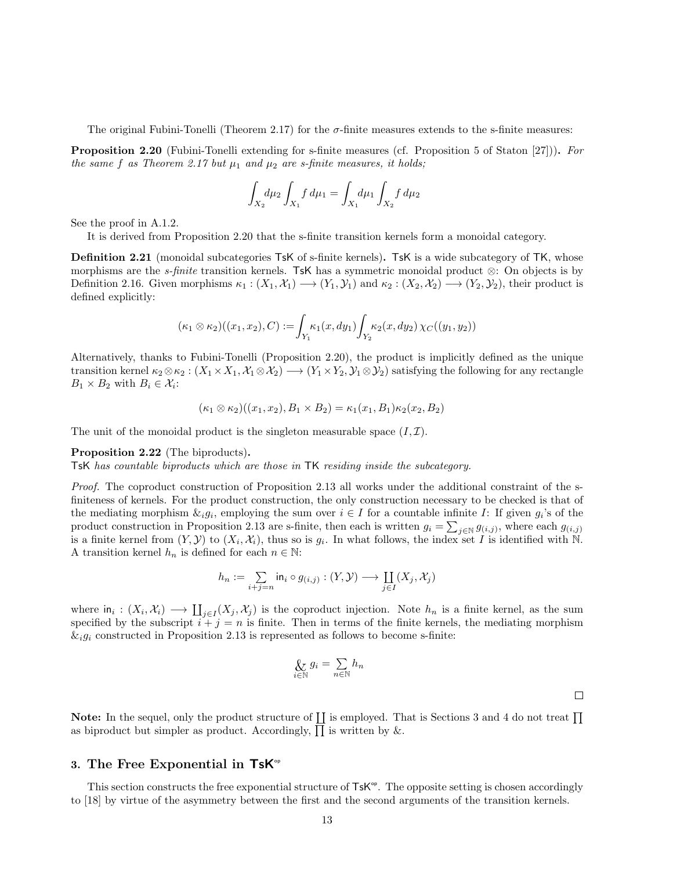The original Fubini-Tonelli (Theorem 2.17) for the  $\sigma$ -finite measures extends to the s-finite measures:

**Proposition 2.20** (Fubini-Tonelli extending for s-finite measures (cf. Proposition 5 of Staton [27])). For the same f as Theorem 2.17 but  $\mu_1$  and  $\mu_2$  are s-finite measures, it holds;

$$
\int_{X_2} d\mu_2 \int_{X_1} f d\mu_1 = \int_{X_1} d\mu_1 \int_{X_2} f d\mu_2
$$

See the proof in A.1.2.

It is derived from Proposition 2.20 that the s-finite transition kernels form a monoidal category.

**Definition 2.21** (monoidal subcategories TsK of s-finite kernels). TsK is a wide subcategory of TK, whose morphisms are the *s-finite* transition kernels. TsK has a symmetric monoidal product  $\otimes$ : On objects is by Definition 2.16. Given morphisms  $\kappa_1 : (X_1, \mathcal{X}_1) \longrightarrow (Y_1, \mathcal{Y}_1)$  and  $\kappa_2 : (X_2, \mathcal{X}_2) \longrightarrow (Y_2, \mathcal{Y}_2)$ , their product is defined explicitly:

$$
(\kappa_1 \otimes \kappa_2)((x_1, x_2), C) := \int_{Y_1} \kappa_1(x, dy_1) \int_{Y_2} \kappa_2(x, dy_2) \chi_C((y_1, y_2))
$$

Alternatively, thanks to Fubini-Tonelli (Proposition 2.20), the product is implicitly defined as the unique transition kernel  $\kappa_2 \otimes \kappa_2 : (X_1 \times X_1, X_1 \otimes X_2) \longrightarrow (Y_1 \times Y_2, Y_1 \otimes Y_2)$  satisfying the following for any rectangle  $B_1 \times B_2$  with  $B_i \in \mathcal{X}_i$ :

$$
(\kappa_1 \otimes \kappa_2)((x_1, x_2), B_1 \times B_2) = \kappa_1(x_1, B_1)\kappa_2(x_2, B_2)
$$

The unit of the monoidal product is the singleton measurable space  $(I, \mathcal{I})$ .

Proposition 2.22 (The biproducts).

TsK has countable biproducts which are those in TK residing inside the subcategory.

Proof. The coproduct construction of Proposition 2.13 all works under the additional constraint of the sfiniteness of kernels. For the product construction, the only construction necessary to be checked is that of the mediating morphism  $\&_i g_i$ , employing the sum over  $i \in I$  for a countable infinite I: If given  $g_i$ 's of the product construction in Proposition 2.13 are s-finite, then each is written  $g_i = \sum_{j \in \mathbb{N}} g_{(i,j)}$ , where each  $g_{(i,j)}$ is a finite kernel from  $(Y, Y)$  to  $(X_i, \mathcal{X}_i)$ , thus so is  $g_i$ . In what follows, the index set  $\widetilde{I}$  is identified with N. A transition kernel  $h_n$  is defined for each  $n \in \mathbb{N}$ :

$$
h_n := \sum_{i+j=n} \mathsf{in}_i \circ g_{(i,j)} : (Y, \mathcal{Y}) \longrightarrow \coprod_{j \in I} (X_j, \mathcal{X}_j)
$$

where  $\text{in}_i: (X_i, \mathcal{X}_i) \longrightarrow \coprod_{j \in I} (X_j, \mathcal{X}_j)$  is the coproduct injection. Note  $h_n$  is a finite kernel, as the sum specified by the subscript  $i + j = n$  is finite. Then in terms of the finite kernels, the mediating morphism  $\&_{i}g_{i}$  constructed in Proposition 2.13 is represented as follows to become s-finite:

$$
\bigotimes_{i \in \mathbb{N}} g_i = \sum_{n \in \mathbb{N}} h_n
$$

 $\Box$ 

Note: In the sequel, only the product structure of  $\prod$  is employed. That is Sections 3 and 4 do not treat  $\prod$ as biproduct but simpler as product. Accordingly,  $\prod$  is written by &.

## 3. The Free Exponential in  $TsK^{\circ}$

This section constructs the free exponential structure of  $T sK^{\circ p}$ . The opposite setting is chosen accordingly to [18] by virtue of the asymmetry between the first and the second arguments of the transition kernels.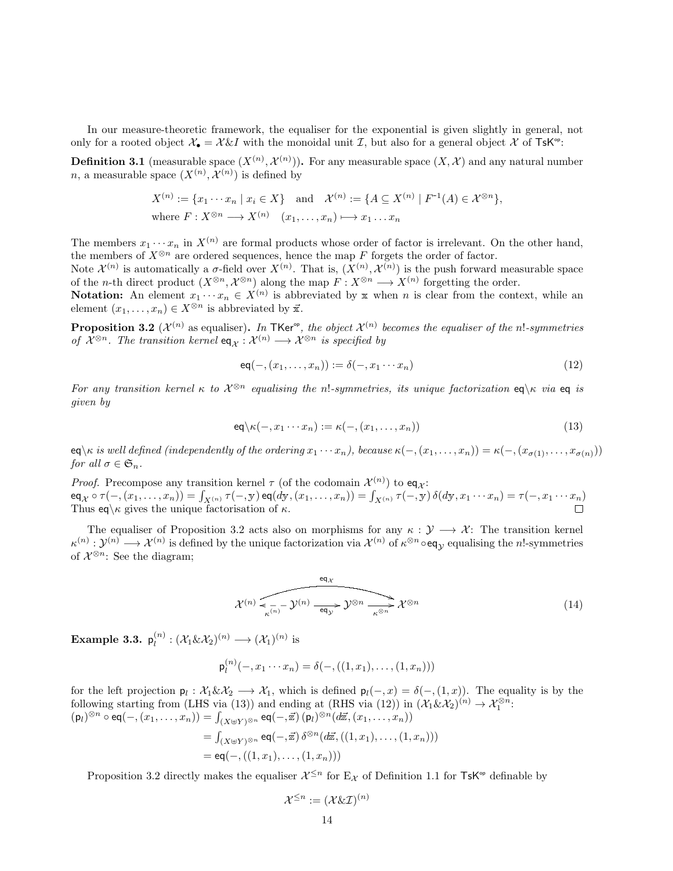In our measure-theoretic framework, the equaliser for the exponential is given slightly in general, not only for a rooted object  $\mathcal{X}_{\bullet} = \mathcal{X} \& I$  with the monoidal unit  $\mathcal{I}$ , but also for a general object  $\mathcal{X}$  of TsK<sup>®</sup>:

**Definition 3.1** (measurable space  $(X^{(n)}, \mathcal{X}^{(n)})$ ). For any measurable space  $(X, \mathcal{X})$  and any natural number n, a measurable space  $(X^{(n)}, \mathcal{X}^{(n)})$  is defined by

$$
X^{(n)} := \{x_1 \cdots x_n \mid x_i \in X\} \text{ and } \mathcal{X}^{(n)} := \{A \subseteq X^{(n)} \mid F^{-1}(A) \in \mathcal{X}^{\otimes n}\},
$$
  
where  $F : X^{\otimes n} \longrightarrow X^{(n)} \quad (x_1, \ldots, x_n) \longmapsto x_1 \ldots x_n$ 

The members  $x_1 \cdots x_n$  in  $X^{(n)}$  are formal products whose order of factor is irrelevant. On the other hand, the members of  $X^{\otimes n}$  are ordered sequences, hence the map F forgets the order of factor.

Note  $\mathcal{X}^{(n)}$  is automatically a  $\sigma$ -field over  $X^{(n)}$ . That is,  $(X^{(n)}, \mathcal{X}^{(n)})$  is the push forward measurable space of the *n*-th direct product  $(X^{\otimes n}, X^{\otimes n})$  along the map  $F : X^{\otimes n} \longrightarrow X^{(n)}$  forgetting the order.

**Notation:** An element  $x_1 \cdots x_n \in X^{(n)}$  is abbreviated by x when n is clear from the context, while an element  $(x_1, \ldots, x_n) \in X^{\otimes n}$  is abbreviated by  $\vec{x}$ .

**Proposition 3.2** ( $\mathcal{X}^{(n)}$  as equaliser). In TKer<sup>op</sup>, the object  $\mathcal{X}^{(n)}$  becomes the equaliser of the n!-symmetries of  $\mathcal{X}^{\otimes n}$ . The transition kernel  $eq_{\mathcal{X}}: \mathcal{X}^{(n)} \longrightarrow \mathcal{X}^{\otimes n}$  is specified by

$$
eq(-, (x_1, \ldots, x_n)) := \delta(-, x_1 \cdots x_n)
$$
\n
$$
(12)
$$

For any transition kernel  $\kappa$  to  $\mathcal{X}^{\otimes n}$  equalising the n!-symmetries, its unique factorization eq\ $\kappa$  via eq is given by

$$
eq\setminus \kappa(-,x_1\cdots x_n) := \kappa(-,(x_1,\ldots,x_n))\tag{13}
$$

 $\operatorname{eq}\langle \kappa \text{ is well defined (independently of the ordering } x_1 \cdots x_n \rangle, \text{ because } \kappa(-, (x_1, \ldots, x_n)) = \kappa(-, (x_{\sigma(1)}, \ldots, x_{\sigma(n)}))$ for all  $\sigma \in \mathfrak{S}_n$ .

*Proof.* Precompose any transition kernel  $\tau$  (of the codomain  $\mathcal{X}^{(n)}$ ) to  $eq_{\mathcal{X}}$ :  $\mathsf{eq}_{\mathcal{X}} \circ \tau ( -, (x_1, \ldots, x_n)) = \int_{X^{(n)}} \tau ( -, \mathrm{y}) \, \mathsf{eq}(d\mathrm{y}, (x_1, \ldots, x_n)) = \int_{X^{(n)}} \tau ( -, \mathrm{y}) \, \delta (d\mathrm{y}, x_1 \cdots x_n) = \tau ( -, x_1 \cdots x_n)$ Thus eq $\kappa$  gives the unique factorisation of  $\kappa$ .

The equaliser of Proposition 3.2 acts also on morphisms for any  $\kappa : \mathcal{Y} \longrightarrow \mathcal{X}$ : The transition kernel  $\kappa^{(n)}: \mathcal{Y}^{(n)} \longrightarrow \mathcal{X}^{(n)}$  is defined by the unique factorization via  $\mathcal{X}^{(n)}$  of  $\kappa^{\otimes n} \circ \mathsf{eq}_{\mathcal{Y}}$  equalising the  $n!$ -symmetries of  $\mathcal{X}^{\otimes n}$ : See the diagram;

$$
\mathcal{X}^{(n)} \xleftarrow[\text{min}]{\text{eq}_{\mathcal{X}} \longrightarrow \text{max}} \mathcal{Y}^{\otimes n} \xrightarrow[\text{min}]{\text{eq}_{\mathcal{X}} \mathcal{Y}^{\otimes n}} \mathcal{X}^{\otimes n}
$$
\n
$$
(14)
$$

Example 3.3.  $p_l^{(n)}$  $\ell_l^{(n)}: (\mathcal{X}_1 \& \mathcal{X}_2)^{(n)} \longrightarrow (\mathcal{X}_1)^{(n)}$  is

$$
\mathsf{p}_l^{(n)}(-,x_1\cdots x_n)=\delta(-,((1,x_1),\ldots,(1,x_n)))
$$

for the left projection  $p_l : \mathcal{X}_1 \& \mathcal{X}_2 \longrightarrow \mathcal{X}_1$ , which is defined  $p_l(-, x) = \delta(-, (1, x))$ . The equality is by the following starting from (LHS via (13)) and ending at (RHS via (12)) in  $(\mathcal{X}_1 \& \mathcal{X}_2)^{(n)} \to \mathcal{X}_1^{\otimes n}$ :  $({\sf p}_l)^{\otimes n}\circ{\sf eq}(-,(x_1,\ldots,x_n))=\int_{(X\uplus Y)^{\otimes n}}{\sf eq}(-,\vec{\bf z})\,({\sf p}_l)^{\otimes n}(d\vec{\bf z},(x_1,\ldots,x_n))$ 

$$
= \int_{(X \uplus Y)^{\otimes n}} \mathbf{eq}(-,\vec{\mathbf{z}}) \, \delta^{\otimes n}(d\vec{\mathbf{z}},((1,x_1),\ldots,(1,x_n)))
$$
  
= 
$$
\mathbf{eq}(-,((1,x_1),\ldots,(1,x_n)))
$$

Proposition 3.2 directly makes the equaliser  $\mathcal{X}^{\leq n}$  for  $E_{\mathcal{X}}$  of Definition 1.1 for  $TsK^{\infty}$  definable by

$$
\mathcal{X}^{\leq n} := (\mathcal{X} \& \mathcal{I})^{(n)}
$$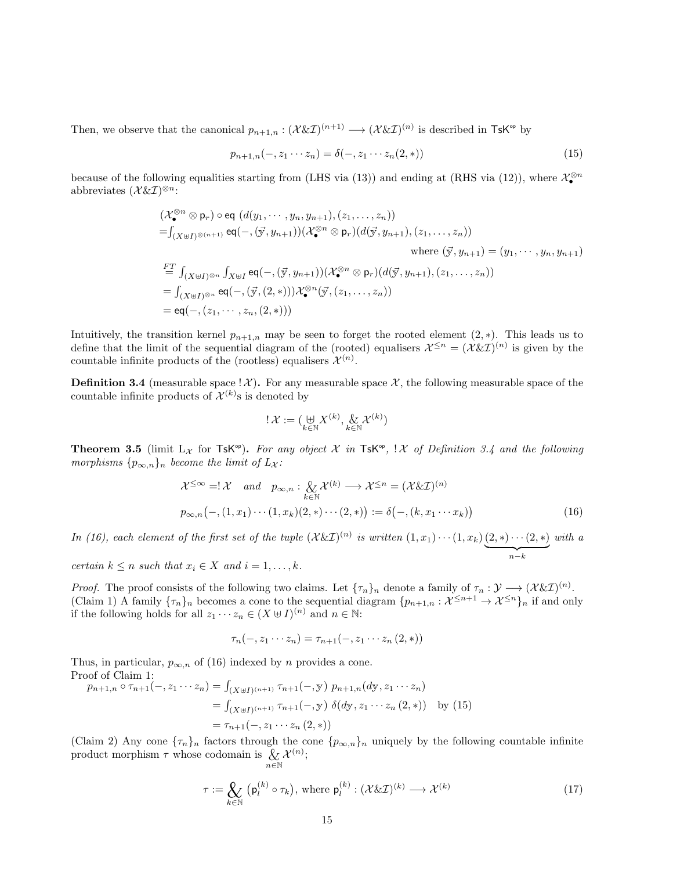Then, we observe that the canonical  $p_{n+1,n}:$   $(\mathcal{X}\&\mathcal{I})^{(n+1)} \longrightarrow (\mathcal{X}\&\mathcal{I})^{(n)}$  is described in TsK<sup>op</sup> by

$$
p_{n+1,n}(-,z_1\cdots z_n) = \delta(-,z_1\cdots z_n(2,*))
$$
\n(15)

because of the following equalities starting from (LHS via (13)) and ending at (RHS via (12)), where  $\mathcal{X}_{\bullet}^{\otimes n}$ abbreviates  $(\mathcal{X}\&\mathcal{I})^{\otimes n}$ :

$$
(\mathcal{X}_{\bullet}^{\otimes n} \otimes \mathsf{p}_{r}) \circ \mathsf{eq} (d(y_{1}, \dots, y_{n}, y_{n+1}), (z_{1}, \dots, z_{n}))
$$
  
\n
$$
= \int_{(X \uplus I) \otimes (n+1)} \mathsf{eq}(-, (\vec{y}, y_{n+1})) (\mathcal{X}_{\bullet}^{\otimes n} \otimes \mathsf{p}_{r}) (d(\vec{y}, y_{n+1}), (z_{1}, \dots, z_{n}))
$$
  
\nwhere  $(\vec{y}, y_{n+1}) = (y_{1}, \dots, y_{n}, y_{n+1})$   
\n
$$
\stackrel{FT}{=} \int_{(X \uplus I) \otimes n} \int_{X \uplus I} \mathsf{eq}(-, (\vec{y}, y_{n+1})) (\mathcal{X}_{\bullet}^{\otimes n} \otimes \mathsf{p}_{r}) (d(\vec{y}, y_{n+1}), (z_{1}, \dots, z_{n}))
$$
  
\n
$$
= \int_{(X \uplus I) \otimes n} \mathsf{eq}(-, (\vec{y}, (2, *))) \mathcal{X}_{\bullet}^{\otimes n} (\vec{y}, (z_{1}, \dots, z_{n}))
$$
  
\n
$$
= \mathsf{eq}(-, (z_{1}, \dots, z_{n}, (2, *)))
$$

Intuitively, the transition kernel  $p_{n+1,n}$  may be seen to forget the rooted element  $(2, *)$ . This leads us to define that the limit of the sequential diagram of the (rooted) equalisers  $\mathcal{X}^{\leq n} = (\mathcal{X}\&\mathcal{I})^{(n)}$  is given by the countable infinite products of the (rootless) equalisers  $\mathcal{X}^{(n)}$ .

**Definition 3.4** (measurable space  $\mathcal{X}$ ). For any measurable space X, the following measurable space of the countable infinite products of  $\mathcal{X}^{(k)}$ s is denoted by

$$
!\,\mathcal{X}:=(\underset{k\in\mathbb{N}}{\uplus}X^{(k)},\underset{k\in\mathbb{N}}{\&}\mathcal{X}^{(k)})
$$

**Theorem 3.5** (limit  $L_X$  for  $TsK^{\infty}$ ). For any object X in  $TsK^{\infty}$ ,  $X$  of Definition 3.4 and the following morphisms  $\{p_{\infty,n}\}_n$  become the limit of  $L_{\mathcal{X}}$ :

$$
\mathcal{X}^{\leq \infty} = ! \mathcal{X} \quad and \quad p_{\infty,n} : \underset{k \in \mathbb{N}}{\mathcal{X}} \mathcal{X}^{(k)} \longrightarrow \mathcal{X}^{\leq n} = (\mathcal{X} \& \mathcal{I})^{(n)}
$$

$$
p_{\infty,n}(-, (1, x_1) \cdots (1, x_k)(2, *) \cdots (2, *)) := \delta(-, (k, x_1 \cdots x_k))
$$
(16)

In (16), each element of the first set of the tuple  $(\mathcal{X}\&\mathcal{I})^{(n)}$  is written  $(1,x_1)\cdots(1,x_k)(2,*)\cdots(2,*)$  $\overbrace{n-k}$ with a

certain  $k \leq n$  such that  $x_i \in X$  and  $i = 1, \ldots, k$ .

*Proof.* The proof consists of the following two claims. Let  $\{\tau_n\}_n$  denote a family of  $\tau_n : \mathcal{Y} \longrightarrow (\mathcal{X} \& \mathcal{I})^{(n)}$ . (Claim 1) A family  $\{\tau_n\}_n$  becomes a cone to the sequential diagram  $\{p_{n+1,n} : \mathcal{X}^{\leq n+1} \to \mathcal{X}^{\leq n}\}_n$  if and only if the following holds for all  $z_1 \cdots z_n \in (X \oplus I)^{(n)}$  and  $n \in \mathbb{N}$ :

$$
\tau_n(-, z_1 \cdots z_n) = \tau_{n+1}(-, z_1 \cdots z_n (2, *))
$$

Thus, in particular,  $p_{\infty,n}$  of (16) indexed by n provides a cone. Proof of Claim 1:

$$
p_{n+1,n} \circ \tau_{n+1}(-, z_1 \cdots z_n) = \int_{(X \uplus I)^{(n+1)}} \tau_{n+1}(-, y) \ p_{n+1,n}(dy, z_1 \cdots z_n)
$$
  
= 
$$
\int_{(X \uplus I)^{(n+1)}} \tau_{n+1}(-, y) \ \delta(dy, z_1 \cdots z_n (2, *))
$$
 by (15)  
= 
$$
\tau_{n+1}(-, z_1 \cdots z_n (2, *))
$$

(Claim 2) Any cone  $\{\tau_n\}_n$  factors through the cone  $\{p_{\infty,n}\}_n$  uniquely by the following countable infinite product morphism  $\tau$  whose codomain is  $\chi$  $n\widetilde{\in}\mathbb{N}$  $\mathcal{X}^{(n)};$ 

$$
\tau := \bigotimes_{k \in \mathbb{N}} \left( \mathsf{p}_l^{(k)} \circ \tau_k \right), \text{ where } \mathsf{p}_l^{(k)} : (\mathcal{X} \& \mathcal{I})^{(k)} \longrightarrow \mathcal{X}^{(k)} \tag{17}
$$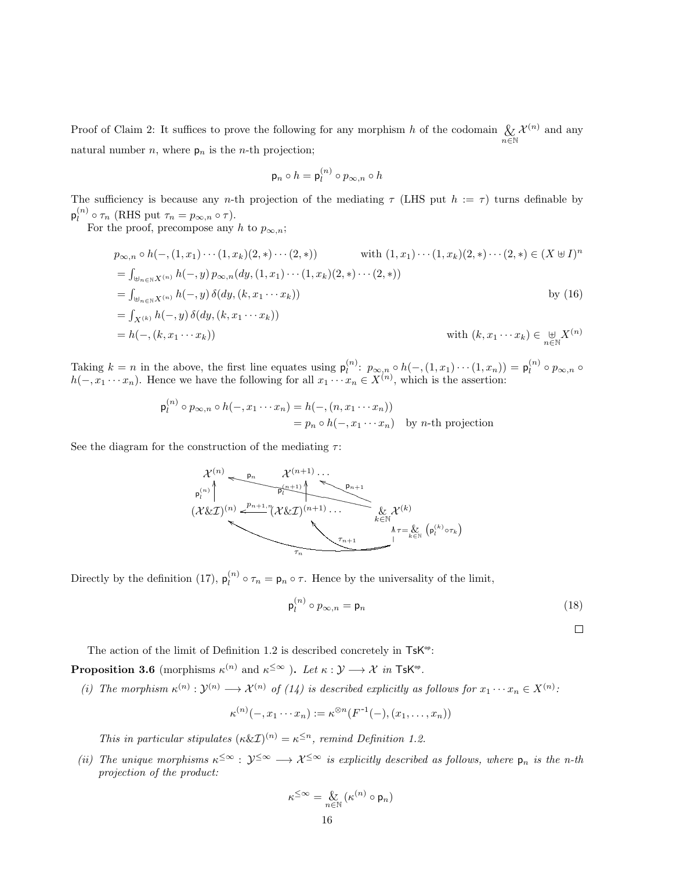Proof of Claim 2: It suffices to prove the following for any morphism h of the codomain  $\chi$  $n\widetilde{\in}\mathbb{N}$  $\mathcal{X}^{(n)}$  and any natural number *n*, where  $p_n$  is the *n*-th projection;

$$
\mathsf{p}_n \circ h = \mathsf{p}_l^{(n)} \circ p_{\infty,n} \circ h
$$

The sufficiency is because any n-th projection of the mediating  $\tau$  (LHS put  $h := \tau$ ) turns definable by  $\mathsf{p}_{l}^{(n)}$  $\mathcal{L}_l^{(n)} \circ \tau_n$  (RHS put  $\tau_n = p_{\infty,n} \circ \tau$ ).

For the proof, precompose any h to  $p_{\infty,n}$ ;

$$
p_{\infty,n} \circ h(-, (1, x_1) \cdots (1, x_k)(2, *) \cdots (2, *))
$$
 with  $(1, x_1) \cdots (1, x_k)(2, *) \cdots (2, *) \in (X \boxplus I)^n$   
\n
$$
= \int_{\boxplus_{n \in \mathbb{N}} X^{(n)}} h(-, y) p_{\infty,n}(dy, (1, x_1) \cdots (1, x_k)(2, *) \cdots (2, *))
$$
  
\n
$$
= \int_{\boxplus_{n \in \mathbb{N}} X^{(n)}} h(-, y) \delta(dy, (k, x_1 \cdots x_k))
$$
  
\n
$$
= \int_{X^{(k)}} h(-, y) \delta(dy, (k, x_1 \cdots x_k))
$$
  
\n
$$
= h(-, (k, x_1 \cdots x_k))
$$
  
\nwith  $(k, x_1 \cdots x_k) \in \underset{n \in \mathbb{N}}{\boxplus} X^{(n)}$ 

Taking  $k = n$  in the above, the first line equates using  $p_l^{(n)}$  $\mathfrak{p}_l^{(n)}$ :  $p_{\infty,n} \circ h(-(1,x_1)\cdots(1,x_n)) = \mathfrak{p}_l^{(n)}$  $l^{(n)}\circ p_{\infty,n}\circ$  $h(-, x_1 \cdots x_n)$ . Hence we have the following for all  $x_1 \cdots x_n \in X^{(n)}$ , which is the assertion:

$$
\mathsf{p}_l^{(n)} \circ p_{\infty,n} \circ h(-,x_1\cdots x_n) = h(-,(n,x_1\cdots x_n))
$$
  
= 
$$
p_n \circ h(-,x_1\cdots x_n) \text{ by } n\text{-th projection}
$$

See the diagram for the construction of the mediating  $\tau$ :

$$
\mathcal{X}^{(n)} \leftarrow p_n \mathcal{X}^{(n+1)} \cdots \mathcal{X}^{(n+1)}
$$
\n
$$
(\mathcal{X} \& \mathcal{I})^{(n)} \xrightarrow{p_{n+1}, \gamma} (\mathcal{X} \& \mathcal{I})^{(n+1)} \cdots \mathcal{X}^{(n+1)}
$$
\n
$$
\mathcal{X} \& \mathcal{X}^{(k)}
$$
\n
$$
\uparrow_{n+1} \qquad \qquad \downarrow \qquad \qquad \downarrow \qquad \qquad \downarrow \qquad \qquad \downarrow \qquad \downarrow
$$
\n
$$
\mathcal{X}^{(n+1)} \qquad \qquad \downarrow \qquad \downarrow \qquad \downarrow
$$
\n
$$
\mathcal{X} \& \mathcal{X}^{(k)}
$$
\n
$$
\uparrow_{n+1} \qquad \qquad \downarrow \qquad \qquad \downarrow
$$
\n
$$
\mathcal{X}^{(n+1)} \qquad \qquad \downarrow
$$
\n
$$
\mathcal{X} \& \mathcal{X}^{(k)}
$$

Directly by the definition (17),  $p_l^{(n)}$  $\mathcal{L}_l^{(n)} \circ \tau_n = \mathsf{p}_n \circ \tau$ . Hence by the universality of the limit,

$$
\mathsf{p}_l^{(n)} \circ p_{\infty,n} = \mathsf{p}_n \tag{18}
$$

 $\Box$ 

The action of the limit of Definition 1.2 is described concretely in  $TsK^{\circ}$ :

**Proposition 3.6** (morphisms  $\kappa^{(n)}$  and  $\kappa^{\leq \infty}$  ). Let  $\kappa : \mathcal{Y} \longrightarrow \mathcal{X}$  in TsK<sup>op</sup>.

(i) The morphism  $\kappa^{(n)} : \mathcal{Y}^{(n)} \longrightarrow \mathcal{X}^{(n)}$  of (14) is described explicitly as follows for  $x_1 \cdots x_n \in X^{(n)}$ .

$$
\kappa^{(n)}(-,x_1\cdots x_n):=\kappa^{\otimes n}(F^{-1}(-), (x_1,\ldots,x_n))
$$

This in particular stipulates  $(\kappa \& \mathcal{I})^{(n)} = \kappa^{\leq n}$ , remind Definition 1.2.

(ii) The unique morphisms  $\kappa^{\leq \infty} : \mathcal{Y}^{\leq \infty} \longrightarrow \mathcal{X}^{\leq \infty}$  is explicitly described as follows, where  $p_n$  is the n-th projection of the product:

$$
\kappa^{\leq \infty} = \underset{1 \in \mathbb{N}}{\&} (\kappa^{(n)} \circ \mathsf{p}_n)
$$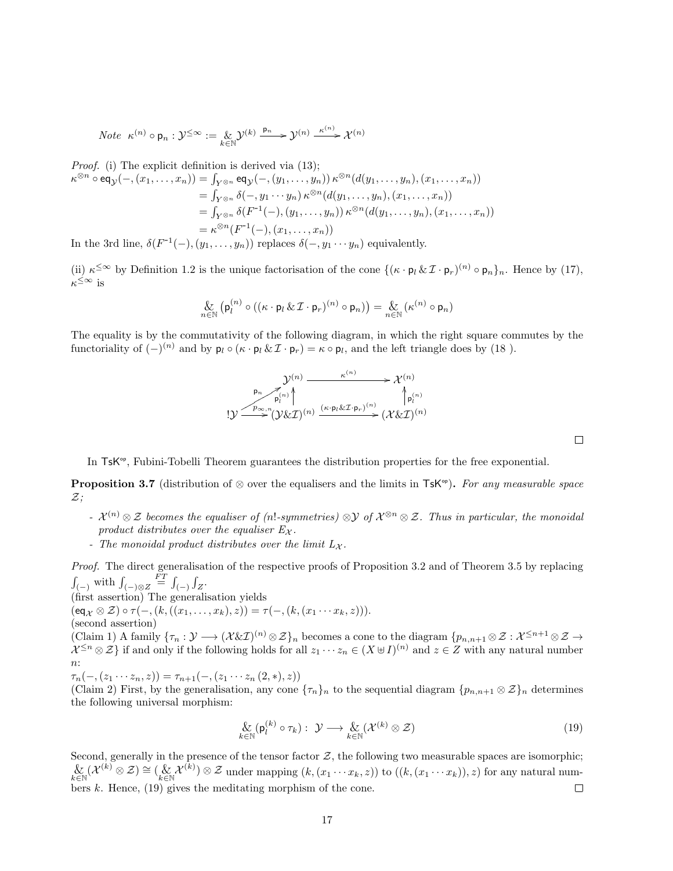$$
\mathit{Note} \ \ \kappa^{(n)} \circ \mathsf{p}_n: \mathcal{Y}^{\leq \infty} := \underset{k \in \mathbb{N}}{\&} \mathcal{Y}^{(k)} \xrightarrow{\mathsf{p}_n} \mathcal{Y}^{(n)} \xrightarrow{\kappa^{(n)}} \mathcal{X}^{(n)}
$$

Proof. (i) The explicit definition is derived via (13);

$$
\kappa^{\otimes n} \circ \mathsf{eq}_{\mathcal{Y}}(-, (x_1, \ldots, x_n)) = \int_{Y^{\otimes n}} \mathsf{eq}_{\mathcal{Y}}(-, (y_1, \ldots, y_n)) \kappa^{\otimes n}(d(y_1, \ldots, y_n), (x_1, \ldots, x_n))
$$
  
\n
$$
= \int_{Y^{\otimes n}} \delta(-, y_1 \cdots y_n) \kappa^{\otimes n}(d(y_1, \ldots, y_n), (x_1, \ldots, x_n))
$$
  
\n
$$
= \int_{Y^{\otimes n}} \delta(F^{-1}(-), (y_1, \ldots, y_n)) \kappa^{\otimes n}(d(y_1, \ldots, y_n), (x_1, \ldots, x_n))
$$
  
\n
$$
= \kappa^{\otimes n}(F^{-1}(-), (x_1, \ldots, x_n))
$$

In the 3rd line,  $\delta(F^{-1}(-), (y_1, \ldots, y_n))$  replaces  $\delta(-, y_1 \cdots y_n)$  equivalently.

(ii)  $\kappa^{\leq \infty}$  by Definition 1.2 is the unique factorisation of the cone  $\{(\kappa \cdot \mathsf{p}_l \& \mathcal{I} \cdot \mathsf{p}_r)^{(n)} \circ \mathsf{p}_n\}_n$ . Hence by (17),  $\kappa^{\leq \infty}$  is

$$
\underset{n\in\mathbb{N}}{\mathcal{L}}\left(\textsf{p}_{l}^{(n)}\circ ((\kappa\cdot \textsf{p}_{l}\,\&\,\mathcal{I}\cdot \textsf{p}_{r})^{(n)}\circ \textsf{p}_{n})\right)=\underset{n\in\mathbb{N}}{\mathcal{L}}(\kappa^{(n)}\circ \textsf{p}_{n})
$$

The equality is by the commutativity of the following diagram, in which the right square commutes by the functoriality of  $(-)^{(n)}$  and by  $p_l \circ (\kappa \cdot p_l \& \mathcal{I} \cdot p_r) = \kappa \circ p_l$ , and the left triangle does by (18).



 $\Box$ 

In  $TsK^{\varphi}$ , Fubini-Tobelli Theorem guarantees the distribution properties for the free exponential.

**Proposition 3.7** (distribution of  $\otimes$  over the equalisers and the limits in TsK<sup>op</sup>). For any measurable space  $\mathcal{Z}$ ;

- $\mathcal{X}^{(n)}$  ⊗ Z becomes the equaliser of (n!-symmetries) ⊗Y of  $\mathcal{X}^{\otimes n}$  ⊗ Z. Thus in particular, the monoidal product distributes over the equaliser  $E_{\mathcal{X}}$ .
- The monoidal product distributes over the limit  $L_{\mathcal{X}}$ .

Proof. The direct generalisation of the respective proofs of Proposition 3.2 and of Theorem 3.5 by replacing  $\int_{(-)}$  with  $\int_{(-)\otimes Z} \stackrel{FT}{=} \int_{(-)} \int_Z$ .

(first assertion) The generalisation yields  $(\operatorname{\sf eq}_{\mathcal X} \otimes {\mathcal Z}) \circ \tau \big({\mathord{\text{--}}}, (\bar{k}, \breve( (x_1, \ldots, x_k), \overset{\circ}{z})\big) = \tau \big({\mathord{\text{--}}}, (\bar{k}, (x_1 \cdots x_k, z))\big).$ 

(second assertion)

(Claim 1) A family  $\{\tau_n : \mathcal{Y} \longrightarrow (\mathcal{X} \& \mathcal{I})^{(n)} \otimes \mathcal{Z}\}_n$  becomes a cone to the diagram  $\{p_{n,n+1} \otimes \mathcal{Z} : \mathcal{X}^{\leq n+1} \otimes \mathcal{Z} \rightarrow \mathcal{Z}\}$  $\mathcal{X}^{\leq n} \otimes \mathcal{Z}$  if and only if the following holds for all  $z_1 \cdots z_n \in (X \cup I)^{(n)}$  and  $z \in \mathcal{Z}$  with any natural number n:

 $\tau_n(-, (z_1 \cdots z_n, z)) = \tau_{n+1}(-, (z_1 \cdots z_n (2, z)), z))$ 

(Claim 2) First, by the generalisation, any cone  ${\lbrace \tau_n \rbrace_n}$  to the sequential diagram  ${p_{n,n+1} \otimes \mathcal{Z}}_n$  determines the following universal morphism:

$$
\underset{k \in \mathbb{N}}{\mathcal{L}}(\mathsf{p}_l^{(k)} \circ \tau_k) : \ \mathcal{Y} \longrightarrow \underset{k \in \mathbb{N}}{\mathcal{L}}(\mathcal{X}^{(k)} \otimes \mathcal{Z}) \tag{19}
$$

Second, generally in the presence of the tensor factor  $Z$ , the following two measurable spaces are isomorphic;  $\mathcal{X}_{k\in\mathbb{N}}(\mathcal{X}^{(k)}\otimes\mathcal{Z})\cong(\mathcal{X}_{k\in\mathbb{N}}\mathcal{X}^{(k)})\otimes\mathcal{Z}$  under mapping  $(k,(x_1\cdots x_k,z))$  to  $((k,(x_1\cdots x_k)),z)$  for any natural numbers  $k$ . Hence, (19) gives the meditating morphism of the cone.  $\Box$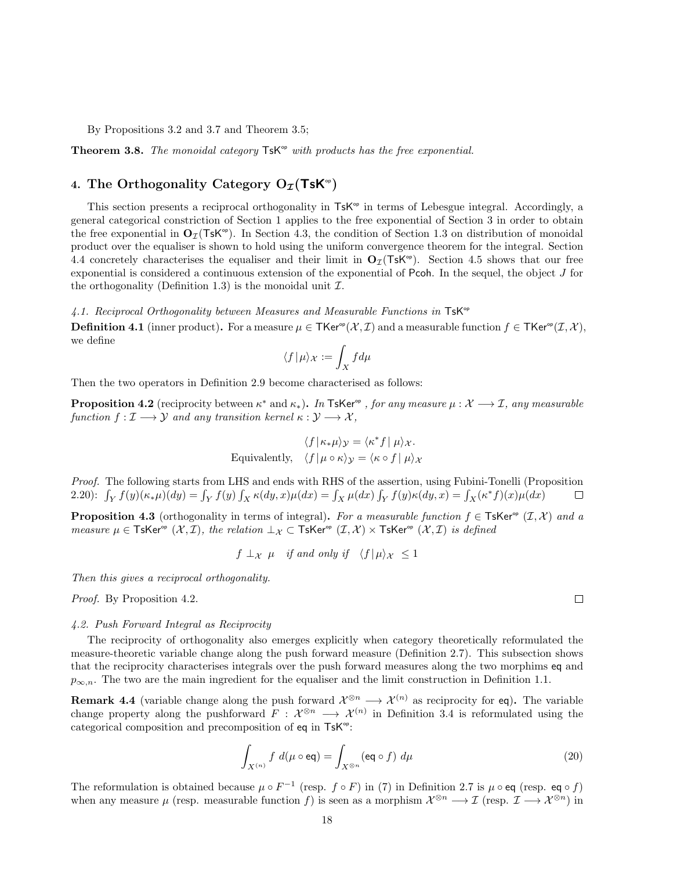By Propositions 3.2 and 3.7 and Theorem 3.5;

**Theorem 3.8.** The monoidal category  $TsK^{\circ p}$  with products has the free exponential.

# 4. The Orthogonality Category  $O_{\mathcal{I}}(TsK^{\circ})$

This section presents a reciprocal orthogonality in  $T s K^{\circ}$  in terms of Lebesgue integral. Accordingly, a general categorical constriction of Section 1 applies to the free exponential of Section 3 in order to obtain the free exponential in  $O_{\mathcal{I}}(TsK^{\circ p})$ . In Section 4.3, the condition of Section 1.3 on distribution of monoidal product over the equaliser is shown to hold using the uniform convergence theorem for the integral. Section 4.4 concretely characterises the equaliser and their limit in  $O_{\mathcal{I}}(T s K^{\circ})$ . Section 4.5 shows that our free exponential is considered a continuous extension of the exponential of Pcoh. In the sequel, the object  $J$  for the orthogonality (Definition 1.3) is the monoidal unit  $\mathcal{I}$ .

4.1. Reciprocal Orthogonality between Measures and Measurable Functions in  $\mathsf{TsK}^{\infty}$ 

**Definition 4.1** (inner product). For a measure  $\mu \in \text{Tker}^{\circ}(\mathcal{X}, \mathcal{I})$  and a measurable function  $f \in \text{Tker}^{\circ}(\mathcal{I}, \mathcal{X})$ , we define

$$
\langle f\,|\, \mu\rangle_{\mathcal{X}}:=\int_X f d\mu
$$

Then the two operators in Definition 2.9 become characterised as follows:

**Proposition 4.2** (reciprocity between  $\kappa^*$  and  $\kappa_*$ ). In TsKer<sup>op</sup> , for any measure  $\mu: \mathcal{X} \longrightarrow \mathcal{I}$ , any measurable function  $f: \mathcal{I} \longrightarrow \mathcal{Y}$  and any transition kernel  $\kappa: \mathcal{Y} \longrightarrow \mathcal{X}$ ,

$$
\langle f | \kappa_* \mu \rangle_{\mathcal{Y}} = \langle \kappa^* f | \mu \rangle_{\mathcal{X}}.
$$
  
Equivalently, 
$$
\langle f | \mu \circ \kappa \rangle_{\mathcal{Y}} = \langle \kappa \circ f | \mu \rangle_{\mathcal{X}}
$$

Proof. The following starts from LHS and ends with RHS of the assertion, using Fubini-Tonelli (Proposition 2.20):  $\int_Y f(y)(\kappa_* \mu)(dy) = \int_Y f(y) \int_X \kappa(dy, x) \mu(dx) = \int_X \mu(dx) \int_Y f(y) \kappa(dy, x) = \int_X (\kappa^* f)(x) \mu(dx)$  $\Box$ 

**Proposition 4.3** (orthogonality in terms of integral). For a measurable function  $f \in \mathsf{TsKer}^{\mathsf{op}}(\mathcal{I}, \mathcal{X})$  and a measure  $\mu \in \mathsf{TsKer}^{\mathsf{op}}(\mathcal{X},\mathcal{I}),$  the relation  $\bot_{\mathcal{X}} \subset \mathsf{TsKer}^{\mathsf{op}}(\mathcal{I},\mathcal{X}) \times \mathsf{TsKer}^{\mathsf{op}}(\mathcal{X},\mathcal{I})$  is defined

$$
f \perp_{\mathcal{X}} \mu
$$
 if and only if  $\langle f | \mu \rangle_{\mathcal{X}} \leq 1$ 

Then this gives a reciprocal orthogonality.

Proof. By Proposition 4.2.

#### 4.2. Push Forward Integral as Reciprocity

The reciprocity of orthogonality also emerges explicitly when category theoretically reformulated the measure-theoretic variable change along the push forward measure (Definition 2.7). This subsection shows that the reciprocity characterises integrals over the push forward measures along the two morphims eq and  $p_{\infty,n}$ . The two are the main ingredient for the equaliser and the limit construction in Definition 1.1.

**Remark 4.4** (variable change along the push forward  $\mathcal{X}^{\otimes n} \longrightarrow \mathcal{X}^{(n)}$  as reciprocity for eq). The variable change property along the pushforward  $F: \mathcal{X}^{\otimes n} \longrightarrow \mathcal{X}^{(n)}$  in Definition 3.4 is reformulated using the categorical composition and precomposition of eq in TsK<sup>op</sup>:

$$
\int_{X^{(n)}} f \ d(\mu \circ \mathsf{eq}) = \int_{X^{\otimes n}} (\mathsf{eq} \circ f) \ d\mu \tag{20}
$$

The reformulation is obtained because  $\mu \circ F^{-1}$  (resp.  $f \circ F$ ) in (7) in Definition 2.7 is  $\mu \circ \text{eq}$  (resp. eq  $\circ f$ ) when any measure  $\mu$  (resp. measurable function f) is seen as a morphism  $\mathcal{X}^{\otimes n} \longrightarrow \mathcal{I}$  (resp.  $\mathcal{I} \longrightarrow \mathcal{X}^{\otimes n}$ ) in

 $\Box$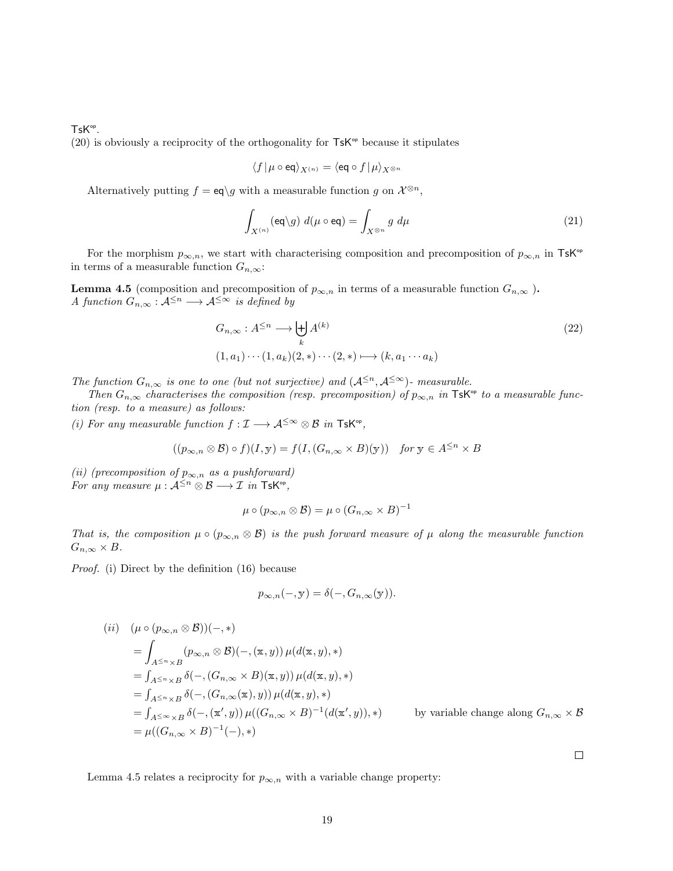$T$ s $K^{\circ p}$ .  $(20)$  is obviously a reciprocity of the orthogonality for  $T_sK^{\circ p}$  because it stipulates

$$
\langle f\,|\, \mu\circ \mathrm{eq}\rangle_{X^{(n)}}=\langle \mathrm{eq}\circ f\,|\, \mu\rangle_{X^{\otimes n}}
$$

Alternatively putting  $f = \mathsf{eq} \setminus g$  with a measurable function g on  $\mathcal{X}^{\otimes n}$ ,

$$
\int_{X^{(n)}} (\mathrm{eq}\langle g) \, d(\mu \circ \mathrm{eq}) = \int_{X^{\otimes n}} g \, d\mu \tag{21}
$$

For the morphism  $p_{\infty,n}$ , we start with characterising composition and precomposition of  $p_{\infty,n}$  in TsK<sup>op</sup> in terms of a measurable function  $G_{n,\infty}$ :

**Lemma 4.5** (composition and precomposition of  $p_{\infty,n}$  in terms of a measurable function  $G_{n,\infty}$ ). A function  $G_{n,\infty} : A^{\leq n} \longrightarrow A^{\leq \infty}$  is defined by

$$
G_{n,\infty}: A^{\leq n} \longrightarrow \biguplus_{k} A^{(k)}
$$
  

$$
(1, a_1) \cdots (1, a_k) (2, *) \cdots (2, *) \longmapsto (k, a_1 \cdots a_k)
$$
  

$$
(22)
$$

The function  $G_{n,\infty}$  is one to one (but not surjective) and  $(\mathcal{A}^{\leq n}, \mathcal{A}^{\leq \infty})$ - measurable.

Then  $G_{n,\infty}$  characterises the composition (resp. precomposition) of  $p_{\infty,n}$  in TsK<sup>op</sup> to a measurable function (resp. to a measure) as follows:

(i) For any measurable function  $f: \mathcal{I} \longrightarrow \mathcal{A}^{\leq \infty} \otimes \mathcal{B}$  in TsK<sup>op</sup>,

$$
((p_{\infty,n} \otimes \mathcal{B}) \circ f)(I, \mathbf{y}) = f(I, (G_{n,\infty} \times B)(\mathbf{y})) \quad \text{for } \mathbf{y} \in A^{\leq n} \times B
$$

(ii) (precomposition of  $p_{\infty,n}$  as a pushforward) For any measure  $\mu : \mathcal{A}^{\leq n} \otimes \mathcal{B} \longrightarrow \mathcal{I}$  in TsK<sup>op</sup>,

$$
\mu \circ (p_{\infty,n} \otimes \mathcal{B}) = \mu \circ (G_{n,\infty} \times B)^{-1}
$$

That is, the composition  $\mu \circ (p_{\infty,n} \otimes \mathcal{B})$  is the push forward measure of  $\mu$  along the measurable function  $G_{n,\infty}\times B$ .

Proof. (i) Direct by the definition (16) because

$$
p_{\infty,n}(-,y) = \delta(-,G_{n,\infty}(y)).
$$

$$
(ii) \quad (\mu \circ (p_{\infty,n} \otimes \mathcal{B}))(-, *)
$$
\n
$$
= \int_{A^{\leq n} \times B} (p_{\infty,n} \otimes \mathcal{B})(-, (\mathbf{x}, y)) \mu(d(\mathbf{x}, y), *)
$$
\n
$$
= \int_{A^{\leq n} \times B} \delta(-, (G_{n,\infty} \times B)(\mathbf{x}, y)) \mu(d(\mathbf{x}, y), *)
$$
\n
$$
= \int_{A^{\leq n} \times B} \delta(-, (G_{n,\infty}(\mathbf{x}), y)) \mu(d(\mathbf{x}, y), *)
$$
\n
$$
= \int_{A^{\leq \infty} \times B} \delta(-, (\mathbf{x}', y)) \mu((G_{n,\infty} \times B)^{-1}(d(\mathbf{x}', y)), *)
$$
 by variable change along  $G_{n,\infty} \times \mathcal{B}$ \n
$$
= \mu((G_{n,\infty} \times B)^{-1}(-), *)
$$

 $\Box$ 

Lemma 4.5 relates a reciprocity for  $p_{\infty,n}$  with a variable change property: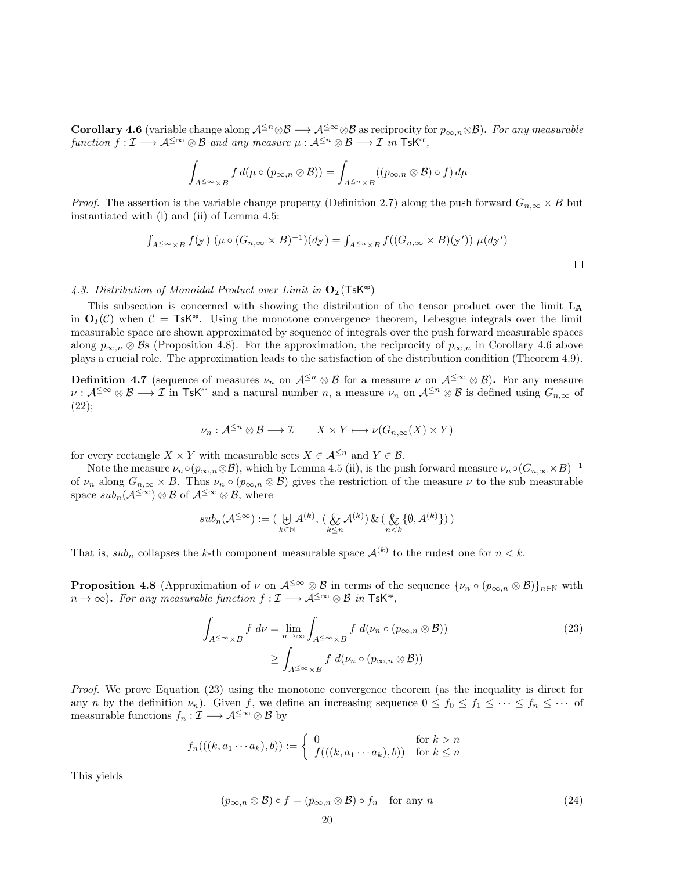**Corollary 4.6** (variable change along  $A^{\leq n} \otimes \mathcal{B} \longrightarrow A^{\leq \infty} \otimes \mathcal{B}$  as reciprocity for  $p_{\infty,n} \otimes \mathcal{B}$ ). For any measurable  $\mathit{function}\ f:\mathcal{I}\longrightarrow\mathcal{A}^{\leq\infty}\otimes\mathcal{B}\ and\ any\ measure\ \mu:\mathcal{A}^{\leq n}\otimes\mathcal{B}\longrightarrow\mathcal{I}\ \ in\ \mathsf{TsK}^{\mathsf{op}},$ 

$$
\int_{A^{\leq \infty} \times B} f d(\mu \circ (p_{\infty,n} \otimes B)) = \int_{A^{\leq n} \times B} ((p_{\infty,n} \otimes B) \circ f) d\mu
$$

*Proof.* The assertion is the variable change property (Definition 2.7) along the push forward  $G_{n,\infty} \times B$  but instantiated with (i) and (ii) of Lemma 4.5:

$$
\int_{A^{\leq \infty} \times B} f(y) \ (\mu \circ (G_{n,\infty} \times B)^{-1})(dy) = \int_{A^{\leq n} \times B} f((G_{n,\infty} \times B)(y')) \ \mu(dy')
$$

4.3. Distribution of Monoidal Product over Limit in  $O_{\mathcal{I}}(T s K^{\circ p})$ 

This subsection is concerned with showing the distribution of the tensor product over the limit  $L_A$ in  $\mathbf{O}_I(\mathcal{C})$  when  $\mathcal{C} = \mathsf{TsK}^{\mathsf{op}}$ . Using the monotone convergence theorem, Lebesgue integrals over the limit measurable space are shown approximated by sequence of integrals over the push forward measurable spaces along  $p_{\infty,n} \otimes \mathcal{B}_s$  (Proposition 4.8). For the approximation, the reciprocity of  $p_{\infty,n}$  in Corollary 4.6 above plays a crucial role. The approximation leads to the satisfaction of the distribution condition (Theorem 4.9).

**Definition 4.7** (sequence of measures  $\nu_n$  on  $\mathcal{A}^{\leq n} \otimes \mathcal{B}$  for a measure  $\nu$  on  $\mathcal{A}^{\leq \infty} \otimes \mathcal{B}$ ). For any measure  $\nu$  :  $\mathcal{A}^{\leq \infty} \otimes \mathcal{B} \longrightarrow \mathcal{I}$  in TsK<sup>op</sup> and a natural number n, a measure  $\nu_n$  on  $\mathcal{A}^{\leq n} \otimes \mathcal{B}$  is defined using  $G_{n,\infty}$  of (22);

$$
\nu_n: \mathcal{A}^{\leq n} \otimes \mathcal{B} \longrightarrow \mathcal{I} \qquad X \times Y \longmapsto \nu(G_{n,\infty}(X) \times Y)
$$

for every rectangle  $X \times Y$  with measurable sets  $X \in \mathcal{A}^{\leq n}$  and  $Y \in \mathcal{B}$ .

Note the measure  $\nu_n \circ (p_{\infty,n} \otimes \mathcal{B})$ , which by Lemma 4.5 (ii), is the push forward measure  $\nu_n \circ (G_{n,\infty} \times B)^{-1}$ of  $\nu_n$  along  $G_{n,\infty} \times B$ . Thus  $\nu_n \circ (p_{\infty,n} \otimes B)$  gives the restriction of the measure  $\nu$  to the sub measurable space  $sub_n(\mathcal{A}^{\leq \infty}) \otimes \mathcal{B}$  of  $\mathcal{A}^{\leq \infty} \otimes \mathcal{B}$ , where

$$
sub_n(\mathcal{A}^{\leq \infty}):=(\biguplus_{k\in \mathbb{N}}A^{(k)},\ (\biguplus_{k\leq n}\mathcal{A}^{(k)})\ \&\ (\biguplus_{n< k}\{\emptyset,A^{(k)}\})\ )
$$

That is,  $sub_n$  collapses the k-th component measurable space  $\mathcal{A}^{(k)}$  to the rudest one for  $n < k$ .

**Proposition 4.8** (Approximation of  $\nu$  on  $\mathcal{A}^{\leq \infty} \otimes \mathcal{B}$  in terms of the sequence  $\{\nu_n \circ (p_{\infty,n} \otimes \mathcal{B})\}_{n \in \mathbb{N}}$  with  $n \to \infty$ ). For any measurable function  $f: \mathcal{I} \longrightarrow \mathcal{A}^{\leq \infty} \otimes \mathcal{B}$  in TsK<sup>op</sup>,

$$
\int_{A^{\leq \infty} \times B} f \, d\nu = \lim_{n \to \infty} \int_{A^{\leq \infty} \times B} f \, d(\nu_n \circ (p_{\infty, n} \otimes B))
$$
\n
$$
\geq \int_{A^{\leq \infty} \times B} f \, d(\nu_n \circ (p_{\infty, n} \otimes B))
$$
\n(23)

Proof. We prove Equation (23) using the monotone convergence theorem (as the inequality is direct for any n by the definition  $\nu_n$ ). Given f, we define an increasing sequence  $0 \le f_0 \le f_1 \le \cdots \le f_n \le \cdots$  of measurable functions  $f_n : \mathcal{I} \longrightarrow \mathcal{A}^{\leq \infty} \otimes \mathcal{B}$  by

$$
f_n(((k, a_1 \cdots a_k), b)) := \begin{cases} 0 & \text{for } k > n \\ f(((k, a_1 \cdots a_k), b)) & \text{for } k \le n \end{cases}
$$

This yields

$$
(p_{\infty,n} \otimes \mathcal{B}) \circ f = (p_{\infty,n} \otimes \mathcal{B}) \circ f_n \quad \text{for any } n \tag{24}
$$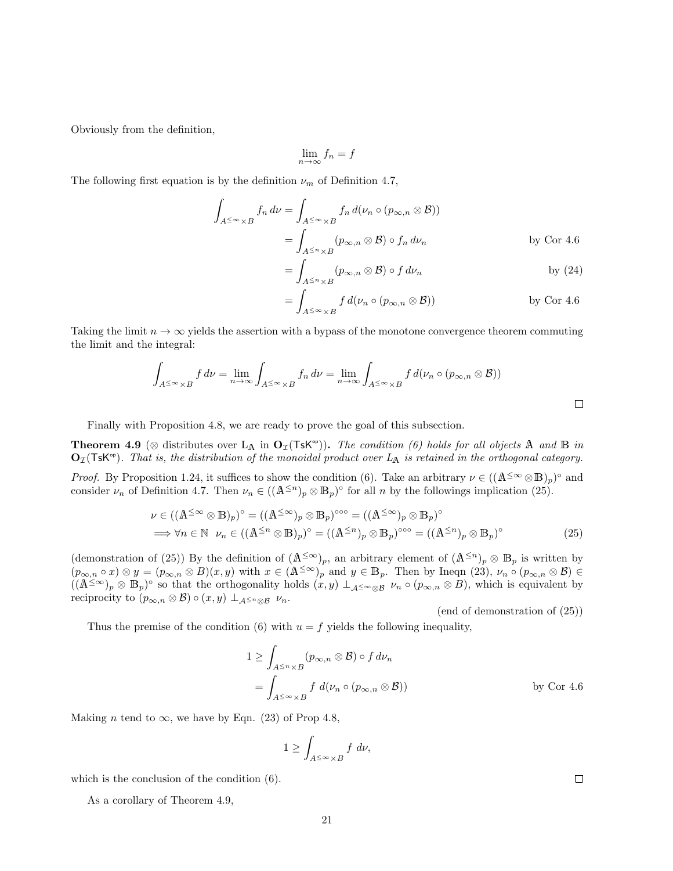Obviously from the definition,

$$
\lim_{n \to \infty} f_n = f
$$

The following first equation is by the definition  $\nu_m$  of Definition 4.7,

$$
\int_{A^{\leq \infty} \times B} f_n d\nu = \int_{A^{\leq \infty} \times B} f_n d(\nu_n \circ (p_{\infty, n} \otimes B))
$$

$$
= \int_{A^{\leq n} \times B} (p_{\infty, n} \otimes B) \circ f_n d\nu_n \qquad \text{by Cor 4.6}
$$

$$
= \int_{A^{\leq n} \times B} (p_{\infty,n} \otimes B) \circ f \, d\nu_n \qquad \qquad \text{by (24)}
$$

$$
= \int_{A^{\leq \infty} \times B} f d(\nu_n \circ (p_{\infty,n} \otimes \mathcal{B}))
$$
 by Cor 4.6

Taking the limit  $n \to \infty$  yields the assertion with a bypass of the monotone convergence theorem commuting the limit and the integral:

$$
\int_{A^{\leq \infty} \times B} f d\nu = \lim_{n \to \infty} \int_{A^{\leq \infty} \times B} f_n d\nu = \lim_{n \to \infty} \int_{A^{\leq \infty} \times B} f d(\nu_n \circ (p_{\infty, n} \otimes B))
$$

Finally with Proposition 4.8, we are ready to prove the goal of this subsection.

**Theorem 4.9** (⊗ distributes over L<sub>A</sub> in  $O_\mathcal{I}(TsK^{\circ})$ ). The condition (6) holds for all objects A and B in  $O_\mathcal{I}(\mathsf{TsK}^\circ)$ . That is, the distribution of the monoidal product over  $L_A$  is retained in the orthogonal category.

*Proof.* By Proposition 1.24, it suffices to show the condition (6). Take an arbitrary  $\nu \in ((\mathbb{A}^{\leq \infty} \otimes \mathbb{B})_p)^{\circ}$  and consider  $\nu_n$  of Definition 4.7. Then  $\nu_n \in ((\mathbb{A}^{\leq n})_p \otimes \mathbb{B}_p)^\circ$  for all n by the followings implication (25).

$$
\nu \in ((\mathbb{A}^{\leq \infty} \otimes \mathbb{B})_p)^{\circ} = ((\mathbb{A}^{\leq \infty})_p \otimes \mathbb{B}_p)^{\circ \circ \circ} = ((\mathbb{A}^{\leq \infty})_p \otimes \mathbb{B}_p)^{\circ}
$$
  
\n
$$
\implies \forall n \in \mathbb{N} \quad \nu_n \in ((\mathbb{A}^{\leq n} \otimes \mathbb{B})_p)^{\circ} = ((\mathbb{A}^{\leq n})_p \otimes \mathbb{B}_p)^{\circ \circ \circ} = ((\mathbb{A}^{\leq n})_p \otimes \mathbb{B}_p)^{\circ}
$$
 (25)

(demonstration of (25)) By the definition of  $(\mathbb{A}^{\leq \infty})_p$ , an arbitrary element of  $(\mathbb{A}^{\leq n})_p \otimes \mathbb{B}_p$  is written by  $(p_{\infty,n} \circ x) \otimes y = (p_{\infty,n} \otimes B)(x,y)$  with  $x \in (\mathbb{A}^{\leq \infty})_p$  and  $y \in \mathbb{B}_p$ . Then by Ineqn  $(23)$ ,  $\nu_n \circ (p_{\infty,n} \otimes B) \in$  $((\mathbb{A}^{\leq \infty})_p \otimes \mathbb{B}_p)$ ° so that the orthogonality holds  $(x, y) \perp_{\mathcal{A}^{\leq \infty} \otimes \mathcal{B}} \nu_n \circ (p_{\infty,n} \otimes B)$ , which is equivalent by reciprocity to  $(p_{\infty,n} \otimes \mathcal{B}) \circ (x, y) \perp_{\mathcal{A}^{\leq n} \otimes \mathcal{B}} \nu_n$ .

(end of demonstration of (25))

Thus the premise of the condition (6) with  $u = f$  yields the following inequality,

$$
1 \geq \int_{A^{\leq n} \times B} (p_{\infty,n} \otimes \mathcal{B}) \circ f \, d\nu_n
$$
  
= 
$$
\int_{A^{\leq \infty} \times B} f \, d(\nu_n \circ (p_{\infty,n} \otimes \mathcal{B}))
$$
 by Cor 4.6

Making *n* tend to  $\infty$ , we have by Eqn. (23) of Prop 4.8,

$$
1 \ge \int_{A^{\le \infty} \times B} f \, d\nu,
$$

which is the conclusion of the condition (6).

As a corollary of Theorem 4.9,

 $\Box$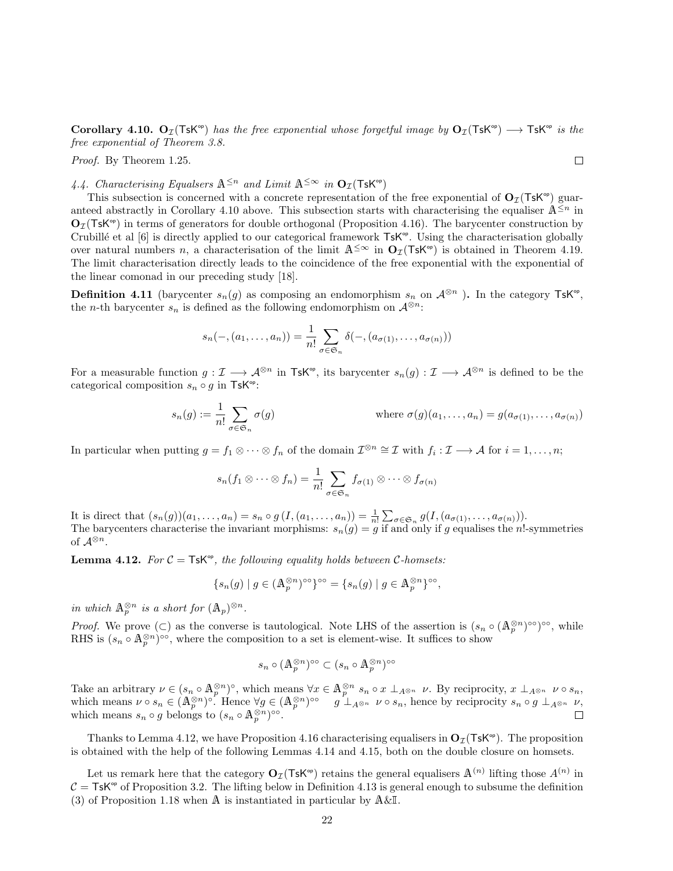Corollary 4.10.  $O_{\mathcal{I}}(TsK^{\circ p})$  has the free exponential whose forgetful image by  $O_{\mathcal{I}}(TsK^{\circ p}) \longrightarrow TsK^{\circ p}$  is the free exponential of Theorem 3.8.

Proof. By Theorem 1.25.

 $\Box$ 

4.4. Characterising Equalsers  $A^{\leq n}$  and Limit  $A^{\leq \infty}$  in  $O_{\mathcal{I}}(T s K^{\circ p})$ 

This subsection is concerned with a concrete representation of the free exponential of  $O_{\mathcal{I}}(T\text{sK}^{\circ})$  guaranteed abstractly in Corollary 4.10 above. This subsection starts with characterising the equaliser  $\mathbb{A}^{\leq n}$  in  $O_{\mathcal{I}}(T\text{sK}^{\circ})$  in terms of generators for double orthogonal (Proposition 4.16). The barycenter construction by Crubillé et al  $[6]$  is directly applied to our categorical framework  $TsK^{\varphi}$ . Using the characterisation globally over natural numbers n, a characterisation of the limit  $\mathbb{A}^{\leq \infty}$  in  $\mathbb{O}_\mathcal{I}(\mathsf{T}\mathsf{s}\mathsf{K}^{\mathsf{op}})$  is obtained in Theorem 4.19. The limit characterisation directly leads to the coincidence of the free exponential with the exponential of the linear comonad in our preceding study [18].

**Definition 4.11** (barycenter  $s_n(g)$  as composing an endomorphism  $s_n$  on  $\mathcal{A}^{\otimes n}$  ). In the category  $\mathsf{TsK}^{\circ p}$ , the *n*-th barycenter  $s_n$  is defined as the following endomorphism on  $\mathcal{A}^{\otimes n}$ :

$$
s_n(-, (a_1, \ldots, a_n)) = \frac{1}{n!} \sum_{\sigma \in \mathfrak{S}_n} \delta(-, (a_{\sigma(1)}, \ldots, a_{\sigma(n)}))
$$

For a measurable function  $g: \mathcal{I} \longrightarrow \mathcal{A}^{\otimes n}$  in TsK<sup>op</sup>, its barycenter  $s_n(g): \mathcal{I} \longrightarrow \mathcal{A}^{\otimes n}$  is defined to be the categorical composition  $s_n \circ g$  in TsK<sup>op</sup>:

$$
s_n(g) := \frac{1}{n!} \sum_{\sigma \in \mathfrak{S}_n} \sigma(g) \qquad \qquad \text{where } \sigma(g)(a_1, \dots, a_n) = g(a_{\sigma(1)}, \dots, a_{\sigma(n)})
$$

In particular when putting  $g = f_1 \otimes \cdots \otimes f_n$  of the domain  $\mathcal{I}^{\otimes n} \cong \mathcal{I}$  with  $f_i : \mathcal{I} \longrightarrow \mathcal{A}$  for  $i = 1, \ldots, n$ ;

$$
s_n(f_1\otimes\cdots\otimes f_n)=\frac{1}{n!}\sum_{\sigma\in\mathfrak{S}_n}f_{\sigma(1)}\otimes\cdots\otimes f_{\sigma(n)}
$$

It is direct that  $(s_n(g))(a_1,\ldots,a_n) = s_n \circ g(I,(a_1,\ldots,a_n)) = \frac{1}{n!} \sum_{\sigma \in \mathfrak{S}_n} g(I,(a_{\sigma(1)},\ldots,a_{\sigma(n)})).$ The barycenters characterise the invariant morphisms:  $s_n(g) = g$  if and only if g equalises the n!-symmetries of  $\mathcal{A}^{\otimes n}$ .

**Lemma 4.12.** For  $C = TsK^{\infty}$ , the following equality holds between C-homsets:

$$
\{s_n(g) \mid g \in (\mathbb{A}_p^{\otimes n})^{\circ \circ}\}^{\circ \circ} = \{s_n(g) \mid g \in \mathbb{A}_p^{\otimes n}\}^{\circ \circ},
$$

in which  $\mathbb{A}_p^{\otimes n}$  is a short for  $(\mathbb{A}_p)^{\otimes n}$ .

*Proof.* We prove (⊂) as the converse is tautological. Note LHS of the assertion is  $(s_n \circ (\mathbb{A}_p^{\otimes n})^{\circ\circ})^{\circ\circ}$ , while RHS is  $(s_n \circ \mathbb{A}_p^{\otimes n})^{\circ\circ}$ , where the composition to a set is element-wise. It suffices to show

$$
s_n \circ (\mathbb{A}_p^{\otimes n})^{\circ \circ} \subset (s_n \circ \mathbb{A}_p^{\otimes n})^{\circ \circ}
$$

Take an arbitrary  $\nu \in (s_n \circ \mathbb{A}_p^{\otimes n})^{\circ}$ , which means  $\forall x \in \mathbb{A}_p^{\otimes n}$   $s_n \circ x \perp_{A^{\otimes n}} \nu$ . By reciprocity,  $x \perp_{A^{\otimes n}} \nu \circ s_n$ , which means  $\nu \circ s_n \in (\mathbb{A}_p^{\otimes n})^{\circ}$ . Hence  $\forall g \in (\mathbb{A}_p^{\otimes n})^{\circ \circ}$   $g \perp_{A^{\otimes n}} \nu \circ s_n$ , hence by reciprocity  $s_n \circ g \perp_{A^{\otimes n}} \nu$ , which means  $s_n \circ g$  belongs to  $(s_n \circ \mathbb{A}_p^{\otimes n})^{\circ \circ}$ .

Thanks to Lemma 4.12, we have Proposition 4.16 characterising equalisers in  $O_{\mathcal{I}}(TsK^{\circ p})$ . The proposition is obtained with the help of the following Lemmas 4.14 and 4.15, both on the double closure on homsets.

Let us remark here that the category  $O_\mathcal{I}(\mathsf{TsK}^\mathsf{op})$  retains the general equalisers  $\mathbb{A}^{(n)}$  lifting those  $A^{(n)}$  in  $C = TsK^{\circ}$  of Proposition 3.2. The lifting below in Definition 4.13 is general enough to subsume the definition (3) of Proposition 1.18 when  $\mathbb A$  is instantiated in particular by  $\mathbb A \& \mathbb I$ .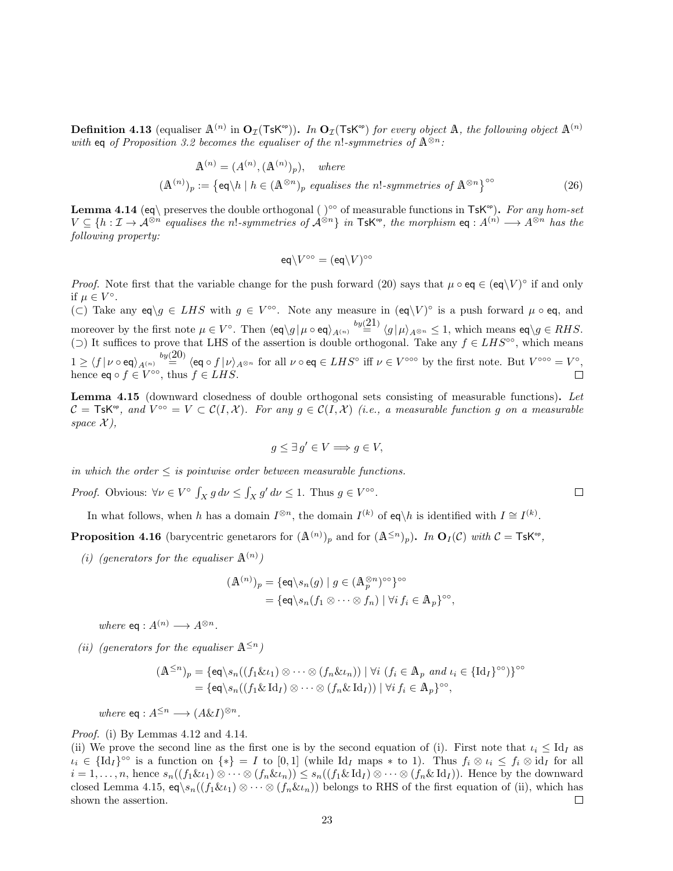**Definition 4.13** (equaliser  $\mathbb{A}^{(n)}$  in  $\mathbf{O}_{\mathcal{I}}(\mathsf{TsK}^{\mathsf{op}})$ ). In  $\mathbf{O}_{\mathcal{I}}(\mathsf{TsK}^{\mathsf{op}})$  for every object  $\mathbb{A}$ , the following object  $\mathbb{A}^{(n)}$ with eq of Proposition 3.2 becomes the equaliser of the n!-symmetries of  $\mathbb{A}^{\otimes n}$ :

$$
\mathbb{A}^{(n)} = (A^{(n)}, (\mathbb{A}^{(n)})_p), \quad where
$$
  

$$
(\mathbb{A}^{(n)})_p := \{ \text{eq}\backslash h \mid h \in (\mathbb{A}^{\otimes n})_p \text{ equalises the } n\text{!-symmetries of } \mathbb{A}^{\otimes n} \}^{\circ\circ}
$$
 (26)

**Lemma 4.14** (eq\ preserves the double orthogonal ( )<sup>o</sup>° of measurable functions in  $TsK^{\circ}$ ). For any hom-set  $V\subseteq\{h:\mathcal{I}\to\mathcal{A}^{\otimes n}$  equalises the n!-symmetries of  $\mathcal{A}^{\otimes n}$  in TsK<sup>op</sup>, the morphism eq :  $A^{(n)}\longrightarrow A^{\otimes n}$  has the following property:

$$
\operatorname{eq} \backslash V^{\circ \circ} = (\operatorname{eq} \backslash V)^{\circ \circ}
$$

*Proof.* Note first that the variable change for the push forward (20) says that  $\mu \circ \textsf{eq} \in (\textsf{eq}\backslash V)^\circ$  if and only if  $\mu \in V^{\circ}$ .

(⊂) Take any eq\g ∈ LHS with  $g \in V^{\circ\circ}$ . Note any measure in  $(\text{eq}\setminus V)^{\circ}$  is a push forward  $\mu \circ \text{eq}$ , and moreover by the first note  $\mu \in V^{\circ}$ . Then  $\langle eq \rangle_{g} | \mu \circ eq \rangle_{A^{(n)}} \stackrel{by(21)}{=} \langle g | \mu \rangle_{A^{\otimes n}} \leq 1$ , which means  $eq \setminus g \in RHS$ . ( $\supset$ ) It suffices to prove that LHS of the assertion is double orthogonal. Take any  $f \in LHS^{\circ\circ}$ , which means  $1 \geq \langle f | \nu \circ \mathsf{eq} \rangle_{A^{(n)}} \stackrel{by(20)}{=} \langle \mathsf{eq} \circ f | \nu \rangle_{A^{\otimes n}}$  for all  $\nu \circ \mathsf{eq} \in LHS^\circ$  iff  $\nu \in V^{\circ \circ \circ}$  by the first note. But  $V^{\circ \circ \circ} = V^\circ$ , hence  $eq \circ f \in V^{\circ \circ}$ , thus  $f \in LHS$ .  $\Box$ 

Lemma 4.15 (downward closedness of double orthogonal sets consisting of measurable functions). Let  $\mathcal{C} = \mathsf{TsK}^{\mathsf{op}},$  and  $V^{\mathsf{oo}} = V \subset \mathcal{C}(I, \mathcal{X})$ . For any  $g \in \mathcal{C}(I, \mathcal{X})$  (i.e., a measurable function g on a measurable space  $\mathcal{X}$ ),

$$
g \le \exists g' \in V \Longrightarrow g \in V,
$$

in which the order  $\leq$  is pointwise order between measurable functions.

*Proof.* Obvious:  $\forall \nu \in V^{\circ}$   $\int_{X} g d\nu \le \int_{X} g' d\nu \le 1$ . Thus  $g \in V^{\circ\circ}$ .

In what follows, when h has a domain  $I^{\otimes n}$ , the domain  $I^{(k)}$  of eq\h is identified with  $I \cong I^{(k)}$ .

**Proposition 4.16** (barycentric genetarors for  $(\mathbb{A}^{(n)})_p$  and for  $(\mathbb{A}^{\leq n})_p$ ). In  $O_I(\mathcal{C})$  with  $\mathcal{C} = \mathsf{TsK}^{\mathsf{op}}$ ,

(i) (generators for the equaliser  $\mathbb{A}^{(n)}$ )

$$
(\mathbb{A}^{(n)})_p = \{ \operatorname{eq} \setminus s_n(g) \mid g \in (\mathbb{A}_p^{\otimes n})^{\circ \circ} \}^{\circ \circ}
$$

$$
= \{ \operatorname{eq} \setminus s_n(f_1 \otimes \cdots \otimes f_n) \mid \forall i \, f_i \in \mathbb{A}_p \}^{\circ \circ},
$$

where  $eq: A^{(n)} \longrightarrow A^{\otimes n}$ .

(ii) (generators for the equaliser  $A^{\leq n}$ )

$$
(\mathbb{A}^{\leq n})_p = \{ \mathsf{eq} \setminus s_n((f_1 \& \iota_1) \otimes \cdots \otimes (f_n \& \iota_n)) \mid \forall i \ (f_i \in \mathbb{A}_p \ and \ \iota_i \in \{\mathrm{Id}_I\}^{\circ \circ}) \}^{\circ \circ}
$$

$$
= \{ \mathsf{eq} \setminus s_n((f_1 \& \mathrm{Id}_I) \otimes \cdots \otimes (f_n \& \mathrm{Id}_I)) \mid \forall i \ f_i \in \mathbb{A}_p \}^{\circ \circ},
$$

where  $eq: A^{\leq n} \longrightarrow (A \& I)^{\otimes n}$ .

Proof. (i) By Lemmas 4.12 and 4.14.

(ii) We prove the second line as the first one is by the second equation of (i). First note that  $\iota_i \leq \mathrm{Id}_I$  as  $\iota_i \in {\mathrm{Id}_I}^{\infty}$  is a function on  $\{*\} = I$  to  $[0,1]$  (while  $\mathrm{Id}_I$  maps \* to 1). Thus  $f_i \otimes \iota_i \leq f_i \otimes \mathrm{id}_I$  for all  $i = 1, \ldots, n$ , hence  $s_n((f_1 \& \iota_1) \otimes \cdots \otimes (f_n \& \iota_n)) \leq s_n((f_1 \& \mathrm{Id}_I) \otimes \cdots \otimes (f_n \& \mathrm{Id}_I)).$  Hence by the downward closed Lemma 4.15,  $eq\backslash s_n((f_1\&i_1)\otimes\cdots\otimes(f_n\&i_n))$  belongs to RHS of the first equation of (ii), which has shown the assertion.  $\Box$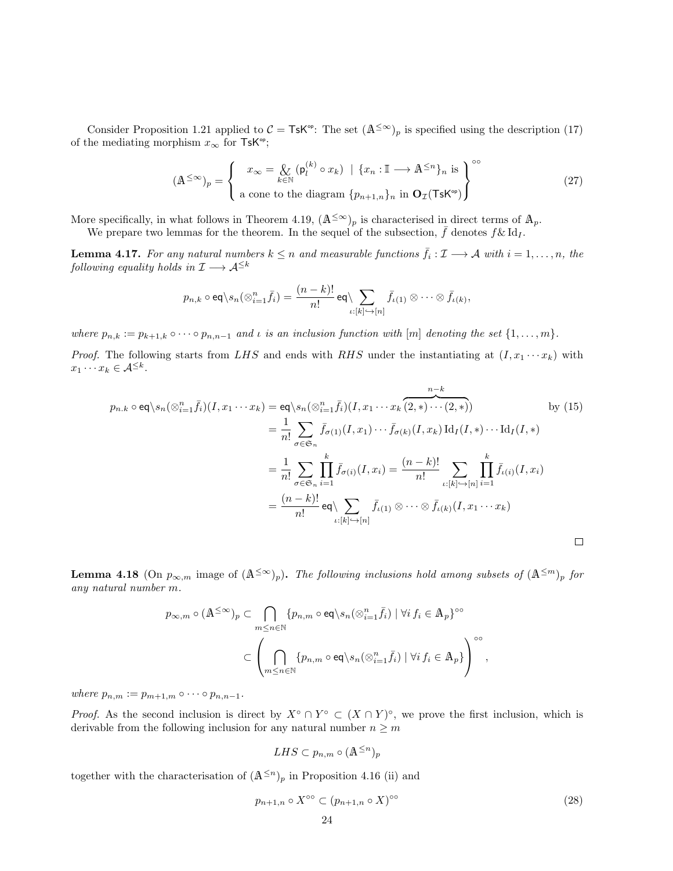Consider Proposition 1.21 applied to  $\mathcal{C} = \mathsf{TsK}^{\varphi}$ : The set  $(\mathbb{A}^{\leq \infty})_p$  is specified using the description (17) of the mediating morphism  $x_{\infty}$  for TsK<sup>op</sup>;

$$
(\mathbb{A}^{\leq \infty})_p = \begin{cases} x_{\infty} = \mathop{\mathcal{X}}_{k \in \mathbb{N}} (\mathsf{p}_l^{(k)} \circ x_k) + \{x_n : \mathbb{I} \longrightarrow \mathbb{A}^{\leq n}\}_n \text{ is} \\ a \text{ cone to the diagram } \{p_{n+1,n}\}_n \text{ in } \mathbf{O}_{\mathcal{I}}(\mathsf{T}\mathsf{s}\mathsf{K}^{\mathsf{op}}) \end{cases} \tag{27}
$$

More specifically, in what follows in Theorem 4.19,  $(\mathbb{A}^{\leq \infty})_p$  is characterised in direct terms of  $\mathbb{A}_p$ .

We prepare two lemmas for the theorem. In the sequel of the subsection,  $\bar{f}$  denotes  $f \& \mathrm{Id}_I$ .

**Lemma 4.17.** For any natural numbers  $k \leq n$  and measurable functions  $\bar{f}_i : \mathcal{I} \longrightarrow \mathcal{A}$  with  $i = 1, \ldots, n$ , the following equality holds in  $\mathcal{I} \longrightarrow \mathcal{A}^{\leq k}$ 

$$
p_{n,k}\circ \operatorname{eq}\backslash s_{n}(\otimes_{i=1}^{n}\bar{f}_{i})=\frac{(n-k)!}{n!}\operatorname{eq}\backslash \sum_{\iota:[k]\hookrightarrow [n]}\bar{f}_{\iota(1)}\otimes\cdots\otimes \bar{f}_{\iota(k)},
$$

where  $p_{n,k} := p_{k+1,k} \circ \cdots \circ p_{n,n-1}$  and  $\iota$  is an inclusion function with  $[m]$  denoting the set  $\{1,\ldots,m\}$ .

*Proof.* The following starts from LHS and ends with RHS under the instantiating at  $(I, x_1 \cdots x_k)$  with  $x_1 \cdots x_k \in \mathcal{A}^{\leq k}.$ 

$$
p_{n,k} \circ \mathsf{eq} \backslash s_n(\otimes_{i=1}^n \bar{f}_i)(I, x_1 \cdots x_k) = \mathsf{eq} \backslash s_n(\otimes_{i=1}^n \bar{f}_i)(I, x_1 \cdots x_k \overbrace{(2,*) \cdots (2,*)}^{n-k}) \qquad \text{by (15)}
$$
\n
$$
= \frac{1}{n!} \sum_{\sigma \in \mathfrak{S}_n} \bar{f}_{\sigma(1)}(I, x_1) \cdots \bar{f}_{\sigma(k)}(I, x_k) \operatorname{Id}_I(I, *) \cdots \operatorname{Id}_I(I, *)
$$
\n
$$
= \frac{1}{n!} \sum_{\sigma \in \mathfrak{S}_n} \prod_{i=1}^k \bar{f}_{\sigma(i)}(I, x_i) = \frac{(n-k)!}{n!} \sum_{\iota : [k] \hookrightarrow [n]} \prod_{i=1}^k \bar{f}_{\iota(i)}(I, x_i)
$$
\n
$$
= \frac{(n-k)!}{n!} \operatorname{eq} \backslash \sum_{\iota : [k] \hookrightarrow [n]} \bar{f}_{\iota(1)} \otimes \cdots \otimes \bar{f}_{\iota(k)}(I, x_1 \cdots x_k)
$$

**Lemma 4.18** (On  $p_{\infty,m}$  image of  $(\mathbb{A}^{\leq \infty})_p$ ). The following inclusions hold among subsets of  $(\mathbb{A}^{\leq m})_p$  for any natural number m.

$$
p_{\infty,m} \circ (\mathbb{A}^{\leq \infty})_p \subset \bigcap_{m \leq n \in \mathbb{N}} \{p_{n,m} \circ \text{eq} \setminus s_n(\otimes_{i=1}^n \bar{f}_i) \mid \forall i \, f_i \in \mathbb{A}_p\}^{\circ \circ}
$$

$$
\subset \left(\bigcap_{m \leq n \in \mathbb{N}} \{p_{n,m} \circ \text{eq} \setminus s_n(\otimes_{i=1}^n \bar{f}_i) \mid \forall i \, f_i \in \mathbb{A}_p\}\right)^{\circ \circ}
$$

where  $p_{n,m} := p_{m+1,m} \circ \cdots \circ p_{n,n-1}$ .

*Proof.* As the second inclusion is direct by  $X^{\circ} \cap Y^{\circ} \subset (X \cap Y)^{\circ}$ , we prove the first inclusion, which is derivable from the following inclusion for any natural number  $n \geq m$ 

$$
LHS \subset p_{n,m} \circ (\mathbb{A}^{\leq n})_p
$$

together with the characterisation of  $(\mathbb{A}^{\leq n})_p$  in Proposition 4.16 (ii) and

$$
p_{n+1,n} \circ X^{\circ \circ} \subset (p_{n+1,n} \circ X)^{\circ \circ} \tag{28}
$$

,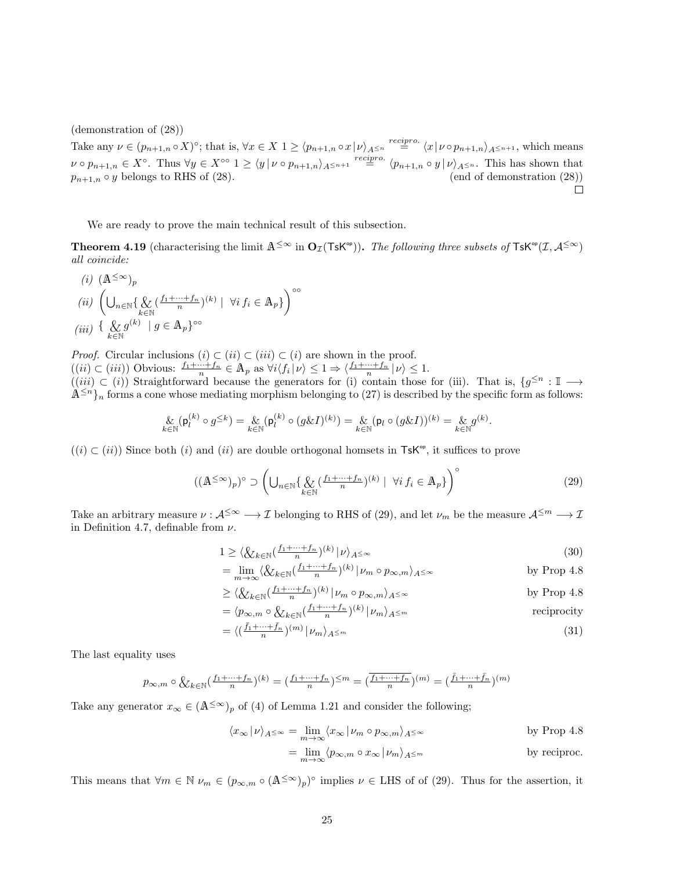(demonstration of (28))

Take any  $\nu \in (p_{n+1,n} \circ X)^\circ$ ; that is,  $\forall x \in X \; 1 \geq \langle p_{n+1,n} \circ x | \nu \rangle_{A^{\leq n}} \stackrel{recipro.}{=} \langle x | \nu \circ p_{n+1,n} \rangle_{A^{\leq n+1}}$ , which means  $\nu \circ p_{n+1,n} \in X^{\circ}$ . Thus  $\forall y \in X^{\circ \circ}$   $1 \geq \langle y | \nu \circ p_{n+1,n} \rangle_{A^{\leq n+1}} \stackrel{recipro}{=} \langle p_{n+1,n} \circ y | \nu \rangle_{A^{\leq n}}$ . This has shown that  $p_{n+1,n} \circ y$  belongs to RHS of (28). (end of demonstration (28))  $\Box$ 

We are ready to prove the main technical result of this subsection.

**Theorem 4.19** (characterising the limit  $A^{\leq \infty}$  in  $O_{\mathcal{I}}(TsK^{\infty})$ ). The following three subsets of  $TsK^{\infty}(\mathcal{I}, A^{\leq \infty})$ all coincide:

$$
(i) \ (\mathbb{A}^{\leq \infty})_p
$$
  
\n
$$
(ii) \left( \bigcup_{n \in \mathbb{N}} \{ \underset{k \in \mathbb{N}}{\{ \mathcal{L}(\mathcal{K}^{(f_1 + \dots + f_n)}(k) \mid \forall i f_i \in \mathbb{A}_p \} \}} \right)^{\circ \circ}
$$
  
\n
$$
(iii) \ \{\underset{k \in \mathbb{N}}{\{ \mathcal{L}(\mathcal{G}^{(k)} \mid g \in \mathbb{A}_p \}} \right)^{\circ \circ}
$$

*Proof.* Circular inclusions  $(i) \subset (ii) \subset (iii) \subset (i)$  are shown in the proof.

 $((ii) \subset (iii))$  Obvious:  $\frac{f_1 + \dots + f_n}{n} \in \mathbb{A}_p$  as  $\forall i \langle f_i | \nu \rangle \leq 1 \Rightarrow \langle \frac{f_1 + \dots + f_n}{n} | \nu \rangle \leq 1$ .

 $((iii) \subset (i))$  Straightforward because the generators for (i) contain those for (iii). That is,  $\{g^{\leq n} : \mathbb{I} \longrightarrow$  $\mathbb{A}^{\leq n}$ <sub>n</sub> forms a cone whose mediating morphism belonging to (27) is described by the specific form as follows:

$$
\underset{k \in \mathbb{N}}{\&} (\mathsf{p}_l^{(k)} \circ g^{\leq k}) = \underset{k \in \mathbb{N}}{\&} (\mathsf{p}_l^{(k)} \circ (g \& I)^{(k)}) = \underset{k \in \mathbb{N}}{\&} (\mathsf{p}_l \circ (g \& I))^{(k)} = \underset{k \in \mathbb{N}}{\&} g^{(k)}
$$

 $((i) \subset (ii))$  Since both  $(i)$  and  $(ii)$  are double orthogonal homsets in TsK<sup>o</sup>, it suffices to prove

$$
((\mathbb{A}^{\leq \infty})_p)^{\circ} \supset \left(\bigcup_{n \in \mathbb{N}} \{\underset{k \in \mathbb{N}}{\{\mathcal{L}\left(\frac{f_1 + \dots + f_n}{n}\right)^{(k)} \mid \ \forall i \, f_i \in \mathbb{A}_p\}}\right)^{\circ} \tag{29}
$$

.

Take an arbitrary measure  $\nu : \mathcal{A}^{\leq \infty} \longrightarrow \mathcal{I}$  belonging to RHS of (29), and let  $\nu_m$  be the measure  $\mathcal{A}^{\leq m} \longrightarrow \mathcal{I}$ in Definition 4.7, definable from  $\nu$ .

$$
1 \ge \langle \mathcal{L}_{k \in \mathbb{N}} \left( \frac{f_1 + \dots + f_n}{n} \right)^{(k)} | \nu \rangle_{A \le \infty} \tag{30}
$$

$$
= \lim_{m \to \infty} \langle \mathcal{L}_{k \in \mathbb{N}} \left( \frac{f_1 + \dots + f_n}{n} \right)^{(k)} | \nu_m \circ p_{\infty, m} \rangle_{A \leq \infty} \qquad \text{by Prop 4.8}
$$

$$
\geq \langle \underbrace{\mathcal{X}}_{k \in \mathbb{N}} \left( \frac{f_1 + \dots + f_n}{n} \right)^{(k)} | \nu_m \circ p_{\infty,m} \rangle_{A \leq \infty} \qquad \qquad \text{by Prop 4.8}
$$

$$
= \langle p_{\infty,m} \circ \underbrace{\mathcal{X}}_{k \in \mathbb{N}} \left( \frac{f_1 + \dots + f_n}{n} \right)^{(k)} | \nu_m \rangle_{A \leq m} \qquad \text{reciprocity}
$$

$$
= \langle \left( \frac{\bar{f}_1 + \dots + \bar{f}_n}{n} \right)^{(m)} | \nu_m \rangle_{A \leq m} \tag{31}
$$

The last equality uses

$$
p_{\infty,m}\circ \bigotimes_{k\in\mathbb{N}}(\tfrac{f_1+\cdots+f_n}{n})^{(k)}=(\tfrac{f_1+\cdots+f_n}{n})^{\leq m}=(\tfrac{\overline{f_1+\cdots+f_n}}{n})^{(m)}=(\tfrac{\overline{f_1+\cdots+f_n}}{n})^{(m)}
$$

Take any generator  $x_{\infty} \in (\mathbb{A}^{\leq \infty})_p$  of (4) of Lemma 1.21 and consider the following;

$$
\langle x_{\infty} | \nu \rangle_{A \leq \infty} = \lim_{m \to \infty} \langle x_{\infty} | \nu_m \circ p_{\infty,m} \rangle_{A \leq \infty}
$$
 by Prop 4.8  

$$
= \lim_{m \to \infty} \langle p_{\infty,m} \circ x_{\infty} | \nu_m \rangle_{A \leq m}
$$
 by reciproc.

This means that  $\forall m \in \mathbb{N} \nu_m \in (p_{\infty,m} \circ (\mathbb{A}^{\leq \infty})_p)^\circ$  implies  $\nu \in \mathbb{A}$  is of of (29). Thus for the assertion, it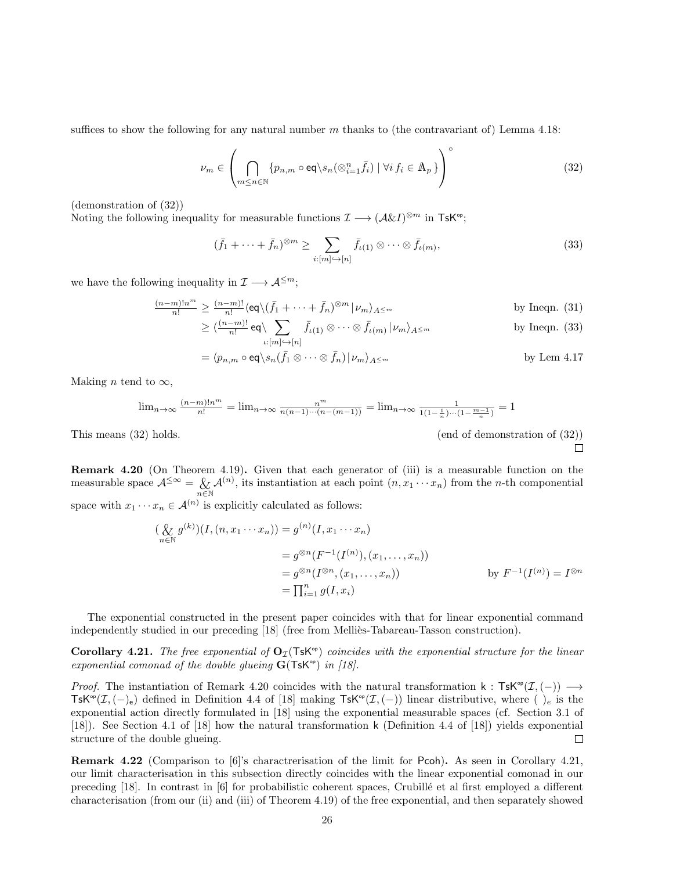suffices to show the following for any natural number m thanks to (the contravariant of) Lemma 4.18:

$$
\nu_m \in \left(\bigcap_{m \le n \in \mathbb{N}} \{p_{n,m} \circ \text{eq}\backslash s_n(\otimes_{i=1}^n \bar{f}_i) \mid \forall i \, f_i \in \mathbb{A}_p\}\right)^\circ \tag{32}
$$

(demonstration of (32))

Noting the following inequality for measurable functions  $\mathcal{I} \longrightarrow (\mathcal{A}\&I)^{\otimes m}$  in TsK<sup>op</sup>;

$$
(\bar{f}_1 + \dots + \bar{f}_n)^{\otimes m} \ge \sum_{i:[m] \hookrightarrow [n]} \bar{f}_{\iota(1)} \otimes \dots \otimes \bar{f}_{\iota(m)},
$$
\n(33)

we have the following inequality in  $\mathcal{I} \longrightarrow \mathcal{A}^{\leq m};$ 

$$
\frac{(n-m)!n^m}{n!} \ge \frac{(n-m)!}{n!} \langle \text{eq} \setminus (\bar{f}_1 + \dots + \bar{f}_n)^{\otimes m} | \nu_m \rangle_{A \le m} \qquad \text{by Ineqn. (31)}
$$

$$
\geq \langle \frac{(n-m)!}{n!} \operatorname{eq} \rangle \sum_{\iota:[m] \hookrightarrow [n]} \bar{f}_{\iota(1)} \otimes \cdots \otimes \bar{f}_{\iota(m)} | \nu_m \rangle_{A^{\leq m}} \qquad \qquad \text{by Ineqn. (33)}
$$

$$
= \langle p_{n,m} \circ \text{eq} \setminus s_n(\bar{f}_1 \otimes \cdots \otimes \bar{f}_n) | \nu_m \rangle_{A \leq m} \qquad \qquad \text{by Lem 4.17}
$$

Making *n* tend to  $\infty$ ,

$$
\lim_{n \to \infty} \frac{(n-m)! n^m}{n!} = \lim_{n \to \infty} \frac{n^m}{n(n-1)\cdots(n-(m-1))} = \lim_{n \to \infty} \frac{1}{1(1-\frac{1}{n})\cdots(1-\frac{m-1}{n})} = 1
$$

This means (32) holds. (end of demonstration of (32))

Remark 4.20 (On Theorem 4.19). Given that each generator of (iii) is a measurable function on the measurable space  $\mathcal{A}^{\leq \infty} = \&$  $n\widetilde{\in}\mathbb{N}$  $\mathcal{A}^{(n)}$ , its instantiation at each point  $(n, x_1 \cdots x_n)$  from the *n*-th componential space with  $x_1 \cdots x_n \in \mathcal{A}^{(n)}$  is explicitly calculated as follows:

$$
\begin{aligned} \left(\bigotimes_{n\in\mathbb{N}} g^{(k)}\right)(I,(n,x_1\cdots x_n)) &= g^{(n)}(I,x_1\cdots x_n) \\ &= g^{\otimes n}(F^{-1}(I^{(n)}),(x_1,\ldots,x_n)) \\ &= g^{\otimes n}(I^{\otimes n},(x_1,\ldots,x_n)) \end{aligned} \qquad \text{by } F^{-1}(I^{(n)}) = I^{\otimes n}
$$
\n
$$
= \prod_{i=1}^n g(I,x_i)
$$

The exponential constructed in the present paper coincides with that for linear exponential command independently studied in our preceding [18] (free from Melliès-Tabareau-Tasson construction).

Corollary 4.21. The free exponential of  $O_{\mathcal{I}}(T5K^{\circ})$  coincides with the exponential structure for the linear exponential comonad of the double glueing  $G(TsK^{\circ})$  in [18].

Proof. The instantiation of Remark 4.20 coincides with the natural transformation k:  $TsK^{\infty}(\mathcal{I},(-)) \longrightarrow$ TsK<sup>op</sup>(I,(−)<sub>e</sub>) defined in Definition 4.4 of [18] making TsK<sup>op</sup>(I,(−)) linear distributive, where ( )<sub>e</sub> is the exponential action directly formulated in [18] using the exponential measurable spaces (cf. Section 3.1 of [18]). See Section 4.1 of [18] how the natural transformation k (Definition 4.4 of [18]) yields exponential structure of the double glueing.  $\Box$ 

Remark 4.22 (Comparison to [6]'s charactrerisation of the limit for Pcoh). As seen in Corollary 4.21, our limit characterisation in this subsection directly coincides with the linear exponential comonad in our preceding [18]. In contrast in [6] for probabilistic coherent spaces, Crubill´e et al first employed a different characterisation (from our (ii) and (iii) of Theorem 4.19) of the free exponential, and then separately showed

 $\Box$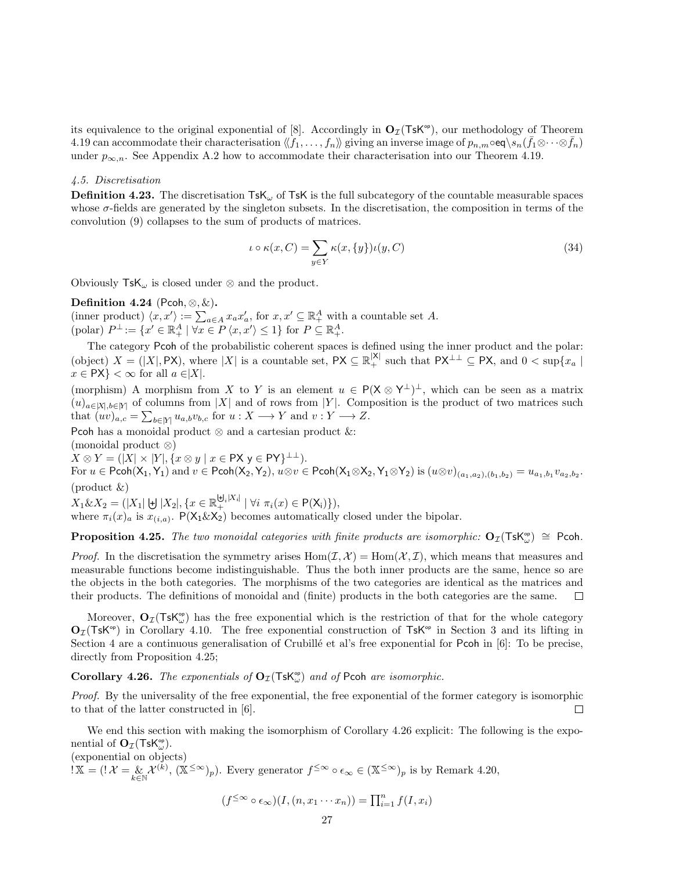its equivalence to the original exponential of [8]. Accordingly in  $\mathbf{O}_{\mathcal{I}}(T\mathbf{s}K^{\mathsf{op}})$ , our methodology of Theorem 4.19 can accommodate their characterisation  $\langle\!\langle f_1,\ldots,f_n\rangle\!\rangle$  giving an inverse image of  $p_{n,m} \circ eq \setminus s_n(\bar{f}_1 \otimes \cdots \otimes \bar{f}_n)$ under  $p_{\infty,n}$ . See Appendix A.2 how to accommodate their characterisation into our Theorem 4.19.

## 4.5. Discretisation

**Definition 4.23.** The discretisation  $TsK_{\omega}$  of  $TsK$  is the full subcategory of the countable measurable spaces whose  $\sigma$ -fields are generated by the singleton subsets. In the discretisation, the composition in terms of the convolution (9) collapses to the sum of products of matrices.

$$
\iota \circ \kappa(x, C) = \sum_{y \in Y} \kappa(x, \{y\}) \iota(y, C)
$$
\n(34)

Obviously  $\mathsf{TsK}_{\omega}$  is closed under  $\otimes$  and the product.

## Definition 4.24 (Pcoh,  $\otimes$ , &).

(inner product)  $\langle x, x' \rangle := \sum_{a \in A} x_a x'_a$ , for  $x, x' \subseteq \mathbb{R}^A_+$  with a countable set A. (polar)  $P^{\perp} := \{x' \in \mathbb{R}^A_+ \mid \forall x \in P \langle x, x' \rangle \leq 1\}$  for  $P \subseteq \mathbb{R}^A_+$ .

The category Pcoh of the probabilistic coherent spaces is defined using the inner product and the polar: (object)  $X = (|X|, \text{PX})$ , where  $|X|$  is a countable set,  $\text{PX} \subseteq \mathbb{R}_+^{|X|}$  such that  $\text{PX}^{\perp \perp} \subseteq \text{PX}$ , and  $0 < \sup\{x_a \mid x_a\}$  $x \in \mathsf{PX}$  <  $\infty$  for all  $a \in |X|$ .

(morphism) A morphism from X to Y is an element  $u \in P(X \otimes Y^{\perp})^{\perp}$ , which can be seen as a matrix  $(u)_{a\in X|,b\in Y|}$  of columns from  $|X|$  and of rows from  $|Y|$ . Composition is the product of two matrices such that  $(uv)_{a,c} = \sum_{b \in [Y]} u_{a,b}v_{b,c}$  for  $u : X \longrightarrow Y$  and  $v : Y \longrightarrow Z$ .

Pcoh has a monoidal product  $\otimes$  and a cartesian product  $\&$ :

(monoidal product ⊗)

 $X \otimes Y = (|X| \times |Y|, \{x \otimes y \mid x \in \textsf{PX} \ y \in \textsf{PY}\}^{\perp \perp}).$ 

For  $u \in \mathsf{Pcoh}(X_1, Y_1)$  and  $v \in \mathsf{Pcoh}(X_2, Y_2)$ ,  $u \otimes v \in \mathsf{Pcoh}(X_1 \otimes X_2, Y_1 \otimes Y_2)$  is  $(u \otimes v)_{(a_1, a_2),(b_1, b_2)} = u_{a_1, b_1} v_{a_2, b_2}$ . (product &)

 $X_1 \& X_2 = (|X_1| \biguplus |X_2|, \{x \in \mathbb{R}_+^{\biguplus_i |X_i|} \mid \forall i \pi_i(x) \in \mathsf{P}(\mathsf{X}_i)\}),$ where  $\pi_i(x)_a$  is  $x_{(i,a)}$ .  $P(X_1 \& X_2)$  becomes automatically closed under the bipolar.

# **Proposition 4.25.** The two monoidal categories with finite products are isomorphic:  $O_{\mathcal{I}}(TsK^{\circ\circ}_{\omega}) \cong$  Pcoh.

*Proof.* In the discretisation the symmetry arises  $Hom(\mathcal{I}, \mathcal{X}) = Hom(\mathcal{X}, \mathcal{I})$ , which means that measures and measurable functions become indistinguishable. Thus the both inner products are the same, hence so are the objects in the both categories. The morphisms of the two categories are identical as the matrices and their products. The definitions of monoidal and (finite) products in the both categories are the same.  $\Box$ 

Moreover,  $O_{\mathcal{I}}(T s K_{\omega}^{\circ p})$  has the free exponential which is the restriction of that for the whole category  $O_{\mathcal{I}}(T s K^{\circ})$  in Corollary 4.10. The free exponential construction of TsK<sup>op</sup> in Section 3 and its lifting in Section 4 are a continuous generalisation of Crubillé et al's free exponential for Pcoh in  $[6]$ : To be precise, directly from Proposition 4.25;

**Corollary 4.26.** The exponentials of  $O_{\mathcal{I}}(Tsk_{\omega}^{\infty})$  and of Pcoh are isomorphic.

Proof. By the universality of the free exponential, the free exponential of the former category is isomorphic to that of the latter constructed in [6].  $\Box$ 

We end this section with making the isomorphism of Corollary 4.26 explicit: The following is the exponential of  $O_{\mathcal{I}}(\mathsf{TsK}_{\omega}^{\circ_{p}}).$ 

(exponential on objects)  $! \mathbb{X} = (!\mathcal{X} = \mathcal{X} \mathcal{X}^{(k)}, (\mathbb{X}^{\leq \infty})_p).$  Every generator  $f^{\leq \infty} \circ \epsilon_\infty \in (\mathbb{X}^{\leq \infty})_p$  is by Remark 4.20,

$$
(f^{\leq \infty} \circ \epsilon_{\infty})(I, (n, x_1 \cdots x_n)) = \prod_{i=1}^n f(I, x_i)
$$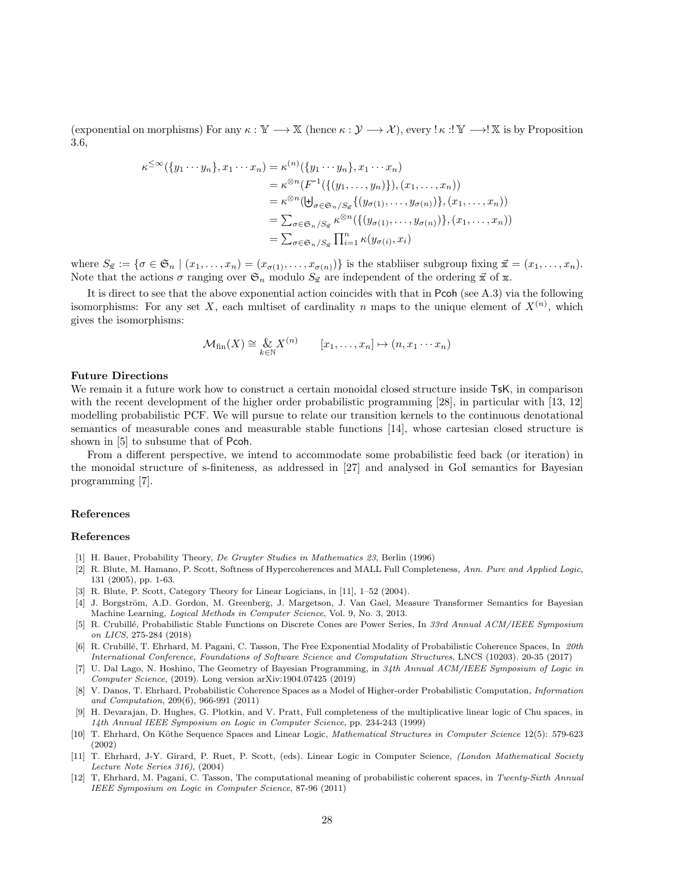(exponential on morphisms) For any  $\kappa : \mathbb{Y} \longrightarrow \mathbb{X}$  (hence  $\kappa : \mathcal{Y} \longrightarrow \mathcal{X}$ ), every  $\mathcal{I} \kappa : \mathbb{Y} \longrightarrow \mathbb{X}$  is by Proposition 3.6,

$$
\kappa^{\leq \infty}(\{y_1 \cdots y_n\}, x_1 \cdots x_n) = \kappa^{(n)}(\{y_1 \cdots y_n\}, x_1 \cdots x_n)
$$
  
\n
$$
= \kappa^{\otimes n} (F^{-1}(\{(y_1, \ldots, y_n)\}), (x_1, \ldots, x_n))
$$
  
\n
$$
= \kappa^{\otimes n} (\biguplus_{\sigma \in \mathfrak{S}_n/S_{\vec{\mathbf{x}}}} \{(y_{\sigma(1)}, \ldots, y_{\sigma(n)})\}, (x_1, \ldots, x_n))
$$
  
\n
$$
= \sum_{\sigma \in \mathfrak{S}_n/S_{\vec{\mathbf{x}}}} \kappa^{\otimes n}(\{(y_{\sigma(1)}, \ldots, y_{\sigma(n)})\}, (x_1, \ldots, x_n))
$$
  
\n
$$
= \sum_{\sigma \in \mathfrak{S}_n/S_{\vec{\mathbf{x}}}} \prod_{i=1}^n \kappa(y_{\sigma(i)}, x_i)
$$

where  $S_{\vec{x}} := \{ \sigma \in \mathfrak{S}_n \mid (x_1, \ldots, x_n) = (x_{\sigma(1)}, \ldots, x_{\sigma(n)}) \}$  is the stabliser subgroup fixing  $\vec{x} = (x_1, \ldots, x_n)$ . Note that the actions  $\sigma$  ranging over  $\mathfrak{S}_n$  modulo  $S_{\vec{x}}$  are independent of the ordering  $\vec{x}$  of x.

It is direct to see that the above exponential action coincides with that in Pcoh (see A.3) via the following isomorphisms: For any set X, each multiset of cardinality n maps to the unique element of  $X^{(n)}$ , which gives the isomorphisms:

$$
\mathcal{M}_{\text{fin}}(X) \cong \underset{k \in \mathbb{N}}{\&} X^{(n)} \qquad [x_1, \ldots, x_n] \mapsto (n, x_1 \cdots x_n)
$$

#### Future Directions

We remain it a future work how to construct a certain monoidal closed structure inside  $TsK$ , in comparison with the recent development of the higher order probabilistic programming [28], in particular with [13, 12] modelling probabilistic PCF. We will pursue to relate our transition kernels to the continuous denotational semantics of measurable cones and measurable stable functions [14], whose cartesian closed structure is shown in [5] to subsume that of Pcoh.

From a different perspective, we intend to accommodate some probabilistic feed back (or iteration) in the monoidal structure of s-finiteness, as addressed in [27] and analysed in GoI semantics for Bayesian programming [7].

#### References

### References

- [1] H. Bauer, Probability Theory, De Gruyter Studies in Mathematics 23, Berlin (1996)
- [2] R. Blute, M. Hamano, P. Scott, Softness of Hypercoherences and MALL Full Completeness, Ann. Pure and Applied Logic, 131 (2005), pp. 1-63.
- [3] R. Blute, P. Scott, Category Theory for Linear Logicians, in [11], 1–52 (2004).
- [4] J. Borgström, A.D. Gordon, M. Greenberg, J. Margetson, J. Van Gael, Measure Transformer Semantics for Bayesian Machine Learning, Logical Methods in Computer Science, Vol. 9, No. 3, 2013.
- [5] R. Crubill´e, Probabilistic Stable Functions on Discrete Cones are Power Series, In 33rd Annual ACM/IEEE Symposium on LICS, 275-284 (2018)
- [6] R. Crubillé, T. Ehrhard, M. Pagani, C. Tasson, The Free Exponential Modality of Probabilistic Coherence Spaces, In 20th International Conference, Foundations of Software Science and Computation Structures, LNCS (10203). 20-35 (2017)
- [7] U. Dal Lago, N. Hoshino, The Geometry of Bayesian Programming, in 34th Annual ACM/IEEE Symposium of Logic in Computer Science, (2019). Long version arXiv:1904.07425 (2019)
- [8] V. Danos, T. Ehrhard, Probabilistic Coherence Spaces as a Model of Higher-order Probabilistic Computation, Information and Computation, 209(6), 966-991 (2011)
- [9] H. Devarajan, D. Hughes, G. Plotkin, and V. Pratt, Full completeness of the multiplicative linear logic of Chu spaces, in 14th Annual IEEE Symposium on Logic in Computer Science, pp. 234-243 (1999)
- [10] T. Ehrhard, On Köthe Sequence Spaces and Linear Logic, Mathematical Structures in Computer Science 12(5): 579-623 (2002)
- [11] T. Ehrhard, J-Y. Girard, P. Ruet, P. Scott, (eds). Linear Logic in Computer Science, (London Mathematical Society Lecture Note Series 316), (2004)
- [12] T, Ehrhard, M. Pagani, C. Tasson, The computational meaning of probabilistic coherent spaces, in Twenty-Sixth Annual IEEE Symposium on Logic in Computer Science, 87-96 (2011)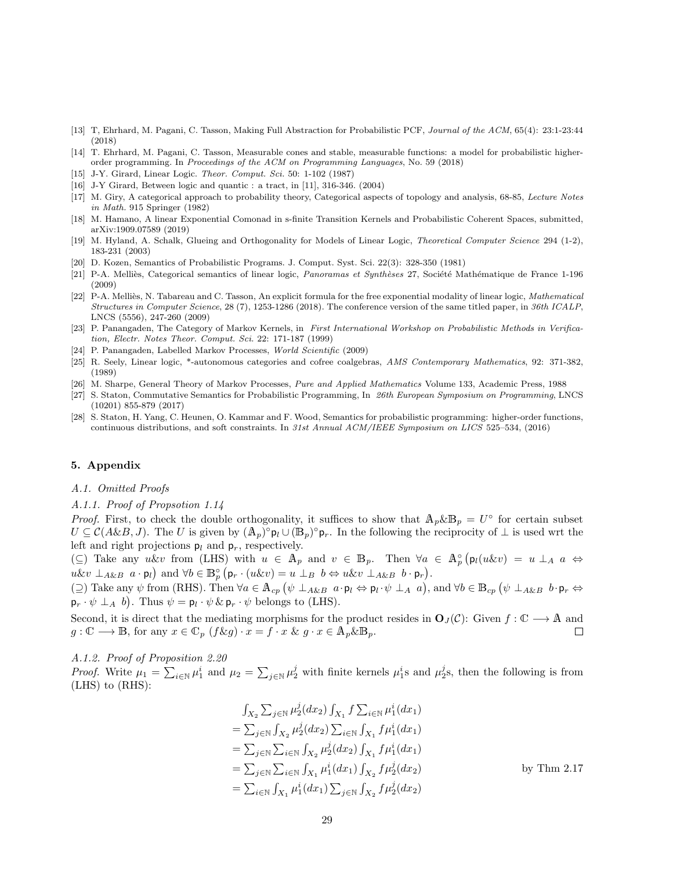- [13] T, Ehrhard, M. Pagani, C. Tasson, Making Full Abstraction for Probabilistic PCF, Journal of the ACM, 65(4): 23:1-23:44 (2018)
- [14] T. Ehrhard, M. Pagani, C. Tasson, Measurable cones and stable, measurable functions: a model for probabilistic higherorder programming. In Proceedings of the ACM on Programming Languages, No. 59 (2018)
- [15] J-Y. Girard, Linear Logic. Theor. Comput. Sci. 50: 1-102 (1987)
- [16] J-Y Girard, Between logic and quantic : a tract, in [11], 316-346. (2004)
- [17] M. Giry, A categorical approach to probability theory, Categorical aspects of topology and analysis, 68-85, Lecture Notes in Math. 915 Springer (1982)
- [18] M. Hamano, A linear Exponential Comonad in s-finite Transition Kernels and Probabilistic Coherent Spaces, submitted, arXiv:1909.07589 (2019)
- [19] M. Hyland, A. Schalk, Glueing and Orthogonality for Models of Linear Logic, Theoretical Computer Science 294 (1-2), 183-231 (2003)
- [20] D. Kozen, Semantics of Probabilistic Programs. J. Comput. Syst. Sci. 22(3): 328-350 (1981)
- [21] P-A. Melliès, Categorical semantics of linear logic, Panoramas et Synthèses 27, Société Mathématique de France 1-196 (2009)
- [22] P-A. Melliès, N. Tabareau and C. Tasson, An explicit formula for the free exponential modality of linear logic, Mathematical Structures in Computer Science, 28 (7), 1253-1286 (2018). The conference version of the same titled paper, in 36th ICALP, LNCS (5556), 247-260 (2009)
- [23] P. Panangaden, The Category of Markov Kernels, in First International Workshop on Probabilistic Methods in Verification, Electr. Notes Theor. Comput. Sci. 22: 171-187 (1999)
- [24] P. Panangaden, Labelled Markov Processes, World Scientific (2009)
- [25] R. Seely, Linear logic, \*-autonomous categories and cofree coalgebras, AMS Contemporary Mathematics, 92: 371-382, (1989)
- [26] M. Sharpe, General Theory of Markov Processes, Pure and Applied Mathematics Volume 133, Academic Press, 1988
- [27] S. Staton, Commutative Semantics for Probabilistic Programming, In 26th European Symposium on Programming, LNCS (10201) 855-879 (2017)
- [28] S. Staton, H. Yang, C. Heunen, O. Kammar and F. Wood, Semantics for probabilistic programming: higher-order functions, continuous distributions, and soft constraints. In 31st Annual ACM/IEEE Symposium on LICS 525–534, (2016)

### 5. Appendix

#### A.1. Omitted Proofs

#### A.1.1. Proof of Propsotion 1.14

*Proof.* First, to check the double orthogonality, it suffices to show that  $\mathbb{A}_p \& \mathbb{B}_p = U^{\circ}$  for certain subset  $U \subseteq \mathcal{C}(A \& B, J)$ . The U is given by  $(\mathbb{A}_p)^\circ \mathsf{p}_l \cup (\mathbb{B}_p)^\circ \mathsf{p}_r$ . In the following the reciprocity of  $\perp$  is used wrt the left and right projections  $p_l$  and  $p_r$ , respectively.

(⊆) Take any u&v from (LHS) with  $u \in A_p$  and  $v \in B_p$ . Then  $\forall a \in A_p^{\circ}$  (p<sub>l</sub>(u&v) =  $u \perp_A a \Leftrightarrow$  $u\&v \perp_{A\&B} a \cdot \mathsf{p}_l$  and  $\forall b \in \mathbb{B}_p^{\circ} (\mathsf{p}_r \cdot (u\&v) = u \perp_B b \Leftrightarrow u\&v \perp_{A\&B} b \cdot \mathsf{p}_r).$ 

(2) Take any  $\psi$  from (RHS). Then  $\forall a \in A_{cp}$   $(\psi \perp_{A\&B} a \cdot \mathsf{p}_l \Leftrightarrow \mathsf{p}_l \cdot \psi \perp_A a)$ , and  $\forall b \in B_{cp}$   $(\psi \perp_{A\&B} b \cdot \mathsf{p}_r \Leftrightarrow$  $\mathsf{p}_r \cdot \psi \perp_A b$ . Thus  $\psi = \mathsf{p}_l \cdot \psi \& \mathsf{p}_r \cdot \psi$  belongs to (LHS).

Second, it is direct that the mediating morphisms for the product resides in  $\mathbf{O}_J(\mathcal{C})$ : Given  $f : \mathbb{C} \longrightarrow \mathbb{A}$  and  $g: \mathbb{C} \longrightarrow \mathbb{B}$ , for any  $x \in \mathbb{C}_p$   $(f \& g) \cdot x = f \cdot x \& g \cdot x \in \mathbb{A}_p \& \mathbb{B}_p$ .  $\Box$ 

### A.1.2. Proof of Proposition 2.20

*Proof.* Write  $\mu_1 = \sum_{i \in \mathbb{N}} \mu_1^i$  and  $\mu_2 = \sum_{j \in \mathbb{N}} \mu_2^j$  with finite kernels  $\mu_1^i$ s and  $\mu_2^j$ s, then the following is from (LHS) to (RHS):

$$
\int_{X_2} \sum_{j \in \mathbb{N}} \mu_2^j(dx_2) \int_{X_1} f \sum_{i \in \mathbb{N}} \mu_1^i(dx_1)
$$
\n
$$
= \sum_{j \in \mathbb{N}} \int_{X_2} \mu_2^j(dx_2) \sum_{i \in \mathbb{N}} \int_{X_1} f \mu_1^i(dx_1)
$$
\n
$$
= \sum_{j \in \mathbb{N}} \sum_{i \in \mathbb{N}} \int_{X_2} \mu_2^j(dx_2) \int_{X_1} f \mu_1^i(dx_1)
$$
\n
$$
= \sum_{j \in \mathbb{N}} \sum_{i \in \mathbb{N}} \int_{X_1} \mu_1^i(dx_1) \int_{X_2} f \mu_2^j(dx_2)
$$
\n
$$
= \sum_{i \in \mathbb{N}} \int_{X_1} \mu_1^i(dx_1) \sum_{j \in \mathbb{N}} \int_{X_2} f \mu_2^j(dx_2)
$$
\nby Thm 2.17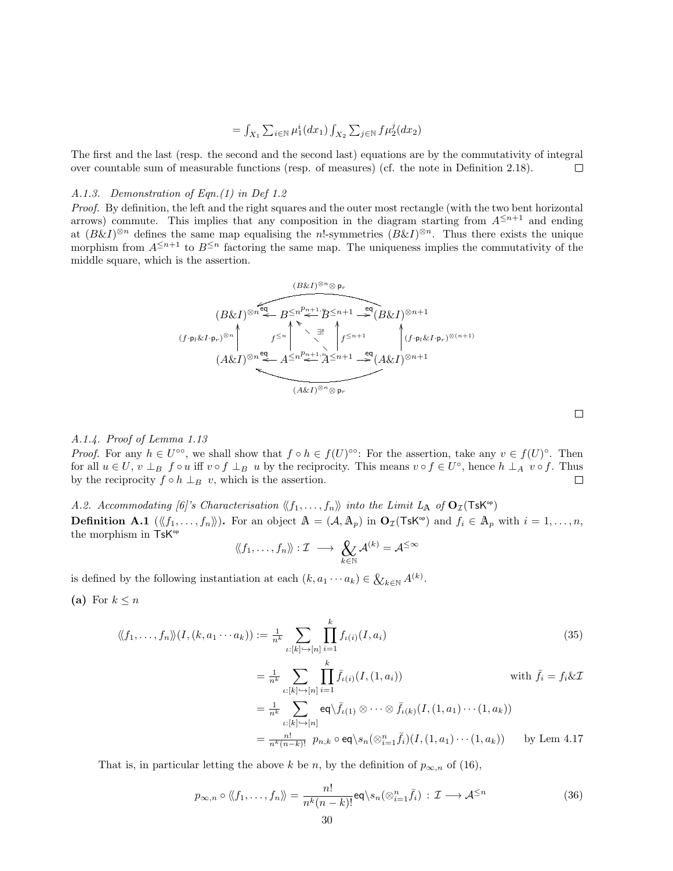$$
=\int_{X_1}\sum_{i\in\mathbb{N}}\mu_1^i(dx_1)\int_{X_2}\sum_{j\in\mathbb{N}}f\mu_2^j(dx_2)
$$

The first and the last (resp. the second and the second last) equations are by the commutativity of integral over countable sum of measurable functions (resp. of measures) (cf. the note in Definition 2.18).  $\Box$ 

#### A.1.3. Demonstration of Eqn.(1) in Def 1.2

Proof. By definition, the left and the right squares and the outer most rectangle (with the two bent horizontal arrows) commute. This implies that any composition in the diagram starting from  $A^{\leq n+1}$  and ending at  $(B\&I)^{\otimes n}$  defines the same map equalising the n!-symmetries  $(B\&I)^{\otimes n}$ . Thus there exists the unique morphism from  $A^{\leq n+1}$  to  $B^{\leq n}$  factoring the same map. The uniqueness implies the commutativity of the middle square, which is the assertion.

$$
(B\&I)^{\otimes n} \otimes \mathsf{p}_r
$$
\n
$$
(f \cdot \mathsf{p}_l \& I \cdot \mathsf{p}_r)^{\otimes n} \longrightarrow f^{\leq n} \longrightarrow f^{\leq n} \longrightarrow f^{\leq n+1} \longrightarrow g^{\leq n+1} (B\&I)^{\otimes n+1}
$$
\n
$$
(f \cdot \mathsf{p}_l \& I \cdot \mathsf{p}_r)^{\otimes n} \longrightarrow f^{\leq n} \longrightarrow f^{\leq n+1} \longrightarrow f^{\leq n+1} \longrightarrow g^{\leq n+1} (f \cdot \mathsf{p}_l \& I \cdot \mathsf{p}_r)^{\otimes (n+1)}
$$
\n
$$
(A\&I)^{\otimes n} \longrightarrow (A\&I)^{\otimes n} \otimes \mathsf{p}_r
$$

#### A.1.4. Proof of Lemma 1.13

*Proof.* For any  $h \in U^{\infty}$ , we shall show that  $f \circ h \in f(U)^{\infty}$ : For the assertion, take any  $v \in f(U)^{\infty}$ . Then for all  $u \in U$ ,  $v \perp_B f \circ u$  iff  $v \circ f \perp_B u$  by the reciprocity. This means  $v \circ f \in U^{\circ}$ , hence  $h \perp_A v \circ f$ . Thus by the reciprocity  $f \circ h \perp_B v$ , which is the assertion.

A.2. Accommodating [6]'s Characterisation  $\langle f_1, \ldots, f_n \rangle$  into the Limit  $L_A$  of  $O_{\mathcal{I}}(T s K^{\circ})$ **Definition A.1**  $(\langle f_1, \ldots, f_n \rangle)$ . For an object  $\mathbb{A} = (\mathcal{A}, \mathbb{A}_p)$  in  $\mathbf{O}_{\mathcal{I}}(\mathsf{TsK}^{\mathsf{op}})$  and  $f_i \in \mathbb{A}_p$  with  $i = 1, \ldots, n$ , the morphism in  $TsK^{\circ p}$ 

$$
\langle\!\langle f_1,\ldots,f_n\rangle\!\rangle: \mathcal{I} \ \longrightarrow \ \bigotimes_{k\in \mathbb{N}} \mathcal{A}^{(k)} = \mathcal{A}^{\leq \infty}
$$

is defined by the following instantiation at each  $(k, a_1 \cdots a_k) \in \mathcal{L}_{k \in \mathbb{N}} A^{(k)}$ .

(a) For  $k \leq n$ 

$$
\langle\langle f_1, \ldots, f_n \rangle\rangle(I, (k, a_1 \cdots a_k)) := \frac{1}{n^k} \sum_{\iota:[k] \hookrightarrow [n]} \prod_{i=1}^k f_{\iota(i)}(I, a_i)
$$
\n
$$
= \frac{1}{n^k} \sum_{\iota:[k] \hookrightarrow [n]} \prod_{i=1}^k \bar{f}_{\iota(i)}(I, (1, a_i))
$$
\nwith  $\bar{f}_i = f_i \& \mathcal{I}$ \n
$$
= \frac{1}{n^k} \sum_{\iota:[k] \hookrightarrow [n]} \mathbf{eq} \setminus \bar{f}_{\iota(1)} \otimes \cdots \otimes \bar{f}_{\iota(k)}(I, (1, a_1) \cdots (1, a_k))
$$
\n
$$
= \frac{n!}{n^k (n-k)!} p_{n,k} \circ \mathbf{eq} \setminus s_n(\otimes_{i=1}^n \bar{f}_i)(I, (1, a_1) \cdots (1, a_k)) \qquad \text{by Lem 4.17}
$$
\n(35)

That is, in particular letting the above k be n, by the definition of  $p_{\infty,n}$  of (16),

$$
p_{\infty,n} \circ \langle\langle f_1, \dots, f_n \rangle\rangle = \frac{n!}{n^k (n-k)!} \mathsf{eq} \langle s_n (\otimes_{i=1}^n \bar{f}_i) : \mathcal{I} \longrightarrow \mathcal{A}^{\leq n}
$$
(36)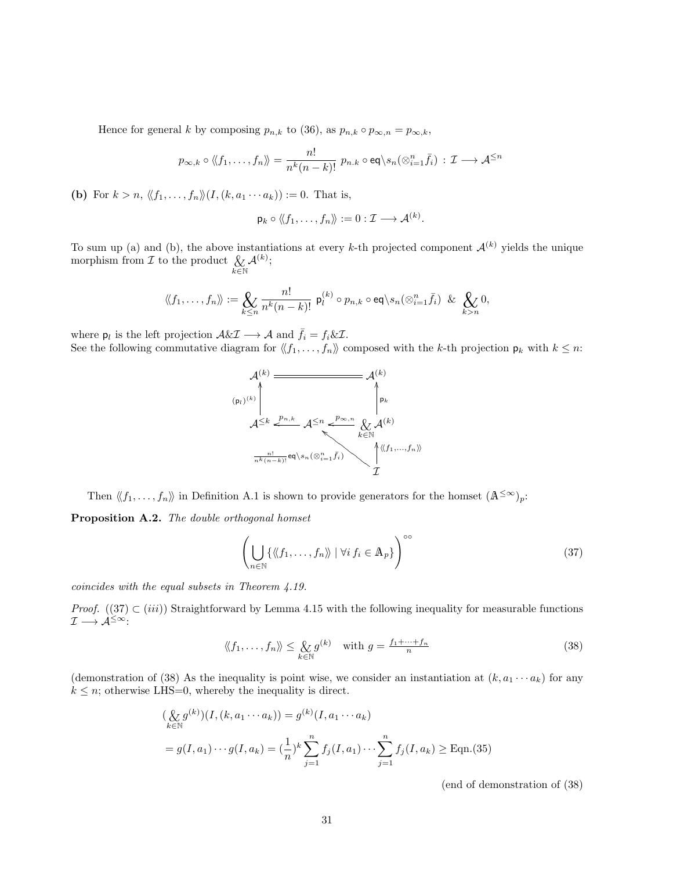Hence for general k by composing  $p_{n,k}$  to (36), as  $p_{n,k} \circ p_{\infty,n} = p_{\infty,k}$ ,

$$
p_{\infty,k} \circ \langle\langle f_1,\ldots,f_n\rangle\rangle = \frac{n!}{n^k(n-k)!} p_{n,k} \circ \text{eq} \langle s_n(\otimes_{i=1}^n \bar{f}_i) : \mathcal{I} \longrightarrow \mathcal{A}^{\leq n}
$$

(b) For  $k > n$ ,  $\langle\langle f_1, \ldots, f_n \rangle\rangle (I, (k, a_1 \cdots a_k)) := 0$ . That is,

$$
\mathsf{p}_k \circ \langle\langle f_1,\ldots,f_n\rangle\rangle := 0 : \mathcal{I} \longrightarrow \mathcal{A}^{(k)}.
$$

To sum up (a) and (b), the above instantiations at every k-th projected component  $\mathcal{A}^{(k)}$  yields the unique morphism from  $\mathcal I$  to the product  $\mathcal{X}$  $\widetilde{k}$ ∈N  $\mathcal{A}^{(k)};$ 

$$
\langle\!\langle f_1,\ldots,f_n\rangle\!\rangle:=\bigotimes_{k\leq n}\frac{n!}{n^k(n-k)!}\,\,\mathsf{p}_l^{(k)}\circ p_{n,k}\circ\mathsf{eq}\backslash s_n(\otimes_{i=1}^n\bar f_i)\,\,\,\&\,\,\bigotimes_{k>n}0,
$$

where  $p_l$  is the left projection  $\mathcal{A}\&\mathcal{I}\longrightarrow\mathcal{A}$  and  $\bar{f}_i=f_i\&\mathcal{I}$ . See the following commutative diagram for  $\langle f_1, \ldots, f_n \rangle$  composed with the k-th projection  $p_k$  with  $k \leq n$ :



Then  $\langle f_1, \ldots, f_n \rangle$  in Definition A.1 is shown to provide generators for the homset  $(A^{\leq \infty})_p$ :

Proposition A.2. The double orthogonal homset

$$
\left(\bigcup_{n\in\mathbb{N}}\{\langle\langle f_1,\ldots,f_n\rangle\rangle\mid\forall i\,f_i\in\mathbb{A}_p\}\right)^{\circ\circ}\tag{37}
$$

coincides with the equal subsets in Theorem 4.19.

*Proof.* ((37) ⊂ (*iii*)) Straightforward by Lemma 4.15 with the following inequality for measurable functions  $\mathcal{I} \longrightarrow \mathcal{A}^{\leq \infty}$ :

$$
\langle\langle f_1, \dots, f_n \rangle\rangle \le \underset{k \in \mathbb{N}}{\mathcal{L}} g^{(k)} \quad \text{with } g = \frac{f_1 + \dots + f_n}{n} \tag{38}
$$

(demonstration of (38) As the inequality is point wise, we consider an instantiation at  $(k, a_1 \cdots a_k)$  for any  $k \leq n$ ; otherwise LHS=0, whereby the inequality is direct.

$$
\begin{aligned} & \left( \underset{k \in \mathbb{N}}{\mathcal{L}} g^{(k)} \right) (I, (k, a_1 \cdots a_k)) = g^{(k)}(I, a_1 \cdots a_k) \\ &= g(I, a_1) \cdots g(I, a_k) = \left( \frac{1}{n} \right)^k \sum_{j=1}^n f_j(I, a_1) \cdots \sum_{j=1}^n f_j(I, a_k) \ge \text{Eqn.}(35) \end{aligned}
$$

(end of demonstration of (38)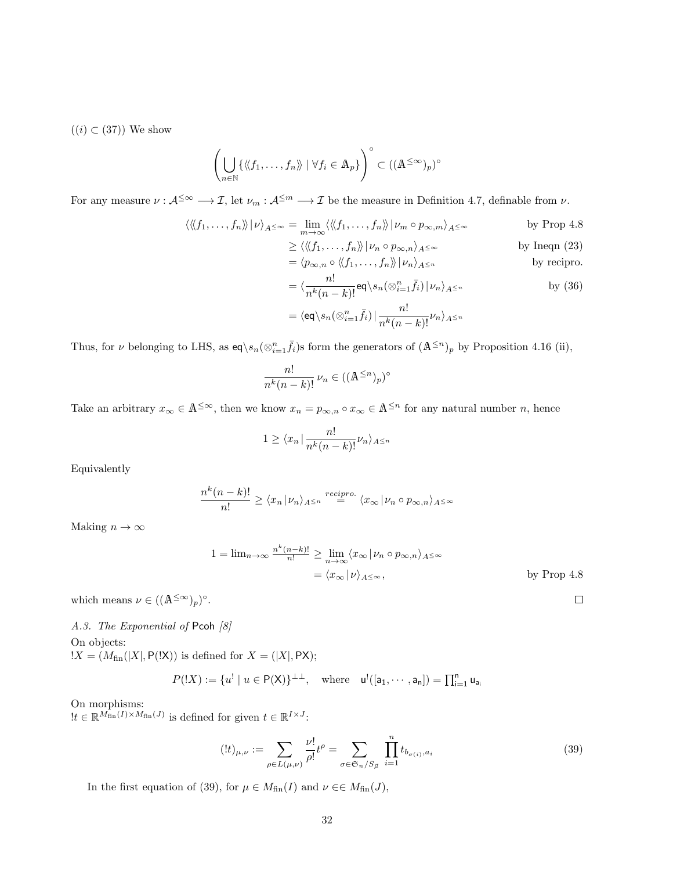$((i) \subset (37))$  We show

$$
\left(\bigcup_{n\in\mathbb{N}}\{\langle\langle f_1,\ldots,f_n\rangle\rangle\mid\forall f_i\in A_p\}\right)^\circ\subset((\mathbb{A}^{\leq\infty})_p)^\circ
$$

For any measure  $\nu : \mathcal{A}^{\leq \infty} \longrightarrow \mathcal{I}$ , let  $\nu_m : \mathcal{A}^{\leq m} \longrightarrow \mathcal{I}$  be the measure in Definition 4.7, definable from  $\nu$ .

$$
\langle \langle f_1, \dots, f_n \rangle \rangle | \nu \rangle_{A \leq \infty} = \lim_{m \to \infty} \langle \langle f_1, \dots, f_n \rangle \rangle | \nu_m \circ p_{\infty,m} \rangle_{A \leq \infty} \qquad \text{by Prop 4.8}
$$
  

$$
\geq \langle \langle f_1, \dots, f_n \rangle \rangle | \nu_n \circ p_{\infty,n} \rangle_{A \leq \infty} \qquad \text{by Ineqn (23)}
$$

= hp∞,n ◦ hhf1, . . . , fnii|νniA≤<sup>n</sup> by recipro.

$$
= \langle \frac{n!}{n^k(n-k)!} \mathsf{eq} \langle s_n(\otimes_{i=1}^n \bar{f}_i) | \nu_n \rangle_{A^{\leq n}} \qquad \text{by (36)}
$$

$$
= \langle \mathsf{eq} \rangle_{s_n}(\otimes_{i=1}^n \bar{f}_i) | \frac{n!}{n^k(n-k)!} \nu_n \rangle_{A^{\leq n}}
$$

Thus, for  $\nu$  belonging to LHS, as  $eq\{s_n(\otimes_{i=1}^n \bar{f}_i)\}$  form the generators of  $(\mathbb{A}^{\leq n})_p$  by Proposition 4.16 (ii),

$$
\frac{n!}{n^k(n-k)!} \nu_n \in ((\mathbb{A}^{\leq n})_p)^{\circ}
$$

Take an arbitrary  $x_\infty \in \mathbb{A}^{\leq \infty}$ , then we know  $x_n = p_{\infty,n} \circ x_\infty \in \mathbb{A}^{\leq n}$  for any natural number n, hence

$$
1 \ge \langle x_n \, | \, \frac{n!}{n^k(n-k)!} \nu_n \rangle_{A^{\le n}}
$$

Equivalently

$$
\frac{n^k(n-k)!}{n!} \ge \langle x_n | \nu_n \rangle_{A^{\le n}} \stackrel{recipro.}{=} \langle x_\infty | \nu_n \circ p_{\infty,n} \rangle_{A^{\le \infty}}
$$

Making  $n \to \infty$ 

$$
1 = \lim_{n \to \infty} \frac{n^k (n-k)!}{n!} \ge \lim_{n \to \infty} \langle x_{\infty} | \nu_n \circ p_{\infty,n} \rangle_{A \le \infty}
$$
  
=  $\langle x_{\infty} | \nu \rangle_{A \le \infty}$ , by Prop 4.8

which means  $\nu \in (({\mathbb{A}}^{\leq \infty})_p)^\circ$ .

## A.3. The Exponential of Pcoh [8]

On objects:  $!X = (M_{fin}(|X|, P(!X))$  is defined for  $X = (|X|, PX);$ 

$$
P(!X) := \{u^! \mid u \in \mathsf{P}(\mathsf{X})\}^{\perp \perp}, \quad \text{where} \quad \mathsf{u}^!([a_1,\cdots,a_n]) = \prod_{i=1}^n \mathsf{u}_{\mathsf{a}_i}
$$

On morphisms:

 $!t \in \mathbb{R}^{M_{\text{fin}}(I) \times M_{\text{fin}}(J)}$  is defined for given  $t \in \mathbb{R}^{I \times J}$ :

$$
(!t)_{\mu,\nu} := \sum_{\rho \in L(\mu,\nu)} \frac{\nu!}{\rho!} t^{\rho} = \sum_{\sigma \in \mathfrak{S}_n/S_{\mu}} \prod_{i=1}^n t_{b_{\sigma(i)},a_i}
$$
(39)

In the first equation of (39), for  $\mu \in M_{fin}(I)$  and  $\nu \in \in M_{fin}(J)$ ,

 $\Box$